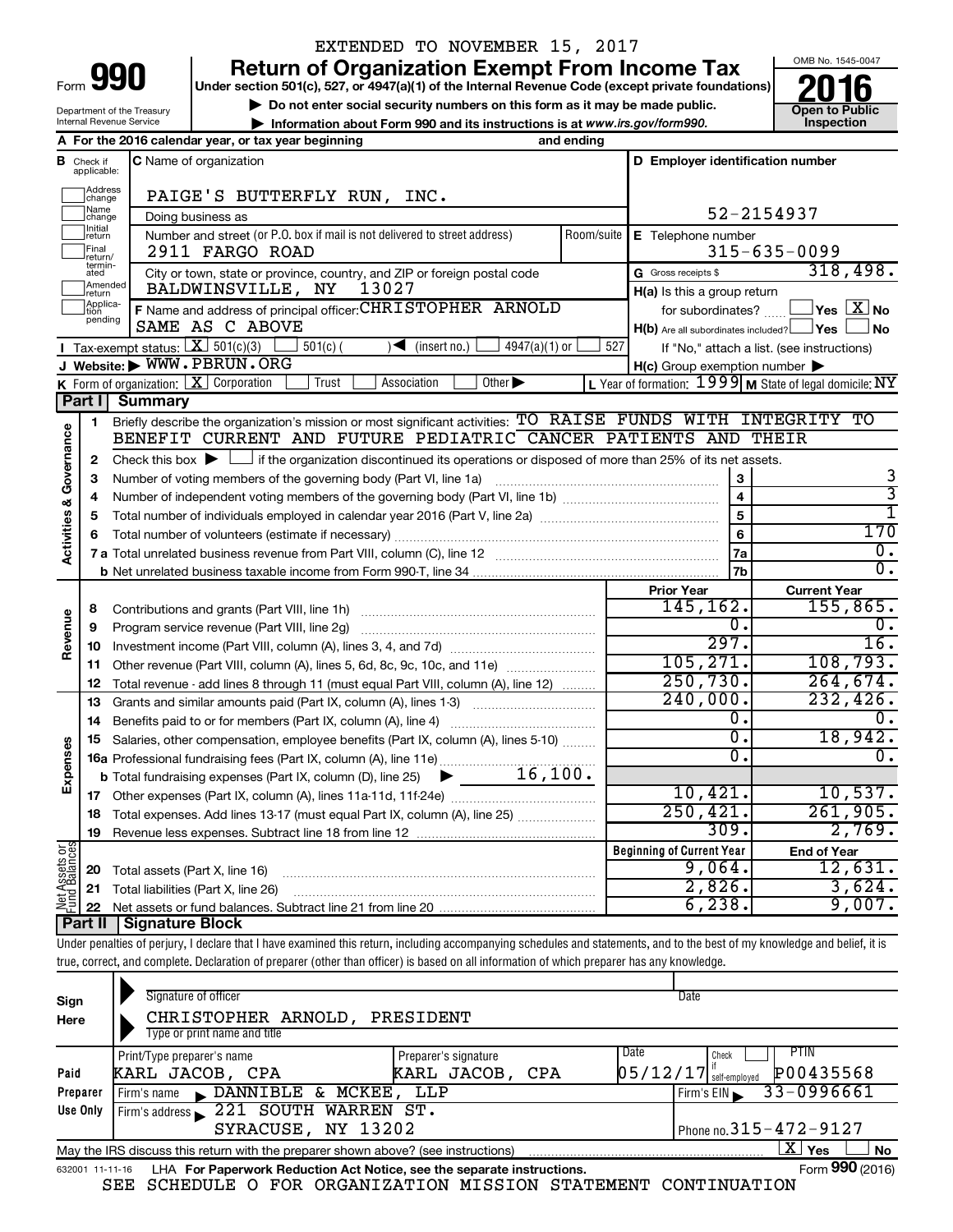| Form |  |
|------|--|

Department of the Treasury Internal Revenue Service

### EXTENDED TO NOVEMBER 15, 2017

**Return of Organization Exempt From Income Tax**<br>Under section 501(c), 527, or 4947(a)(1) of the Internal Revenue Code (except private foundations)<br> **2016** 

**Under section 501(c), 527, or 4947(a)(1) of the Internal Revenue Code (except private foundations)**

▶ Do not enter social security numbers on this form as it may be made public.<br>▶ Information about Form 990 and its instructions is at www.irs.gov/form990. Inspection

**• Information about Form 990 and its instructions is at www.irs.gov/form990.** Inspection



|                         |                               | A For the 2016 calendar year, or tax year beginning                                                                                                                         | and ending |                                                     |                                                           |
|-------------------------|-------------------------------|-----------------------------------------------------------------------------------------------------------------------------------------------------------------------------|------------|-----------------------------------------------------|-----------------------------------------------------------|
|                         | <b>B</b> Check if applicable: | <b>C</b> Name of organization                                                                                                                                               |            | D Employer identification number                    |                                                           |
|                         | Address<br>change             | PAIGE'S BUTTERFLY RUN, INC.                                                                                                                                                 |            |                                                     |                                                           |
|                         | Name<br>change                | Doing business as                                                                                                                                                           |            |                                                     | 52-2154937                                                |
|                         | Initial<br>return             | Number and street (or P.O. box if mail is not delivered to street address)                                                                                                  | Room/suite | E Telephone number                                  |                                                           |
|                         | Final<br>return/              | 2911 FARGO ROAD                                                                                                                                                             |            |                                                     | $315 - 635 - 0099$                                        |
|                         | termin-<br>ated               | City or town, state or province, country, and ZIP or foreign postal code                                                                                                    |            | G Gross receipts \$                                 | 318,498.                                                  |
|                         | Amended<br>return             | BALDWINSVILLE, NY<br>13027                                                                                                                                                  |            | H(a) Is this a group return                         |                                                           |
|                         | Applica-<br>Ition<br>pending  | F Name and address of principal officer: CHRISTOPHER ARNOLD                                                                                                                 |            | for subordinates?                                   | $\,$ Yes $\,$ $\overline{\rm X}$ No $\,$                  |
|                         |                               | SAME AS C ABOVE                                                                                                                                                             |            | $H(b)$ Are all subordinates included? $\Box$ Yes    | No                                                        |
|                         |                               | <b>I</b> Tax-exempt status: $X$ 501(c)(3)<br>$4947(a)(1)$ or<br>$501(c)$ (<br>$\sqrt{\frac{1}{1}}$ (insert no.)                                                             | 527        |                                                     | If "No," attach a list. (see instructions)                |
|                         |                               | J Website: WWW.PBRUN.ORG                                                                                                                                                    |            | $H(c)$ Group exemption number $\blacktriangleright$ |                                                           |
|                         |                               | <b>K</b> Form of organization: $\boxed{\mathbf{X}}$ Corporation<br>Trust<br>Association<br>Other $\blacktriangleright$                                                      |            |                                                     | L Year of formation: $1999$ M State of legal domicile: NY |
|                         | Part I                        | <b>Summary</b>                                                                                                                                                              |            |                                                     |                                                           |
|                         | 1                             | Briefly describe the organization's mission or most significant activities: TO RAISE FUNDS WITH INTEGRITY<br>BENEFIT CURRENT AND FUTURE PEDIATRIC CANCER PATIENTS AND THEIR |            |                                                     | TО                                                        |
| Governance              |                               | Check this box $\blacktriangleright$ $\Box$ if the organization discontinued its operations or disposed of more than 25% of its net assets.                                 |            |                                                     |                                                           |
|                         | $\mathbf{2}$<br>3             |                                                                                                                                                                             |            | 3                                                   | 3                                                         |
|                         | 4                             | Number of voting members of the governing body (Part VI, line 1a)                                                                                                           |            | $\overline{\mathbf{4}}$                             | $\overline{3}$                                            |
|                         | 5                             |                                                                                                                                                                             |            | 5                                                   | $\overline{1}$                                            |
|                         | 6                             |                                                                                                                                                                             |            | 6                                                   | 170                                                       |
| <b>Activities &amp;</b> |                               |                                                                                                                                                                             |            | 7a                                                  | 0.                                                        |
|                         |                               |                                                                                                                                                                             |            | 7 <sub>b</sub>                                      | σ.                                                        |
|                         |                               |                                                                                                                                                                             |            | <b>Prior Year</b>                                   | <b>Current Year</b>                                       |
|                         | 8                             | Contributions and grants (Part VIII, line 1h)                                                                                                                               |            | 145, 162.                                           | 155,865.                                                  |
|                         | 9                             | Program service revenue (Part VIII, line 2g)                                                                                                                                |            | 0.                                                  | $\overline{0}$ .                                          |
| Revenue                 | 10                            |                                                                                                                                                                             |            | 297.                                                | 16.                                                       |
|                         | 11                            | Other revenue (Part VIII, column (A), lines 5, 6d, 8c, 9c, 10c, and 11e)                                                                                                    |            | 105, 271.                                           | 108,793.                                                  |
|                         | 12                            | Total revenue - add lines 8 through 11 (must equal Part VIII, column (A), line 12)                                                                                          |            | 250,730.                                            | 264,674.                                                  |
|                         | 13                            | Grants and similar amounts paid (Part IX, column (A), lines 1-3)                                                                                                            |            | 240,000.                                            | 232,426.                                                  |
|                         | 14                            | Benefits paid to or for members (Part IX, column (A), line 4)                                                                                                               |            | σ.                                                  | 0.                                                        |
|                         | 15                            | Salaries, other compensation, employee benefits (Part IX, column (A), lines 5-10)                                                                                           |            | σ.                                                  | 18,942.                                                   |
| Expenses                |                               |                                                                                                                                                                             |            | $\overline{0}$ .                                    | 0.                                                        |
|                         |                               |                                                                                                                                                                             |            |                                                     |                                                           |
|                         | 17                            |                                                                                                                                                                             |            | 10,421.                                             | 10,537.                                                   |
|                         | 18                            | Total expenses. Add lines 13-17 (must equal Part IX, column (A), line 25) [                                                                                                 |            | 250, 421.                                           | 261,905.                                                  |
|                         | 19                            |                                                                                                                                                                             |            | 309.                                                | 2,769.                                                    |
| Net Assets or           |                               |                                                                                                                                                                             |            | <b>Beginning of Current Year</b>                    | <b>End of Year</b>                                        |
|                         | 20                            | Total assets (Part X, line 16)                                                                                                                                              |            | 9,064.                                              | 12,631.                                                   |
|                         | 21                            | Total liabilities (Part X, line 26)                                                                                                                                         |            | 2,826.                                              | 3,624.                                                    |
|                         | 22                            |                                                                                                                                                                             |            | 6, 238.                                             | 9,007.                                                    |
|                         | <b>Part II</b>                | <b>Signature Block</b>                                                                                                                                                      |            |                                                     |                                                           |

Under penalties of perjury, I declare that I have examined this return, including accompanying schedules and statements, and to the best of my knowledge and belief, it is true, correct, and complete. Declaration of preparer (other than officer) is based on all information of which preparer has any knowledge.

| Sign<br>Here    | Signature of officer<br>CHRISTOPHER ARNOLD,<br>PRESIDENT<br>Type or print name and title                   | Date                                                                                          |  |  |  |
|-----------------|------------------------------------------------------------------------------------------------------------|-----------------------------------------------------------------------------------------------|--|--|--|
| Paid            | Print/Type preparer's name<br>Preparer's signature<br>KARL JACOB, CPA<br>KARL JACOB, CPA                   | <b>PTIN</b><br>Date<br>Check<br>$[05/12/17]$ <sub>sel</sub><br>P00435568<br><br>self-employed |  |  |  |
| Preparer        | LLP                                                                                                        | $33 - 0996661$<br>Firm's EIN                                                                  |  |  |  |
| Use Only        | Firm's address 221 SOUTH WARREN ST.                                                                        |                                                                                               |  |  |  |
|                 | SYRACUSE, NY 13202                                                                                         | Phone no. $315 - 472 - 9127$                                                                  |  |  |  |
|                 | х<br><b>No</b><br>Yes<br>May the IRS discuss this return with the preparer shown above? (see instructions) |                                                                                               |  |  |  |
| 632001 11-11-16 | LHA For Paperwork Reduction Act Notice, see the separate instructions.                                     | Form 990 (2016)                                                                               |  |  |  |

SEE SCHEDULE O FOR ORGANIZATION MISSION STATEMENT CONTINUATION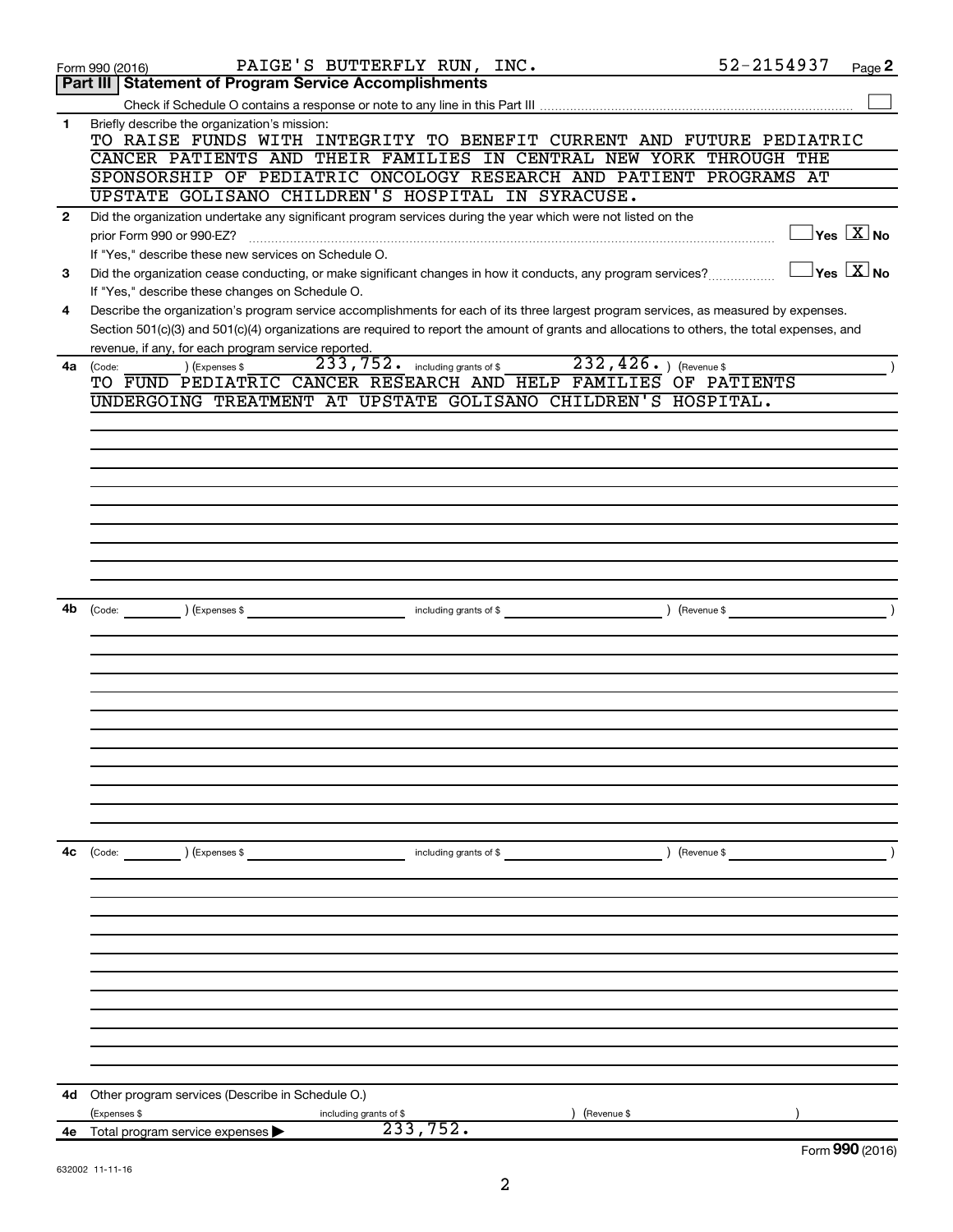|                | PAIGE'S BUTTERFLY RUN, INC.<br>Form 990 (2016)                                                                                               | 52-2154937    | Page 2                               |
|----------------|----------------------------------------------------------------------------------------------------------------------------------------------|---------------|--------------------------------------|
|                | <b>Part III   Statement of Program Service Accomplishments</b>                                                                               |               |                                      |
|                |                                                                                                                                              |               |                                      |
| $\blacksquare$ | Briefly describe the organization's mission:<br>TO RAISE FUNDS WITH INTEGRITY TO BENEFIT CURRENT AND FUTURE PEDIATRIC                        |               |                                      |
|                | CANCER PATIENTS AND THEIR FAMILIES IN CENTRAL NEW YORK THROUGH THE                                                                           |               |                                      |
|                | SPONSORSHIP OF PEDIATRIC ONCOLOGY RESEARCH AND PATIENT PROGRAMS AT                                                                           |               |                                      |
|                | UPSTATE GOLISANO CHILDREN'S HOSPITAL IN SYRACUSE.                                                                                            |               |                                      |
| $\mathbf{2}$   | Did the organization undertake any significant program services during the year which were not listed on the                                 |               |                                      |
|                | prior Form 990 or 990-EZ?                                                                                                                    |               | $\exists$ Yes $\boxed{\text{X}}$ No  |
|                | If "Yes," describe these new services on Schedule O.                                                                                         |               |                                      |
| 3              | Did the organization cease conducting, or make significant changes in how it conducts, any program services?                                 |               | $\exists$ Yes $\sqrt{\mathrm{X}}$ No |
|                | If "Yes," describe these changes on Schedule O.                                                                                              |               |                                      |
| 4              | Describe the organization's program service accomplishments for each of its three largest program services, as measured by expenses.         |               |                                      |
|                | Section 501(c)(3) and 501(c)(4) organizations are required to report the amount of grants and allocations to others, the total expenses, and |               |                                      |
|                | revenue, if any, for each program service reported.                                                                                          |               |                                      |
| 4a             | $232, 426.$ ) (Revenue \$<br>233, 752 . including grants of \$<br>) (Expenses \$<br>(Code:                                                   |               |                                      |
|                | TO FUND PEDIATRIC CANCER RESEARCH AND HELP FAMILIES OF PATIENTS<br>UNDERGOING TREATMENT AT UPSTATE GOLISANO CHILDREN'S HOSPITAL.             |               |                                      |
|                |                                                                                                                                              |               |                                      |
|                |                                                                                                                                              |               |                                      |
|                |                                                                                                                                              |               |                                      |
|                |                                                                                                                                              |               |                                      |
|                |                                                                                                                                              |               |                                      |
|                |                                                                                                                                              |               |                                      |
|                |                                                                                                                                              |               |                                      |
|                |                                                                                                                                              |               |                                      |
|                |                                                                                                                                              |               |                                      |
|                |                                                                                                                                              |               |                                      |
| 4b             | including grants of \$ (Revenue \$)<br>(Code: ) (Expenses \$                                                                                 |               |                                      |
|                |                                                                                                                                              |               |                                      |
|                |                                                                                                                                              |               |                                      |
|                |                                                                                                                                              |               |                                      |
|                |                                                                                                                                              |               |                                      |
|                |                                                                                                                                              |               |                                      |
|                |                                                                                                                                              |               |                                      |
|                |                                                                                                                                              |               |                                      |
|                |                                                                                                                                              |               |                                      |
|                |                                                                                                                                              |               |                                      |
|                |                                                                                                                                              |               |                                      |
|                |                                                                                                                                              |               |                                      |
|                |                                                                                                                                              |               |                                      |
| 4c             | (Code: ) (Expenses \$<br>including grants of $$$                                                                                             | ) (Revenue \$ |                                      |
|                |                                                                                                                                              |               |                                      |
|                |                                                                                                                                              |               |                                      |
|                |                                                                                                                                              |               |                                      |
|                |                                                                                                                                              |               |                                      |
|                |                                                                                                                                              |               |                                      |
|                |                                                                                                                                              |               |                                      |
|                |                                                                                                                                              |               |                                      |
|                |                                                                                                                                              |               |                                      |
|                |                                                                                                                                              |               |                                      |
|                |                                                                                                                                              |               |                                      |
|                |                                                                                                                                              |               |                                      |
|                |                                                                                                                                              |               |                                      |
| 4d             | Other program services (Describe in Schedule O.)                                                                                             |               |                                      |
|                | (Expenses \$<br>including grants of \$<br>(Revenue \$                                                                                        |               |                                      |
| 4е             | 233,752.<br>Total program service expenses                                                                                                   |               |                                      |
|                |                                                                                                                                              |               | Form 990 (2016)                      |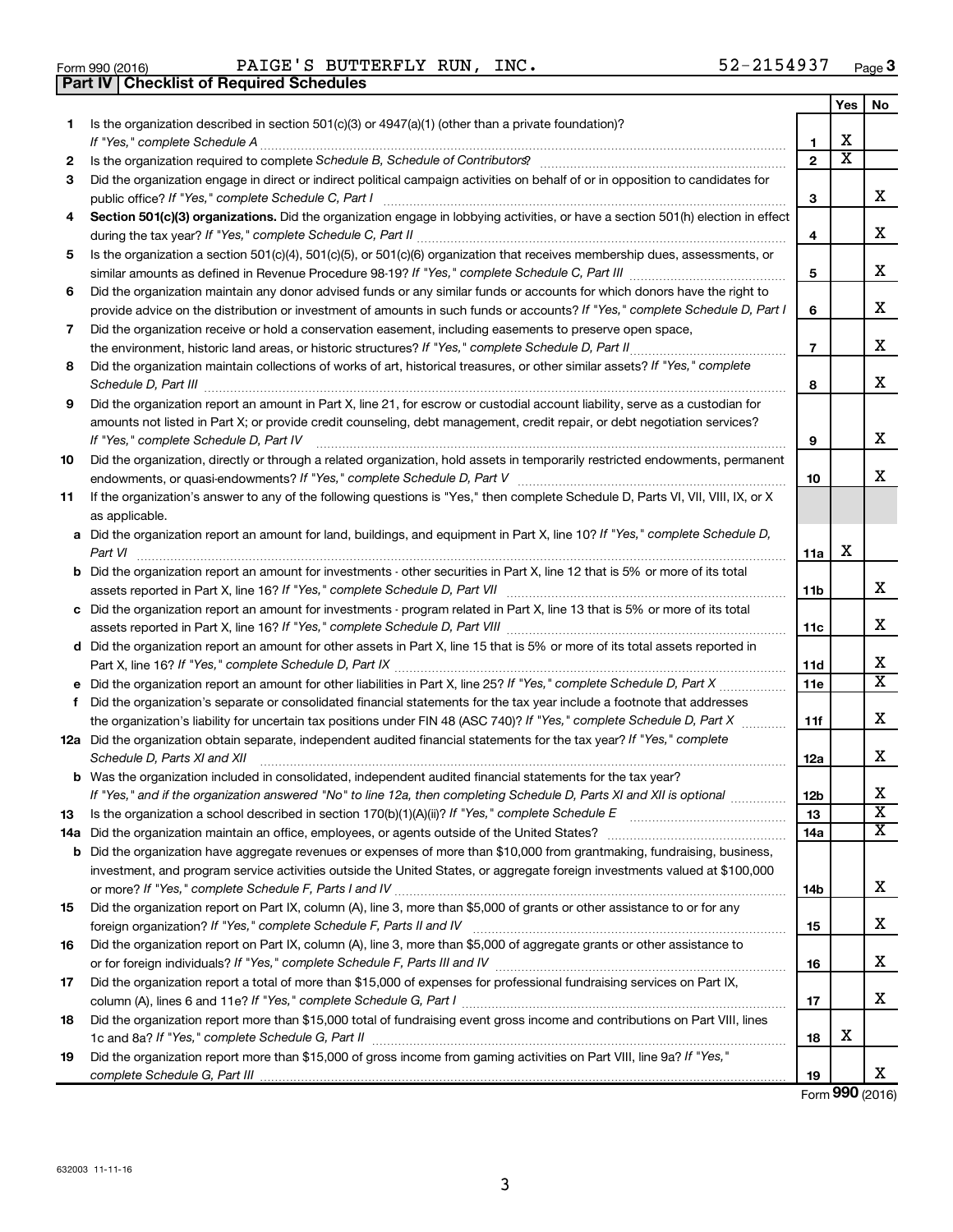| Form 990 (2016) |  |  |
|-----------------|--|--|

**Part IV Checklist of Required Schedules**

Form 990 (2016) Page PAIGE'S BUTTERFLY RUN, INC. 52-2154937

|    |                                                                                                                                                                                                                                            |                | <b>Yes</b>              | No                      |
|----|--------------------------------------------------------------------------------------------------------------------------------------------------------------------------------------------------------------------------------------------|----------------|-------------------------|-------------------------|
| 1  | Is the organization described in section 501(c)(3) or $4947(a)(1)$ (other than a private foundation)?                                                                                                                                      |                |                         |                         |
|    | If "Yes," complete Schedule A                                                                                                                                                                                                              | 1              | X                       |                         |
| 2  |                                                                                                                                                                                                                                            | $\overline{2}$ | $\overline{\textbf{x}}$ |                         |
| 3  | Did the organization engage in direct or indirect political campaign activities on behalf of or in opposition to candidates for<br>public office? If "Yes," complete Schedule C, Part I                                                    | 3              |                         | х                       |
| 4  | Section 501(c)(3) organizations. Did the organization engage in lobbying activities, or have a section 501(h) election in effect                                                                                                           |                |                         |                         |
|    |                                                                                                                                                                                                                                            | 4              |                         | х                       |
| 5  | Is the organization a section 501(c)(4), 501(c)(5), or 501(c)(6) organization that receives membership dues, assessments, or                                                                                                               |                |                         |                         |
|    |                                                                                                                                                                                                                                            | 5              |                         | х                       |
| 6  | Did the organization maintain any donor advised funds or any similar funds or accounts for which donors have the right to                                                                                                                  |                |                         |                         |
|    | provide advice on the distribution or investment of amounts in such funds or accounts? If "Yes," complete Schedule D, Part I                                                                                                               | 6              |                         | х                       |
| 7  | Did the organization receive or hold a conservation easement, including easements to preserve open space,                                                                                                                                  |                |                         |                         |
|    | the environment, historic land areas, or historic structures? If "Yes," complete Schedule D, Part II                                                                                                                                       | $\overline{7}$ |                         | х                       |
| 8  | Did the organization maintain collections of works of art, historical treasures, or other similar assets? If "Yes," complete                                                                                                               | 8              |                         | x                       |
| 9  | Did the organization report an amount in Part X, line 21, for escrow or custodial account liability, serve as a custodian for                                                                                                              |                |                         |                         |
|    | amounts not listed in Part X; or provide credit counseling, debt management, credit repair, or debt negotiation services?                                                                                                                  |                |                         |                         |
|    | If "Yes," complete Schedule D, Part IV                                                                                                                                                                                                     | 9              |                         | х                       |
| 10 | Did the organization, directly or through a related organization, hold assets in temporarily restricted endowments, permanent                                                                                                              |                |                         |                         |
|    |                                                                                                                                                                                                                                            | 10             |                         | x                       |
| 11 | If the organization's answer to any of the following questions is "Yes," then complete Schedule D, Parts VI, VII, VIII, IX, or X                                                                                                           |                |                         |                         |
|    | as applicable.                                                                                                                                                                                                                             |                |                         |                         |
|    | a Did the organization report an amount for land, buildings, and equipment in Part X, line 10? If "Yes," complete Schedule D,<br>Part VI                                                                                                   | 11a            | X                       |                         |
|    | <b>b</b> Did the organization report an amount for investments - other securities in Part X, line 12 that is 5% or more of its total                                                                                                       |                |                         |                         |
|    | assets reported in Part X, line 16? If "Yes," complete Schedule D, Part VII [11] [12] [2] [2] [2] [3] [3] [3] [                                                                                                                            | 11b            |                         | x                       |
|    | c Did the organization report an amount for investments - program related in Part X, line 13 that is 5% or more of its total                                                                                                               |                |                         |                         |
|    |                                                                                                                                                                                                                                            | 11c            |                         | х                       |
|    | d Did the organization report an amount for other assets in Part X, line 15 that is 5% or more of its total assets reported in                                                                                                             |                |                         |                         |
|    |                                                                                                                                                                                                                                            | 11d            |                         | х                       |
|    | e Did the organization report an amount for other liabilities in Part X, line 25? If "Yes," complete Schedule D, Part X                                                                                                                    | 11e            |                         | $\overline{\text{X}}$   |
| f  | Did the organization's separate or consolidated financial statements for the tax year include a footnote that addresses                                                                                                                    |                |                         |                         |
|    | the organization's liability for uncertain tax positions under FIN 48 (ASC 740)? If "Yes," complete Schedule D, Part X                                                                                                                     | 11f            |                         | х                       |
|    | 12a Did the organization obtain separate, independent audited financial statements for the tax year? If "Yes," complete<br>Schedule D, Parts XI and XII                                                                                    | 12a            |                         | x                       |
|    | <b>b</b> Was the organization included in consolidated, independent audited financial statements for the tax year?                                                                                                                         |                |                         |                         |
|    | If "Yes," and if the organization answered "No" to line 12a, then completing Schedule D, Parts XI and XII is optional                                                                                                                      | סצר            |                         | х                       |
| 13 | Is the organization a school described in section $170(b)(1)(A)(ii)?$ If "Yes," complete Schedule E                                                                                                                                        | 13             |                         | $\overline{\mathbf{X}}$ |
|    | 14a Did the organization maintain an office, employees, or agents outside of the United States?                                                                                                                                            | 14a            |                         | X                       |
|    | <b>b</b> Did the organization have aggregate revenues or expenses of more than \$10,000 from grantmaking, fundraising, business,                                                                                                           |                |                         |                         |
|    | investment, and program service activities outside the United States, or aggregate foreign investments valued at \$100,000                                                                                                                 |                |                         |                         |
|    |                                                                                                                                                                                                                                            | 14b            |                         | х                       |
| 15 | Did the organization report on Part IX, column (A), line 3, more than \$5,000 of grants or other assistance to or for any                                                                                                                  |                |                         |                         |
|    |                                                                                                                                                                                                                                            | 15             |                         | х                       |
| 16 | Did the organization report on Part IX, column (A), line 3, more than \$5,000 of aggregate grants or other assistance to<br>or for foreign individuals? If "Yes," complete Schedule F, Parts III and IV [11] man was accommodated in the i | 16             |                         | х                       |
| 17 | Did the organization report a total of more than \$15,000 of expenses for professional fundraising services on Part IX,                                                                                                                    |                |                         |                         |
|    |                                                                                                                                                                                                                                            | 17             |                         | х                       |
| 18 | Did the organization report more than \$15,000 total of fundraising event gross income and contributions on Part VIII, lines                                                                                                               |                |                         |                         |
|    |                                                                                                                                                                                                                                            | 18             | х                       |                         |
| 19 | Did the organization report more than \$15,000 of gross income from gaming activities on Part VIII, line 9a? If "Yes,"                                                                                                                     |                |                         |                         |
|    |                                                                                                                                                                                                                                            | 19             |                         | x                       |

Form (2016) **990**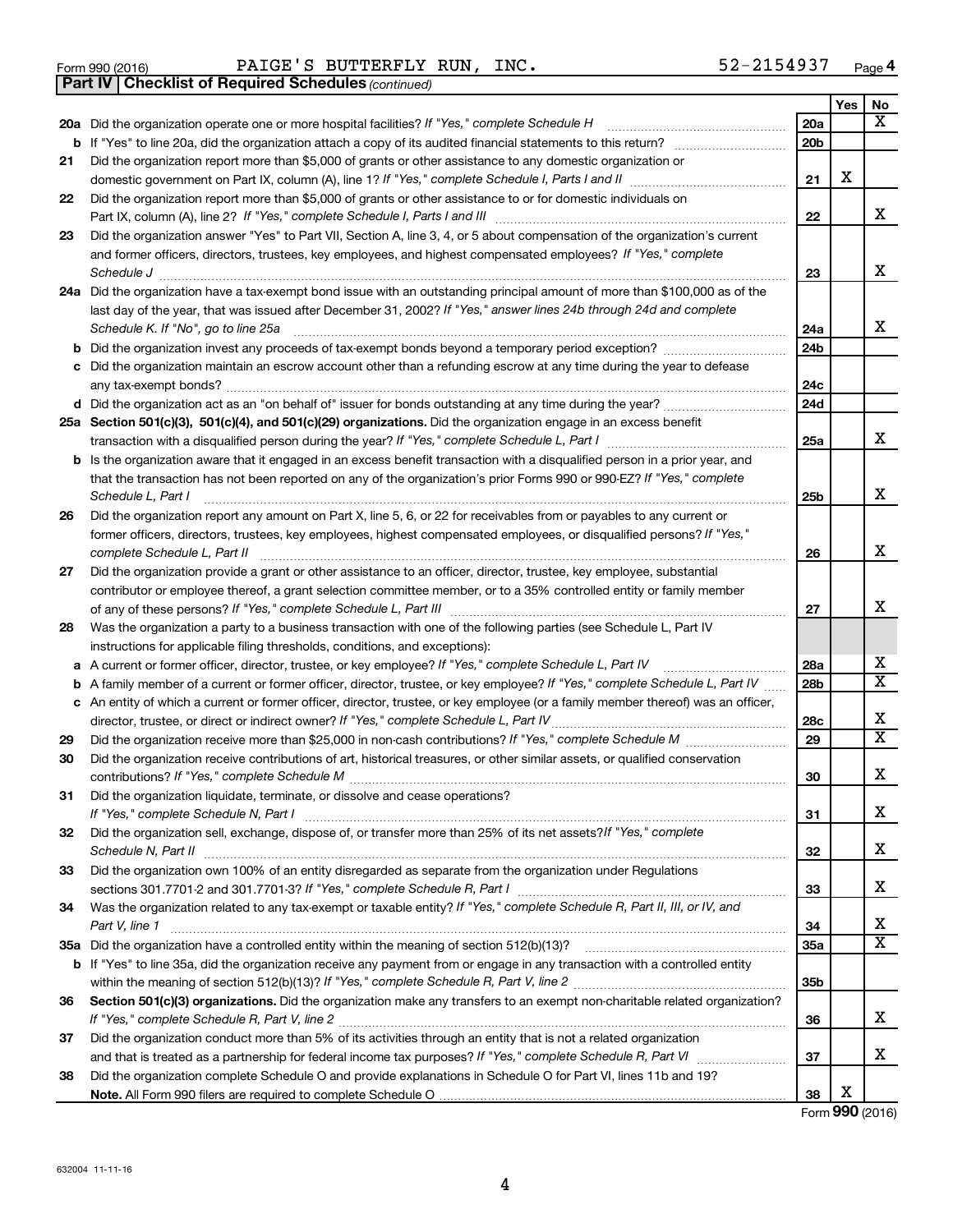632004 11-11-16

|     | 52-2154937<br>PAIGE'S BUTTERFLY RUN, INC.<br>Form 990 (2016)                                                                                                                                                            |                 |     | Page 4                  |
|-----|-------------------------------------------------------------------------------------------------------------------------------------------------------------------------------------------------------------------------|-----------------|-----|-------------------------|
|     | <b>Part IV</b><br><b>Checklist of Required Schedules (continued)</b>                                                                                                                                                    |                 |     |                         |
|     |                                                                                                                                                                                                                         |                 | Yes | No                      |
|     | 20a Did the organization operate one or more hospital facilities? If "Yes," complete Schedule H                                                                                                                         | 20a             |     | X                       |
| b   |                                                                                                                                                                                                                         | 20 <sub>b</sub> |     |                         |
| 21  | Did the organization report more than \$5,000 of grants or other assistance to any domestic organization or                                                                                                             |                 |     |                         |
|     |                                                                                                                                                                                                                         | 21              | X   |                         |
| 22  | Did the organization report more than \$5,000 of grants or other assistance to or for domestic individuals on                                                                                                           |                 |     |                         |
|     |                                                                                                                                                                                                                         | 22              |     | x                       |
| 23  | Did the organization answer "Yes" to Part VII, Section A, line 3, 4, or 5 about compensation of the organization's current                                                                                              |                 |     |                         |
|     | and former officers, directors, trustees, key employees, and highest compensated employees? If "Yes," complete<br>Schedule J                                                                                            | 23              |     | X                       |
|     | 24a Did the organization have a tax-exempt bond issue with an outstanding principal amount of more than \$100,000 as of the                                                                                             |                 |     |                         |
|     | last day of the year, that was issued after December 31, 2002? If "Yes," answer lines 24b through 24d and complete                                                                                                      |                 |     |                         |
|     | Schedule K. If "No", go to line 25a                                                                                                                                                                                     | 24a             |     | x                       |
| b   | Did the organization invest any proceeds of tax-exempt bonds beyond a temporary period exception?                                                                                                                       | 24b             |     |                         |
|     | Did the organization maintain an escrow account other than a refunding escrow at any time during the year to defease                                                                                                    |                 |     |                         |
|     |                                                                                                                                                                                                                         | 24c             |     |                         |
|     |                                                                                                                                                                                                                         | 24d             |     |                         |
|     | 25a Section 501(c)(3), 501(c)(4), and 501(c)(29) organizations. Did the organization engage in an excess benefit                                                                                                        |                 |     |                         |
|     |                                                                                                                                                                                                                         | 25a             |     | x                       |
| b   | Is the organization aware that it engaged in an excess benefit transaction with a disqualified person in a prior year, and                                                                                              |                 |     |                         |
|     | that the transaction has not been reported on any of the organization's prior Forms 990 or 990-EZ? If "Yes," complete                                                                                                   |                 |     |                         |
|     | Schedule L, Part I                                                                                                                                                                                                      | 25b             |     | X                       |
| 26  | Did the organization report any amount on Part X, line 5, 6, or 22 for receivables from or payables to any current or                                                                                                   |                 |     |                         |
|     | former officers, directors, trustees, key employees, highest compensated employees, or disqualified persons? If "Yes,"                                                                                                  |                 |     |                         |
|     | complete Schedule L, Part II                                                                                                                                                                                            | 26              |     | x                       |
| 27  | Did the organization provide a grant or other assistance to an officer, director, trustee, key employee, substantial                                                                                                    |                 |     |                         |
|     | contributor or employee thereof, a grant selection committee member, or to a 35% controlled entity or family member                                                                                                     |                 |     |                         |
|     |                                                                                                                                                                                                                         | 27              |     | x                       |
| 28  | Was the organization a party to a business transaction with one of the following parties (see Schedule L, Part IV                                                                                                       |                 |     |                         |
|     | instructions for applicable filing thresholds, conditions, and exceptions):                                                                                                                                             |                 |     |                         |
|     | a A current or former officer, director, trustee, or key employee? If "Yes," complete Schedule L, Part IV                                                                                                               | 28a             |     | х                       |
|     | b A family member of a current or former officer, director, trustee, or key employee? If "Yes," complete Schedule L, Part IV                                                                                            | 28b             |     | $\overline{\mathtt{x}}$ |
|     | c An entity of which a current or former officer, director, trustee, or key employee (or a family member thereof) was an officer,                                                                                       |                 |     |                         |
|     |                                                                                                                                                                                                                         | 28c             |     | х                       |
| 29  |                                                                                                                                                                                                                         | 29              |     | $\overline{\text{X}}$   |
| 30  | Did the organization receive contributions of art, historical treasures, or other similar assets, or qualified conservation                                                                                             |                 |     |                         |
|     |                                                                                                                                                                                                                         | 30              |     | х                       |
| 31  | Did the organization liquidate, terminate, or dissolve and cease operations?                                                                                                                                            |                 |     | х                       |
|     |                                                                                                                                                                                                                         | 31              |     |                         |
| 32  | Did the organization sell, exchange, dispose of, or transfer more than 25% of its net assets? If "Yes," complete<br>Schedule N, Part II <b>Marken Commission Commission Commission</b> Commission Commission Commission | 32              |     | х                       |
| 33  | Did the organization own 100% of an entity disregarded as separate from the organization under Regulations                                                                                                              |                 |     |                         |
|     |                                                                                                                                                                                                                         | 33              |     | х                       |
| 34  | Was the organization related to any tax-exempt or taxable entity? If "Yes," complete Schedule R, Part II, III, or IV, and                                                                                               |                 |     |                         |
|     | Part V, line 1                                                                                                                                                                                                          | 34              |     | X                       |
| 35а | Did the organization have a controlled entity within the meaning of section 512(b)(13)?                                                                                                                                 | <b>35a</b>      |     | $\overline{\text{X}}$   |
| b   | If "Yes" to line 35a, did the organization receive any payment from or engage in any transaction with a controlled entity                                                                                               |                 |     |                         |
|     |                                                                                                                                                                                                                         | 35 <sub>b</sub> |     |                         |
| 36  | Section 501(c)(3) organizations. Did the organization make any transfers to an exempt non-charitable related organization?                                                                                              |                 |     |                         |
|     | 27 Did the examization conduct mere than 5% of its activities through an entity that is not a related examization                                                                                                       | 36              |     | x                       |
|     |                                                                                                                                                                                                                         |                 |     |                         |

| of any of these persons? If "Yes," complete Schedule L, Part III                                               |  |
|----------------------------------------------------------------------------------------------------------------|--|
| Was the organization a party to a business transaction with one of the following parties (see Schedule L. Part |  |

| instructions for applicable filing thresholds, conditions, and exceptions):                                                         |
|-------------------------------------------------------------------------------------------------------------------------------------|
| a A current or former officer, director, trustee, or key employee? If "Yes," complete Schedule L, Part IV                           |
| <b>b</b> A family member of a current or former officer, director, trustee, or key employee? If "Yes," complete Schedule L, Part IV |
|                                                                                                                                     |

| c An entity of which a current or former officer, director, trustee, or key employee (or a family member thereof) was an officer, |
|-----------------------------------------------------------------------------------------------------------------------------------|
| director, trustee, or direct or indirect owner? If "Yes," complete Schedule L, Part IV                                            |
| 29 Did the organization receive more than \$25,000 in non-cash contributions? If "Yes," complete Schedule M                       |

| 30 | Did the organization receive contributions of art, historical treasures, or other similar assets, or qualified conservation<br>contributions? If "Yes," complete Schedule M             |
|----|-----------------------------------------------------------------------------------------------------------------------------------------------------------------------------------------|
| 31 | Did the organization liquidate, terminate, or dissolve and cease operations?<br>If "Yes," complete Schedule N, Part I                                                                   |
| 32 | Did the organization sell, exchange, dispose of, or transfer more than 25% of its net assets? If "Yes," complete<br>Schedule N, Part II                                                 |
| 33 | Did the organization own 100% of an entity disregarded as separate from the organization under Regulations<br>sections 301.7701-2 and 301.7701-3? If "Yes," complete Schedule R, Part I |
| 34 | Was the organization related to any tax-exempt or taxable entity? If "Yes," complete Schedule R, Part II, III, or IV, and<br>Part V, line 1                                             |

| 36 | Section 501(c)(3) organizations. Did the organization make any transfers to an exempt non-charitable related organization?         |
|----|------------------------------------------------------------------------------------------------------------------------------------|
|    | within the meaning of section 512(b)(13)? If "Yes," complete Schedule R, Part V, line 2                                            |
|    | <b>b</b> If "Yes" to line 35a, did the organization receive any payment from or engage in any transaction with a controlled entity |
|    | 35a Did the organization have a controlled entity within the meaning of section 512(b)(13)?                                        |

| Did the organization conduct more than 5% of its activities through an entity that is not a related organization |
|------------------------------------------------------------------------------------------------------------------|
| and that is treated as a partnership for federal income tax purposes? If "Yes," complete Schedule R, Part VI     |
| 38 Did the organization complete Schedule O and provide explanations in Schedule O for Part VI lines 11h and 192 |

| 38 Did the organization complete Schedule O and provide explanations in Schedule O for Part VI, lines 11b and 19? |
|-------------------------------------------------------------------------------------------------------------------|
| <b>Note.</b> All Form 990 filers are required to complete Schedule O                                              |
|                                                                                                                   |

**37**

**38**

X

Form (2016) **990** X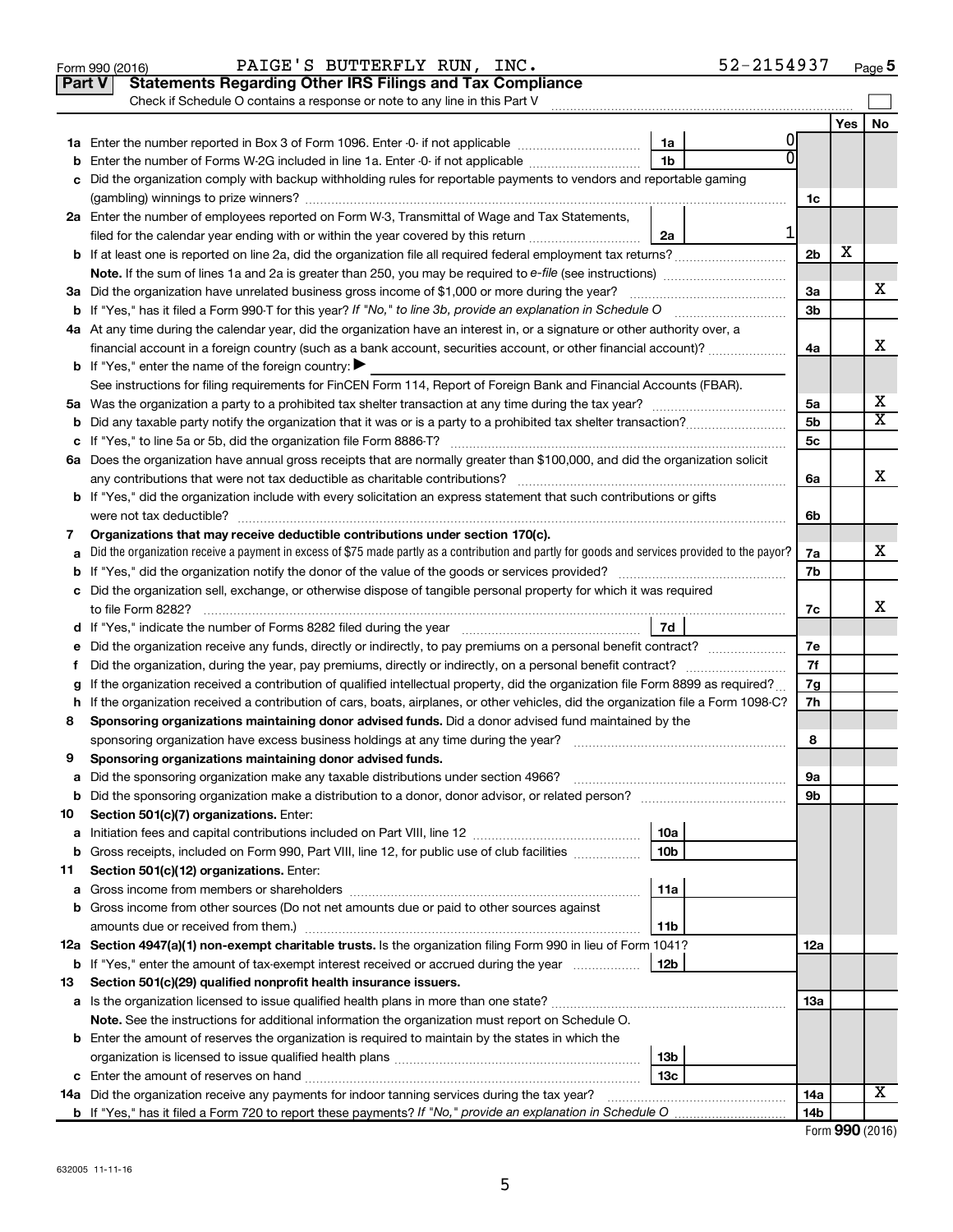|        | 52-2154937<br>PAIGE'S BUTTERFLY RUN, INC.<br>Form 990 (2016)                                                                                    |                |     | Page 5                |
|--------|-------------------------------------------------------------------------------------------------------------------------------------------------|----------------|-----|-----------------------|
|        | <b>Statements Regarding Other IRS Filings and Tax Compliance</b><br><b>Part V</b>                                                               |                |     |                       |
|        | Check if Schedule O contains a response or note to any line in this Part V                                                                      |                |     |                       |
|        |                                                                                                                                                 |                | Yes | No                    |
|        | 1a Enter the number reported in Box 3 of Form 1096. Enter -0- if not applicable<br>1a                                                           |                |     |                       |
|        | Enter the number of Forms W-2G included in line 1a. Enter -0- if not applicable<br>1b                                                           |                |     |                       |
| с      | Did the organization comply with backup withholding rules for reportable payments to vendors and reportable gaming                              |                |     |                       |
|        |                                                                                                                                                 | 1c             |     |                       |
|        | 2a Enter the number of employees reported on Form W-3, Transmittal of Wage and Tax Statements,                                                  |                |     |                       |
|        | 1<br>filed for the calendar year ending with or within the year covered by this return <i>manumumumum</i><br>2a                                 |                |     |                       |
|        | <b>b</b> If at least one is reported on line 2a, did the organization file all required federal employment tax returns?                         | 2 <sub>b</sub> | х   |                       |
|        | Note. If the sum of lines 1a and 2a is greater than 250, you may be required to e-file (see instructions) <i>managererriging</i>                |                |     |                       |
|        | 3a Did the organization have unrelated business gross income of \$1,000 or more during the year?                                                | 3a             |     | X.                    |
|        | If "Yes," has it filed a Form 990-T for this year? If "No," to line 3b, provide an explanation in Schedule O                                    | 3 <sub>b</sub> |     |                       |
|        | 4a At any time during the calendar year, did the organization have an interest in, or a signature or other authority over, a                    |                |     |                       |
|        | financial account in a foreign country (such as a bank account, securities account, or other financial account)?                                | 4a             |     | х                     |
|        | <b>b</b> If "Yes," enter the name of the foreign country: $\blacktriangleright$                                                                 |                |     |                       |
|        | See instructions for filing requirements for FinCEN Form 114, Report of Foreign Bank and Financial Accounts (FBAR).                             |                |     |                       |
|        |                                                                                                                                                 | 5a             |     | x                     |
| b      | Did any taxable party notify the organization that it was or is a party to a prohibited tax shelter transaction?                                | 5b             |     | $\overline{\text{X}}$ |
| с      | If "Yes," to line 5a or 5b, did the organization file Form 8886-T?                                                                              | 5с             |     |                       |
|        | 6a Does the organization have annual gross receipts that are normally greater than \$100,000, and did the organization solicit                  |                |     |                       |
|        | any contributions that were not tax deductible as charitable contributions?                                                                     | 6a             |     | x                     |
|        | b If "Yes," did the organization include with every solicitation an express statement that such contributions or gifts                          |                |     |                       |
|        | were not tax deductible?                                                                                                                        | 6b             |     |                       |
| 7      | Organizations that may receive deductible contributions under section 170(c).                                                                   |                |     |                       |
| a      | Did the organization receive a payment in excess of \$75 made partly as a contribution and partly for goods and services provided to the payor? | 7a             |     | х                     |
|        | <b>b</b> If "Yes," did the organization notify the donor of the value of the goods or services provided?                                        | 7b             |     |                       |
|        | c Did the organization sell, exchange, or otherwise dispose of tangible personal property for which it was required                             |                |     | x                     |
|        | to file Form 8282?                                                                                                                              | 7c             |     |                       |
|        | 7d<br>d If "Yes," indicate the number of Forms 8282 filed during the year                                                                       |                |     |                       |
| е      |                                                                                                                                                 | 7е<br>7f       |     |                       |
| f.     |                                                                                                                                                 |                |     |                       |
|        | If the organization received a contribution of qualified intellectual property, did the organization file Form 8899 as required?                | 7g             |     |                       |
|        | h If the organization received a contribution of cars, boats, airplanes, or other vehicles, did the organization file a Form 1098-C?            | 7h             |     |                       |
| 8      | Sponsoring organizations maintaining donor advised funds. Did a donor advised fund maintained by the                                            | 8              |     |                       |
| 9      | sponsoring organization have excess business holdings at any time during the year?<br>Sponsoring organizations maintaining donor advised funds. |                |     |                       |
|        | Did the sponsoring organization make any taxable distributions under section 4966?                                                              | 9а             |     |                       |
| а<br>b |                                                                                                                                                 | 9b             |     |                       |
| 10     | Section 501(c)(7) organizations. Enter:                                                                                                         |                |     |                       |
| a      | 10a                                                                                                                                             |                |     |                       |
| b      | 10 <sub>b</sub><br>Gross receipts, included on Form 990, Part VIII, line 12, for public use of club facilities manuscul                         |                |     |                       |
| 11     | Section 501(c)(12) organizations. Enter:                                                                                                        |                |     |                       |
| а      | 11a                                                                                                                                             |                |     |                       |
| b      | Gross income from other sources (Do not net amounts due or paid to other sources against                                                        |                |     |                       |
|        | 11b                                                                                                                                             |                |     |                       |
|        | 12a Section 4947(a)(1) non-exempt charitable trusts. Is the organization filing Form 990 in lieu of Form 1041?                                  | 12a            |     |                       |
| b      | 12 <sub>b</sub><br>If "Yes," enter the amount of tax-exempt interest received or accrued during the year                                        |                |     |                       |
| 13     | Section 501(c)(29) qualified nonprofit health insurance issuers.                                                                                |                |     |                       |
| а      | Is the organization licensed to issue qualified health plans in more than one state?                                                            | 13а            |     |                       |
|        | Note. See the instructions for additional information the organization must report on Schedule O.                                               |                |     |                       |
| b      | Enter the amount of reserves the organization is required to maintain by the states in which the                                                |                |     |                       |
|        | 13b                                                                                                                                             |                |     |                       |
| с      | 13с                                                                                                                                             |                |     |                       |
|        | 14a Did the organization receive any payments for indoor tanning services during the tax year?                                                  | 14a            |     | х                     |
|        |                                                                                                                                                 | 14b            |     |                       |

| Form 990 (2016) |  |
|-----------------|--|
|-----------------|--|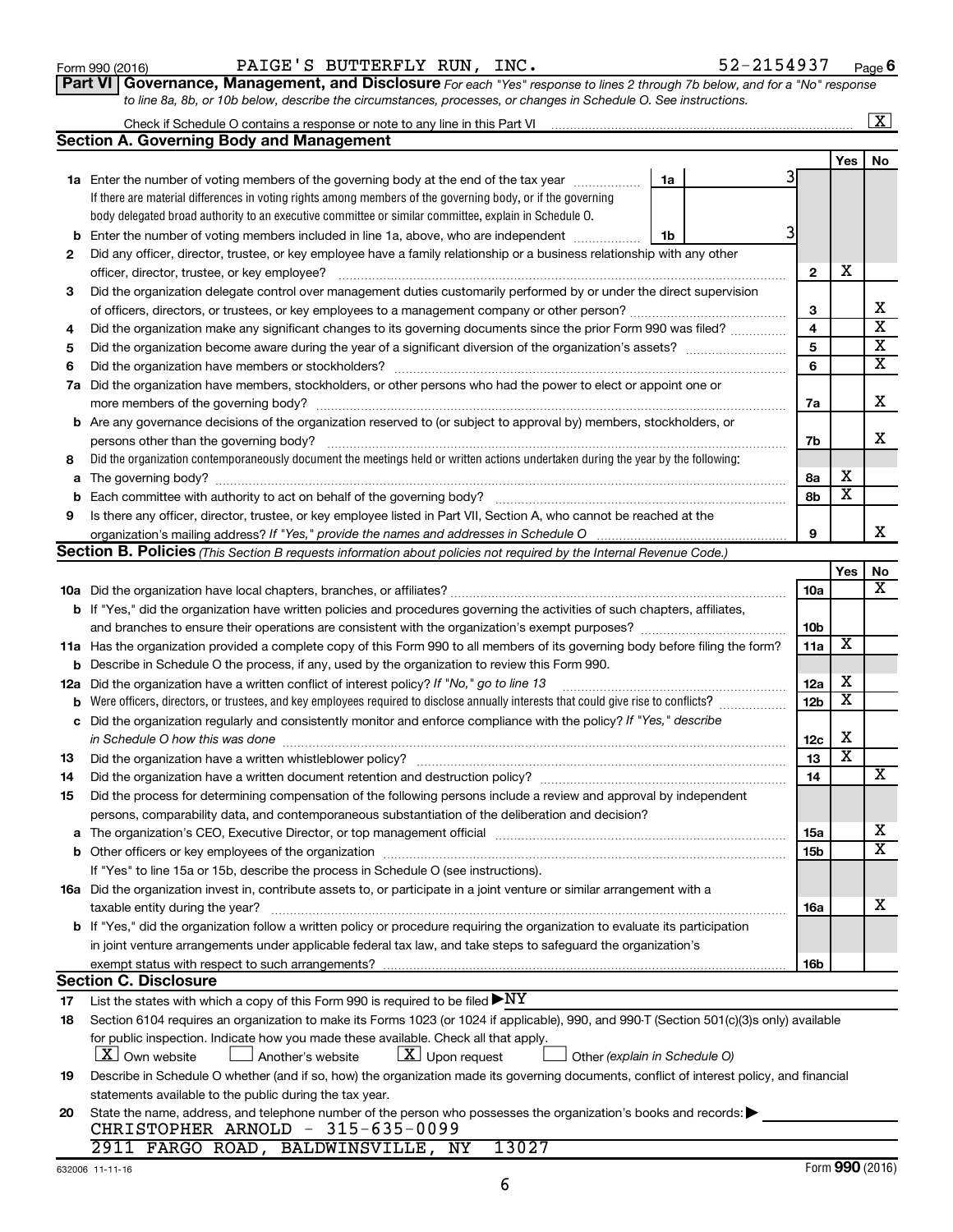| 3  | Did the organization delegate control over management duties customarily performed by or under the direct supervision                                                                                                          |                 |                       |                              |  |  |  |  |  |  |  |
|----|--------------------------------------------------------------------------------------------------------------------------------------------------------------------------------------------------------------------------------|-----------------|-----------------------|------------------------------|--|--|--|--|--|--|--|
|    |                                                                                                                                                                                                                                | 3               |                       | х<br>$\overline{\textbf{x}}$ |  |  |  |  |  |  |  |
| 4  | Did the organization make any significant changes to its governing documents since the prior Form 990 was filed?                                                                                                               |                 |                       |                              |  |  |  |  |  |  |  |
| 5  |                                                                                                                                                                                                                                | ${\bf 5}$       |                       | $\overline{\mathbf{x}}$      |  |  |  |  |  |  |  |
| 6  |                                                                                                                                                                                                                                |                 |                       |                              |  |  |  |  |  |  |  |
|    | 7a Did the organization have members, stockholders, or other persons who had the power to elect or appoint one or                                                                                                              |                 |                       |                              |  |  |  |  |  |  |  |
|    |                                                                                                                                                                                                                                |                 |                       |                              |  |  |  |  |  |  |  |
|    | <b>b</b> Are any governance decisions of the organization reserved to (or subject to approval by) members, stockholders, or                                                                                                    |                 |                       |                              |  |  |  |  |  |  |  |
|    |                                                                                                                                                                                                                                | 7b              |                       | х                            |  |  |  |  |  |  |  |
| 8  | Did the organization contemporaneously document the meetings held or written actions undertaken during the year by the following:                                                                                              |                 |                       |                              |  |  |  |  |  |  |  |
|    |                                                                                                                                                                                                                                |                 |                       |                              |  |  |  |  |  |  |  |
|    |                                                                                                                                                                                                                                | 8b              | х                     |                              |  |  |  |  |  |  |  |
| 9  | Is there any officer, director, trustee, or key employee listed in Part VII, Section A, who cannot be reached at the                                                                                                           |                 |                       |                              |  |  |  |  |  |  |  |
|    |                                                                                                                                                                                                                                | 9               |                       | х                            |  |  |  |  |  |  |  |
|    | <b>Section B. Policies</b> (This Section B requests information about policies not required by the Internal Revenue Code.)                                                                                                     |                 |                       |                              |  |  |  |  |  |  |  |
|    |                                                                                                                                                                                                                                |                 | Yes                   | No                           |  |  |  |  |  |  |  |
|    |                                                                                                                                                                                                                                | 10a             |                       | х                            |  |  |  |  |  |  |  |
|    | <b>b</b> If "Yes," did the organization have written policies and procedures governing the activities of such chapters, affiliates,                                                                                            |                 |                       |                              |  |  |  |  |  |  |  |
|    |                                                                                                                                                                                                                                | 10 <sub>b</sub> |                       |                              |  |  |  |  |  |  |  |
|    | 11a Has the organization provided a complete copy of this Form 990 to all members of its governing body before filing the form?                                                                                                | 11a             | X                     |                              |  |  |  |  |  |  |  |
|    | <b>b</b> Describe in Schedule O the process, if any, used by the organization to review this Form 990.                                                                                                                         |                 |                       |                              |  |  |  |  |  |  |  |
|    | 12a Did the organization have a written conflict of interest policy? If "No," go to line 13                                                                                                                                    | 12a             | х                     |                              |  |  |  |  |  |  |  |
|    | <b>b</b> Were officers, directors, or trustees, and key employees required to disclose annually interests that could give rise to conflicts?<br>12 <sub>b</sub>                                                                |                 |                       |                              |  |  |  |  |  |  |  |
|    | c Did the organization regularly and consistently monitor and enforce compliance with the policy? If "Yes," describe                                                                                                           |                 |                       |                              |  |  |  |  |  |  |  |
|    | in Schedule O how this was done <b>construction and construction</b> construction of the schedule O how this was done                                                                                                          | 12c             | х                     |                              |  |  |  |  |  |  |  |
| 13 |                                                                                                                                                                                                                                | 13              | $\overline{\text{x}}$ |                              |  |  |  |  |  |  |  |
| 14 | Did the organization have a written document retention and destruction policy? [11] manufaction manufaction in                                                                                                                 | 14              |                       | $\overline{\textbf{x}}$      |  |  |  |  |  |  |  |
| 15 | Did the process for determining compensation of the following persons include a review and approval by independent                                                                                                             |                 |                       |                              |  |  |  |  |  |  |  |
|    | persons, comparability data, and contemporaneous substantiation of the deliberation and decision?                                                                                                                              |                 |                       |                              |  |  |  |  |  |  |  |
|    | a The organization's CEO, Executive Director, or top management official manufactured content of the organization's CEO, Executive Director, or top management official manufactured in the state of the state of the state of | 15a             |                       | х                            |  |  |  |  |  |  |  |
|    |                                                                                                                                                                                                                                | 15b             |                       | $\overline{\textbf{x}}$      |  |  |  |  |  |  |  |
|    | If "Yes" to line 15a or 15b, describe the process in Schedule O (see instructions).                                                                                                                                            |                 |                       |                              |  |  |  |  |  |  |  |
|    | 16a Did the organization invest in, contribute assets to, or participate in a joint venture or similar arrangement with a                                                                                                      |                 |                       |                              |  |  |  |  |  |  |  |
|    | taxable entity during the year?                                                                                                                                                                                                | 16a             |                       | х                            |  |  |  |  |  |  |  |
|    | b If "Yes," did the organization follow a written policy or procedure requiring the organization to evaluate its participation                                                                                                 |                 |                       |                              |  |  |  |  |  |  |  |
|    | in joint venture arrangements under applicable federal tax law, and take steps to safeguard the organization's                                                                                                                 |                 |                       |                              |  |  |  |  |  |  |  |
|    | exempt status with respect to such arrangements?                                                                                                                                                                               | 16b             |                       |                              |  |  |  |  |  |  |  |
|    | <b>Section C. Disclosure</b>                                                                                                                                                                                                   |                 |                       |                              |  |  |  |  |  |  |  |
| 17 | List the states with which a copy of this Form 990 is required to be filed $\blacktriangleright\text{NY}$                                                                                                                      |                 |                       |                              |  |  |  |  |  |  |  |
| 18 | Section 6104 requires an organization to make its Forms 1023 (or 1024 if applicable), 990, and 990-T (Section 501(c)(3)s only) available                                                                                       |                 |                       |                              |  |  |  |  |  |  |  |
|    | for public inspection. Indicate how you made these available. Check all that apply.                                                                                                                                            |                 |                       |                              |  |  |  |  |  |  |  |
|    | $X$ Upon request<br>$ \mathbf{X} $ Own website<br>Another's website<br>Other (explain in Schedule O)                                                                                                                           |                 |                       |                              |  |  |  |  |  |  |  |
| 19 | Describe in Schedule O whether (and if so, how) the organization made its governing documents, conflict of interest policy, and financial                                                                                      |                 |                       |                              |  |  |  |  |  |  |  |
|    | statements available to the public during the tax year.                                                                                                                                                                        |                 |                       |                              |  |  |  |  |  |  |  |
| 20 | State the name, address, and telephone number of the person who possesses the organization's books and records:                                                                                                                |                 |                       |                              |  |  |  |  |  |  |  |
|    | CHRISTOPHER ARNOLD - 315-635-0099                                                                                                                                                                                              |                 |                       |                              |  |  |  |  |  |  |  |
|    | 2911 FARGO ROAD, BALDWINSVILLE, NY<br>13027                                                                                                                                                                                    |                 |                       |                              |  |  |  |  |  |  |  |
|    | 632006 11-11-16                                                                                                                                                                                                                |                 | Form 990 (201         |                              |  |  |  |  |  |  |  |
|    |                                                                                                                                                                                                                                |                 |                       |                              |  |  |  |  |  |  |  |

| Form 990 (2016) | PAIGE'S BUTTERFLY RUN, INC. | $52 - 2154937$<br>Page |
|-----------------|-----------------------------|------------------------|

**2** Did any officer, director, trustee, or key employee have a family relationship or a business relationship with any other

officer, director, trustee, or key employee? ~~~~~~~~~~~~~~~~~~~~~~~~~~~~~~~~~~~~~~~~

**1a** Enter the number of voting members of the governing body at the end of the tax year *www.www.* 

Check if Schedule O contains a response or note to any line in this Part VI

**Section A. Governing Body and Management**

If there are material differences in voting rights among members of the governing body, or if the governing body delegated broad authority to an executive committee or similar committee, explain in Schedule O.

**b** Enter the number of voting members included in line 1a, above, who are independent  $\ldots$ 

| 52-2154937 | Page 6 |
|------------|--------|
|------------|--------|

3

3

**2**

X

**1a**

**1b**

**Part VI** Governance, Management, and Disclosure For each "Yes" response to lines 2 through 7b below, and for a "No" response *to line 8a, 8b, or 10b below, describe the circumstances, processes, or changes in Schedule O. See instructions.*

| ฑ ษษบ (2016) |           |
|--------------|-----------|
|              | $-1$ $-1$ |

**Yes No**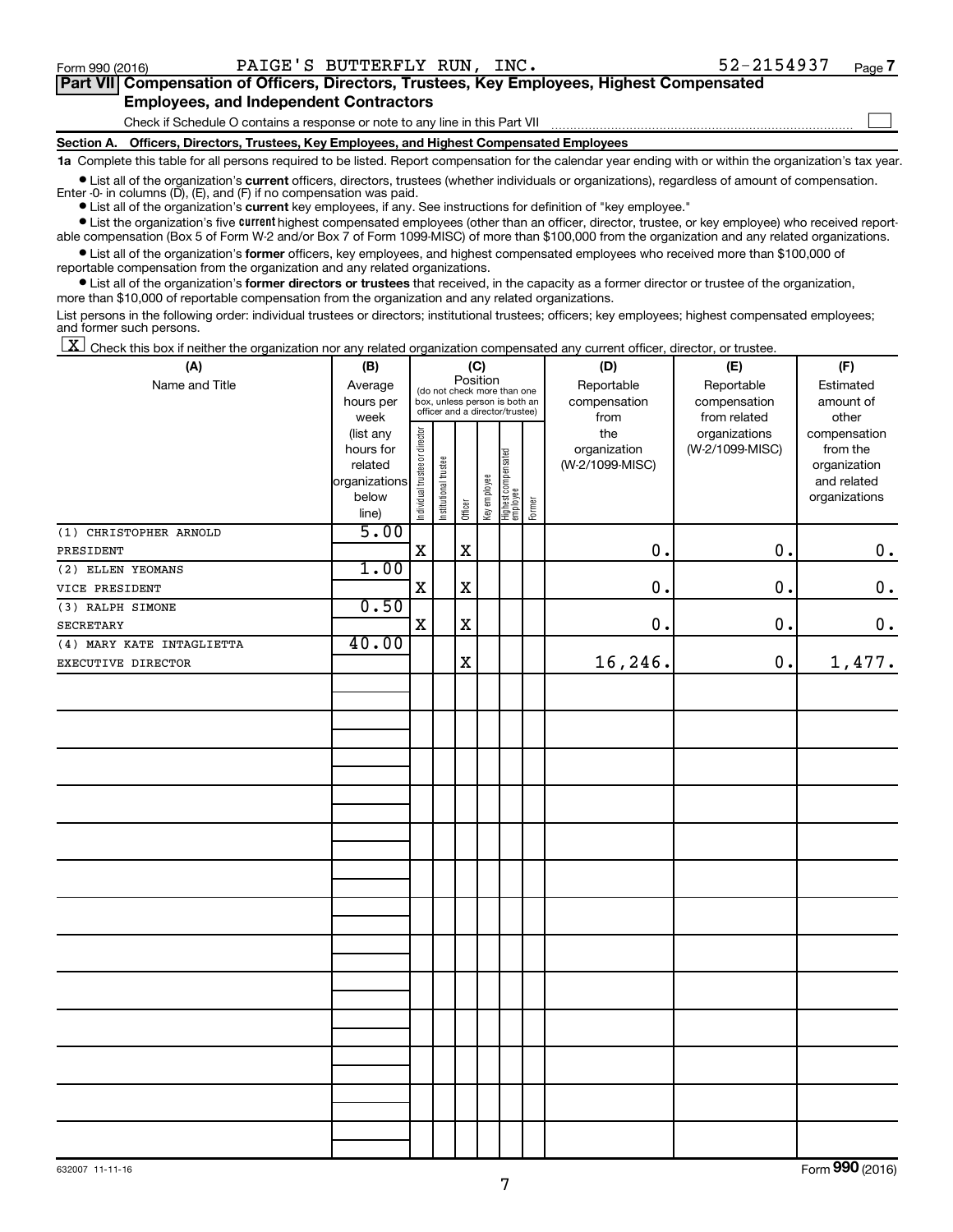$\begin{array}{c} \hline \end{array}$ 

| Part VII Compensation of Officers, Directors, Trustees, Key Employees, Highest Compensated |
|--------------------------------------------------------------------------------------------|
| <b>Employees, and Independent Contractors</b>                                              |

Check if Schedule O contains a response or note to any line in this Part VII

**Section A. Officers, Directors, Trustees, Key Employees, and Highest Compensated Employees**

**1a**  Complete this table for all persons required to be listed. Report compensation for the calendar year ending with or within the organization's tax year.

 $\bullet$  List all of the organization's current officers, directors, trustees (whether individuals or organizations), regardless of amount of compensation. Enter -0- in columns  $(D)$ ,  $(E)$ , and  $(F)$  if no compensation was paid.

● List all of the organization's **current** key employees, if any. See instructions for definition of "key employee."

**•** List the organization's five current highest compensated employees (other than an officer, director, trustee, or key employee) who received reportable compensation (Box 5 of Form W-2 and/or Box 7 of Form 1099-MISC) of more than \$100,000 from the organization and any related organizations.

 $\bullet$  List all of the organization's former officers, key employees, and highest compensated employees who received more than \$100,000 of reportable compensation from the organization and any related organizations.

**•** List all of the organization's former directors or trustees that received, in the capacity as a former director or trustee of the organization, more than \$10,000 of reportable compensation from the organization and any related organizations.

List persons in the following order: individual trustees or directors; institutional trustees; officers; key employees; highest compensated employees; and former such persons.

 $\boxed{\textbf{X}}$  Check this box if neither the organization nor any related organization compensated any current officer, director, or trustee.

| (A)                       | (B)<br>(C)    |                                                                          |                                 |             |              |                                  |        | (D)                | (F)             |               |
|---------------------------|---------------|--------------------------------------------------------------------------|---------------------------------|-------------|--------------|----------------------------------|--------|--------------------|-----------------|---------------|
| Name and Title            | Average       | Position<br>(do not check more than one<br>box, unless person is both an |                                 |             |              |                                  |        | Reportable         | Reportable      | Estimated     |
|                           | hours per     |                                                                          |                                 |             |              |                                  |        | compensation       | compensation    | amount of     |
|                           | week          |                                                                          | officer and a director/trustee) |             |              |                                  |        | from               | from related    | other         |
|                           | (list any     |                                                                          |                                 |             |              |                                  |        | the                | organizations   | compensation  |
|                           | hours for     |                                                                          |                                 |             |              |                                  |        | organization       | (W-2/1099-MISC) | from the      |
|                           | related       |                                                                          |                                 |             |              |                                  |        | (W-2/1099-MISC)    |                 | organization  |
|                           | organizations |                                                                          |                                 |             |              |                                  |        |                    |                 | and related   |
|                           | below         |                                                                          |                                 |             |              |                                  |        |                    |                 | organizations |
|                           | line)         | Individual trustee or director                                           | Institutional trustee           | Officer     | Key employee | Highest compensated<br> employee | Former |                    |                 |               |
| (1) CHRISTOPHER ARNOLD    | 5.00          |                                                                          |                                 |             |              |                                  |        |                    |                 |               |
| PRESIDENT                 |               | $\mathbf X$                                                              |                                 | $\mathbf X$ |              |                                  |        | 0.                 | 0.              | $\mathbf 0$ . |
| (2) ELLEN YEOMANS         | 1.00          |                                                                          |                                 |             |              |                                  |        |                    |                 |               |
| VICE PRESIDENT            |               | $\mathbf X$                                                              |                                 | $\mathbf X$ |              |                                  |        | 0.                 | 0.              | $\mathbf 0$ . |
| (3) RALPH SIMONE          | 0.50          |                                                                          |                                 |             |              |                                  |        |                    |                 |               |
| <b>SECRETARY</b>          |               | $\mathbf X$                                                              |                                 | $\mathbf X$ |              |                                  |        | $\boldsymbol{0}$ . | 0.              | $\mathbf 0$ . |
| (4) MARY KATE INTAGLIETTA | 40.00         |                                                                          |                                 |             |              |                                  |        |                    |                 |               |
| EXECUTIVE DIRECTOR        |               |                                                                          |                                 | $\mathbf X$ |              |                                  |        | 16,246.            | 0.              | 1,477.        |
|                           |               |                                                                          |                                 |             |              |                                  |        |                    |                 |               |
|                           |               |                                                                          |                                 |             |              |                                  |        |                    |                 |               |
|                           |               |                                                                          |                                 |             |              |                                  |        |                    |                 |               |
|                           |               |                                                                          |                                 |             |              |                                  |        |                    |                 |               |
|                           |               |                                                                          |                                 |             |              |                                  |        |                    |                 |               |
|                           |               |                                                                          |                                 |             |              |                                  |        |                    |                 |               |
|                           |               |                                                                          |                                 |             |              |                                  |        |                    |                 |               |
|                           |               |                                                                          |                                 |             |              |                                  |        |                    |                 |               |
|                           |               |                                                                          |                                 |             |              |                                  |        |                    |                 |               |
|                           |               |                                                                          |                                 |             |              |                                  |        |                    |                 |               |
|                           |               |                                                                          |                                 |             |              |                                  |        |                    |                 |               |
|                           |               |                                                                          |                                 |             |              |                                  |        |                    |                 |               |
|                           |               |                                                                          |                                 |             |              |                                  |        |                    |                 |               |
|                           |               |                                                                          |                                 |             |              |                                  |        |                    |                 |               |
|                           |               |                                                                          |                                 |             |              |                                  |        |                    |                 |               |
|                           |               |                                                                          |                                 |             |              |                                  |        |                    |                 |               |
|                           |               |                                                                          |                                 |             |              |                                  |        |                    |                 |               |
|                           |               |                                                                          |                                 |             |              |                                  |        |                    |                 |               |
|                           |               |                                                                          |                                 |             |              |                                  |        |                    |                 |               |
|                           |               |                                                                          |                                 |             |              |                                  |        |                    |                 |               |
|                           |               |                                                                          |                                 |             |              |                                  |        |                    |                 |               |
|                           |               |                                                                          |                                 |             |              |                                  |        |                    |                 |               |
|                           |               |                                                                          |                                 |             |              |                                  |        |                    |                 |               |
|                           |               |                                                                          |                                 |             |              |                                  |        |                    |                 |               |
|                           |               |                                                                          |                                 |             |              |                                  |        |                    |                 |               |
|                           |               |                                                                          |                                 |             |              |                                  |        |                    |                 |               |

Form (2016) **990**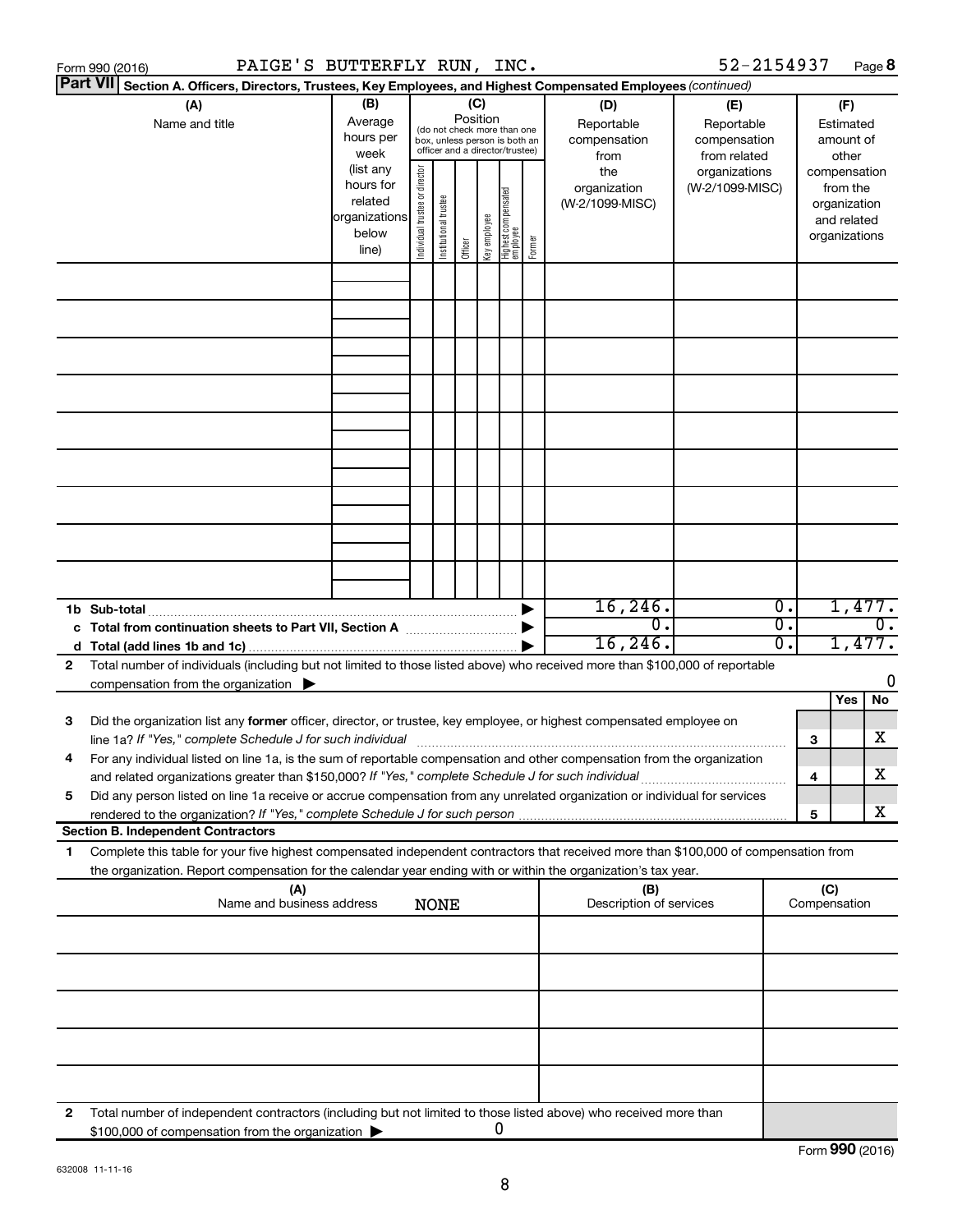|   | PAIGE'S BUTTERFLY RUN, INC.<br>Form 990 (2016)                                                                                                                                                                                                         |                                                                      |                                |                       |                 |              |                                                                                                 |        |                                                | 52-2154937                                       |                  |                                                                          | Page 8           |
|---|--------------------------------------------------------------------------------------------------------------------------------------------------------------------------------------------------------------------------------------------------------|----------------------------------------------------------------------|--------------------------------|-----------------------|-----------------|--------------|-------------------------------------------------------------------------------------------------|--------|------------------------------------------------|--------------------------------------------------|------------------|--------------------------------------------------------------------------|------------------|
|   | <b>Part VII</b><br>Section A. Officers, Directors, Trustees, Key Employees, and Highest Compensated Employees (continued)                                                                                                                              |                                                                      |                                |                       |                 |              |                                                                                                 |        |                                                |                                                  |                  |                                                                          |                  |
|   | (A)<br>Name and title                                                                                                                                                                                                                                  | (B)<br>Average<br>hours per<br>week                                  |                                |                       | (C)<br>Position |              | (do not check more than one<br>box, unless person is both an<br>officer and a director/trustee) |        | (D)<br>Reportable<br>compensation              | (E)<br>Reportable<br>compensation                |                  | (F)<br>Estimated<br>amount of<br>other                                   |                  |
|   |                                                                                                                                                                                                                                                        | (list any<br>hours for<br>related<br>organizations<br>below<br>line) | Individual trustee or director | Institutional trustee | Officer         | Key employee | <br>  Highest compensated<br>  employee                                                         | Former | from<br>the<br>organization<br>(W-2/1099-MISC) | from related<br>organizations<br>(W-2/1099-MISC) |                  | compensation<br>from the<br>organization<br>and related<br>organizations |                  |
|   |                                                                                                                                                                                                                                                        |                                                                      |                                |                       |                 |              |                                                                                                 |        |                                                |                                                  |                  |                                                                          |                  |
|   |                                                                                                                                                                                                                                                        |                                                                      |                                |                       |                 |              |                                                                                                 |        |                                                |                                                  |                  |                                                                          |                  |
|   |                                                                                                                                                                                                                                                        |                                                                      |                                |                       |                 |              |                                                                                                 |        |                                                |                                                  |                  |                                                                          |                  |
|   |                                                                                                                                                                                                                                                        |                                                                      |                                |                       |                 |              |                                                                                                 |        |                                                |                                                  |                  |                                                                          |                  |
|   |                                                                                                                                                                                                                                                        |                                                                      |                                |                       |                 |              |                                                                                                 |        |                                                |                                                  |                  |                                                                          |                  |
|   |                                                                                                                                                                                                                                                        |                                                                      |                                |                       |                 |              |                                                                                                 |        |                                                |                                                  |                  |                                                                          |                  |
|   |                                                                                                                                                                                                                                                        |                                                                      |                                |                       |                 |              |                                                                                                 |        | 16, 246.                                       |                                                  | $\overline{0}$ . |                                                                          | 1,477.           |
|   | 1b Sub-total<br>c Total from continuation sheets to Part VII, Section A [11, 11, 11, 11, 11]                                                                                                                                                           |                                                                      |                                |                       |                 |              |                                                                                                 |        | $\overline{0}$ .                               |                                                  | $\overline{0}$ . |                                                                          | $\overline{0}$ . |
|   |                                                                                                                                                                                                                                                        |                                                                      |                                |                       |                 |              |                                                                                                 |        | 16, 246.                                       |                                                  | 0.               |                                                                          | 1,477.           |
| 2 | Total number of individuals (including but not limited to those listed above) who received more than \$100,000 of reportable<br>compensation from the organization $\blacktriangleright$                                                               |                                                                      |                                |                       |                 |              |                                                                                                 |        |                                                |                                                  |                  |                                                                          | 0                |
|   |                                                                                                                                                                                                                                                        |                                                                      |                                |                       |                 |              |                                                                                                 |        |                                                |                                                  |                  | Yes                                                                      | No               |
| 3 | Did the organization list any former officer, director, or trustee, key employee, or highest compensated employee on<br>line 1a? If "Yes," complete Schedule J for such individual manufactured content to the settlement of the settl                 |                                                                      |                                |                       |                 |              |                                                                                                 |        |                                                |                                                  | з                |                                                                          | х                |
|   | For any individual listed on line 1a, is the sum of reportable compensation and other compensation from the organization<br>and related organizations greater than \$150,000? If "Yes," complete Schedule J for such individual                        |                                                                      |                                |                       |                 |              |                                                                                                 |        |                                                |                                                  | 4                |                                                                          | x                |
| 5 | Did any person listed on line 1a receive or accrue compensation from any unrelated organization or individual for services                                                                                                                             |                                                                      |                                |                       |                 |              |                                                                                                 |        |                                                |                                                  | 5                |                                                                          | х                |
|   | <b>Section B. Independent Contractors</b>                                                                                                                                                                                                              |                                                                      |                                |                       |                 |              |                                                                                                 |        |                                                |                                                  |                  |                                                                          |                  |
| 1 | Complete this table for your five highest compensated independent contractors that received more than \$100,000 of compensation from<br>the organization. Report compensation for the calendar year ending with or within the organization's tax year. |                                                                      |                                |                       |                 |              |                                                                                                 |        |                                                |                                                  |                  |                                                                          |                  |
|   | (A)<br>Name and business address                                                                                                                                                                                                                       |                                                                      |                                | <b>NONE</b>           |                 |              |                                                                                                 |        | (B)<br>Description of services                 |                                                  |                  | (C)<br>Compensation                                                      |                  |
|   |                                                                                                                                                                                                                                                        |                                                                      |                                |                       |                 |              |                                                                                                 |        |                                                |                                                  |                  |                                                                          |                  |
|   |                                                                                                                                                                                                                                                        |                                                                      |                                |                       |                 |              |                                                                                                 |        |                                                |                                                  |                  |                                                                          |                  |
|   |                                                                                                                                                                                                                                                        |                                                                      |                                |                       |                 |              |                                                                                                 |        |                                                |                                                  |                  |                                                                          |                  |
|   |                                                                                                                                                                                                                                                        |                                                                      |                                |                       |                 |              |                                                                                                 |        |                                                |                                                  |                  |                                                                          |                  |
| 2 | Total number of independent contractors (including but not limited to those listed above) who received more than<br>\$100,000 of compensation from the organization                                                                                    |                                                                      |                                |                       |                 | 0            |                                                                                                 |        |                                                |                                                  |                  |                                                                          |                  |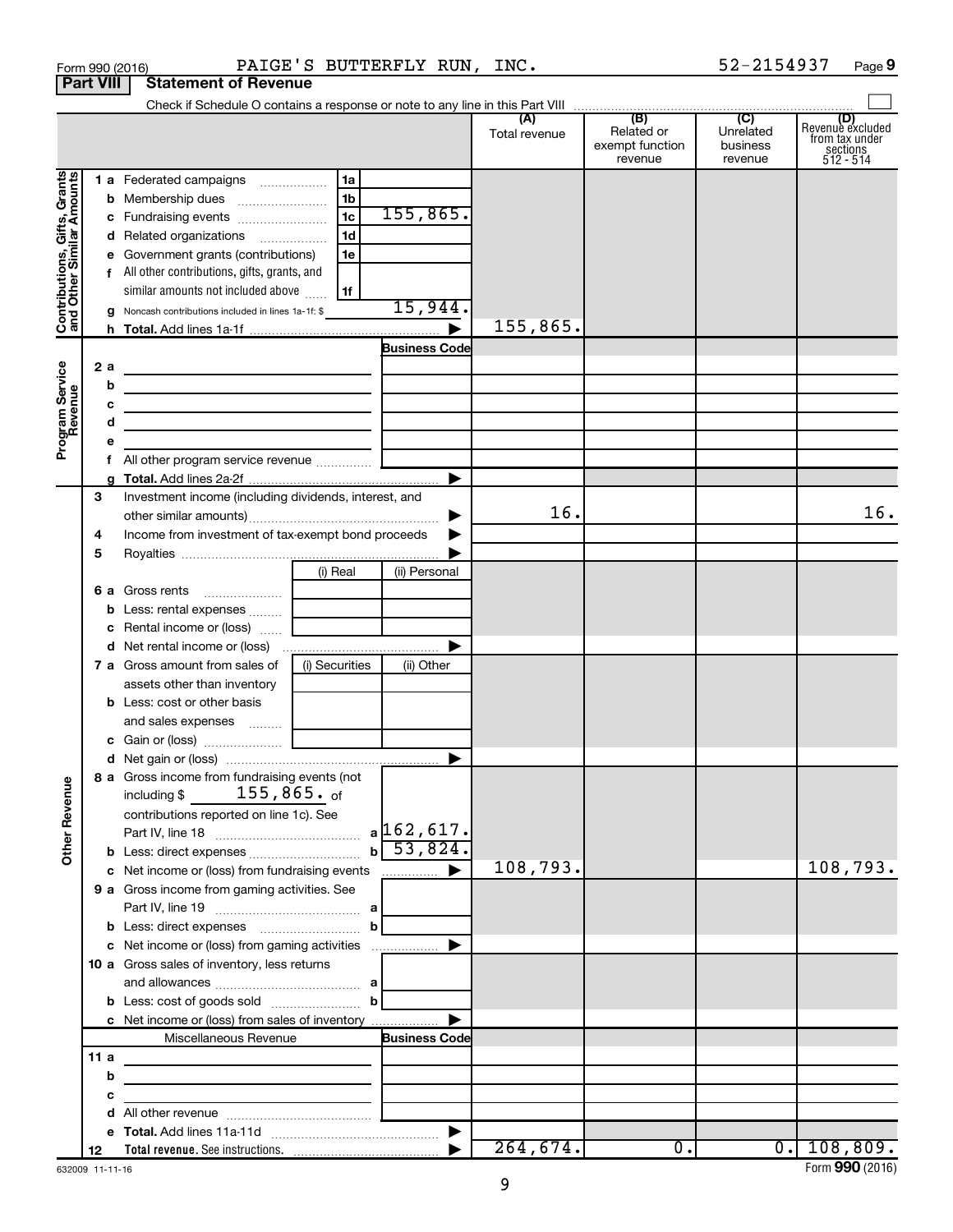|                                                                                         | <b>Part VIII</b> | <b>Statement of Revenue</b>                                                                                                                                                                                                                                                                                                                                                                                                                                                                                                                                                                                               |                      |                                                 |                                         |                                                                    |
|-----------------------------------------------------------------------------------------|------------------|---------------------------------------------------------------------------------------------------------------------------------------------------------------------------------------------------------------------------------------------------------------------------------------------------------------------------------------------------------------------------------------------------------------------------------------------------------------------------------------------------------------------------------------------------------------------------------------------------------------------------|----------------------|-------------------------------------------------|-----------------------------------------|--------------------------------------------------------------------|
|                                                                                         |                  | Check if Schedule O contains a response or note to any line in this Part VIII                                                                                                                                                                                                                                                                                                                                                                                                                                                                                                                                             |                      |                                                 |                                         |                                                                    |
|                                                                                         |                  |                                                                                                                                                                                                                                                                                                                                                                                                                                                                                                                                                                                                                           | (A)<br>Total revenue | (B)<br>Related or<br>exempt function<br>revenue | (C)<br>Unrelated<br>business<br>revenue | (D)<br>Revenue excluded<br>from tax under<br>sections<br>512 - 514 |
| Contributions, Gifts, Grants<br>and Other Similar Amounts<br>Program Service<br>Revenue | 2a<br>b          | 1 a Federated campaigns<br>1a<br>1 <sub>b</sub><br><b>b</b> Membership dues <i></i><br>155,865.<br>1 <sub>c</sub><br>1 <sub>d</sub><br>d Related organizations<br>1e<br>e Government grants (contributions)<br>f All other contributions, gifts, grants, and<br>similar amounts not included above<br>1f<br>15,944.<br>Noncash contributions included in lines 1a-1f: \$<br><b>Business Code</b><br><u> 1989 - Johann Barn, mars eta bainar eta idazlea (</u><br>the control of the control of the control of the control of the control of<br>the control of the control of the control of the control of the control of | 155,865.             |                                                 |                                         |                                                                    |
|                                                                                         |                  | ▶                                                                                                                                                                                                                                                                                                                                                                                                                                                                                                                                                                                                                         |                      |                                                 |                                         |                                                                    |
|                                                                                         | 3<br>4<br>5      | Investment income (including dividends, interest, and<br>▶<br>Income from investment of tax-exempt bond proceeds                                                                                                                                                                                                                                                                                                                                                                                                                                                                                                          | 16.                  |                                                 |                                         | 16.                                                                |
|                                                                                         | 6а<br>b<br>c     | (i) Real<br>(ii) Personal<br>Gross rents<br>Less: rental expenses<br>Rental income or (loss)                                                                                                                                                                                                                                                                                                                                                                                                                                                                                                                              |                      |                                                 |                                         |                                                                    |
|                                                                                         |                  | ▶<br><b>7 a</b> Gross amount from sales of<br>(i) Securities<br>(ii) Other<br>assets other than inventory<br><b>b</b> Less: cost or other basis                                                                                                                                                                                                                                                                                                                                                                                                                                                                           |                      |                                                 |                                         |                                                                    |
|                                                                                         |                  | and sales expenses<br>▶<br>8 a Gross income from fundraising events (not                                                                                                                                                                                                                                                                                                                                                                                                                                                                                                                                                  |                      |                                                 |                                         |                                                                    |
| <b>Other Revenue</b>                                                                    |                  | 155,865. <sub>of</sub><br>including \$<br>contributions reported on line 1c). See<br>$a$ 162,617.<br>$b \overline{53,824}$ .                                                                                                                                                                                                                                                                                                                                                                                                                                                                                              |                      |                                                 |                                         |                                                                    |
|                                                                                         |                  | c Net income or (loss) from fundraising events<br>$\blacksquare$                                                                                                                                                                                                                                                                                                                                                                                                                                                                                                                                                          | 108,793.             |                                                 |                                         | 108,793.                                                           |
|                                                                                         |                  | 9 a Gross income from gaming activities. See<br><b>b</b> Less: direct expenses <b>manually</b><br>b                                                                                                                                                                                                                                                                                                                                                                                                                                                                                                                       |                      |                                                 |                                         |                                                                    |
|                                                                                         |                  | c Net income or (loss) from gaming activities<br>▶                                                                                                                                                                                                                                                                                                                                                                                                                                                                                                                                                                        |                      |                                                 |                                         |                                                                    |
|                                                                                         |                  | 10 a Gross sales of inventory, less returns<br>$\mathbf{b}$<br>c Net income or (loss) from sales of inventory<br>▶                                                                                                                                                                                                                                                                                                                                                                                                                                                                                                        |                      |                                                 |                                         |                                                                    |
|                                                                                         |                  | Miscellaneous Revenue<br><b>Business Code</b>                                                                                                                                                                                                                                                                                                                                                                                                                                                                                                                                                                             |                      |                                                 |                                         |                                                                    |
|                                                                                         | 11a              | the control of the control of the control of the control of                                                                                                                                                                                                                                                                                                                                                                                                                                                                                                                                                               |                      |                                                 |                                         |                                                                    |
|                                                                                         | b                | <u> 1989 - Johann Stein, mars an deus Amerikaansk kommunister (</u>                                                                                                                                                                                                                                                                                                                                                                                                                                                                                                                                                       |                      |                                                 |                                         |                                                                    |
|                                                                                         | с                | the control of the control of the control of the control of                                                                                                                                                                                                                                                                                                                                                                                                                                                                                                                                                               |                      |                                                 |                                         |                                                                    |
|                                                                                         | d                |                                                                                                                                                                                                                                                                                                                                                                                                                                                                                                                                                                                                                           |                      |                                                 |                                         |                                                                    |
|                                                                                         |                  | $\blacktriangleright$                                                                                                                                                                                                                                                                                                                                                                                                                                                                                                                                                                                                     |                      |                                                 |                                         |                                                                    |
|                                                                                         | 12               |                                                                                                                                                                                                                                                                                                                                                                                                                                                                                                                                                                                                                           | 264,674.             | $\overline{0}$ .                                | $\overline{\phantom{0}}$ .              | 108,809.                                                           |

Form 990 (2016) Page PAIGE'S BUTTERFLY RUN, INC. 52-2154937

**9**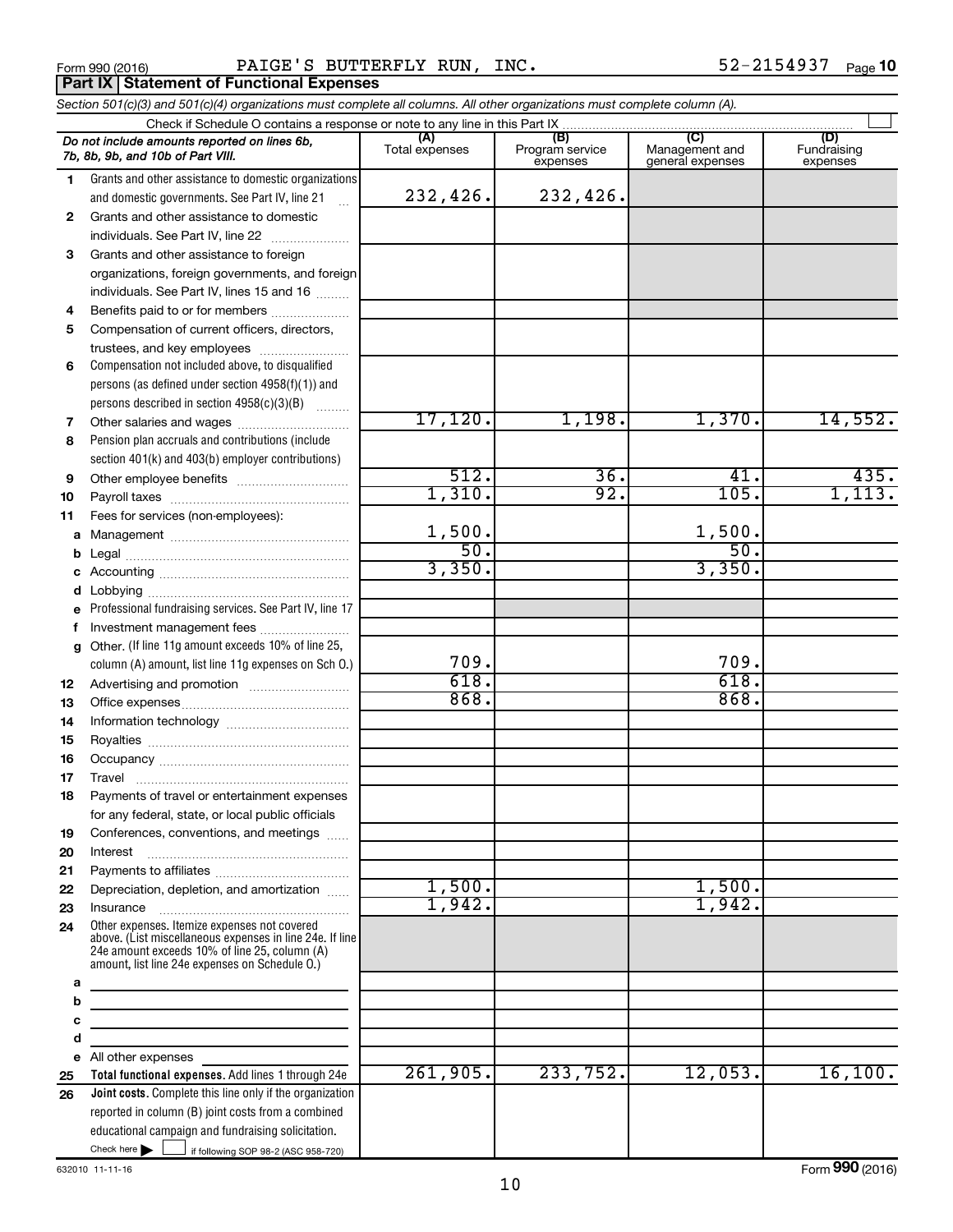**Part IX Statement of Functional Expenses** 

Form 990 (2016) Page PAIGE'S BUTTERFLY RUN, INC. 52-2154937

*Section 501(c)(3) and 501(c)(4) organizations must complete all columns. All other organizations must complete column (A).*

|              | Do not include amounts reported on lines 6b,<br>7b, 8b, 9b, and 10b of Part VIII.                                                                                                                           | (A)<br>Total expenses | (B)<br>Program service<br>expenses | (C)<br>Management and<br>general expenses | (D)<br>Fundraising<br>expenses |  |  |  |  |
|--------------|-------------------------------------------------------------------------------------------------------------------------------------------------------------------------------------------------------------|-----------------------|------------------------------------|-------------------------------------------|--------------------------------|--|--|--|--|
| 1.           | Grants and other assistance to domestic organizations                                                                                                                                                       |                       |                                    |                                           |                                |  |  |  |  |
|              | and domestic governments. See Part IV, line 21                                                                                                                                                              | 232,426.              | 232,426.                           |                                           |                                |  |  |  |  |
| $\mathbf{2}$ | Grants and other assistance to domestic                                                                                                                                                                     |                       |                                    |                                           |                                |  |  |  |  |
|              | individuals. See Part IV, line 22<br><u> 1986 - Johann Barnett, martin a</u>                                                                                                                                |                       |                                    |                                           |                                |  |  |  |  |
| 3            | Grants and other assistance to foreign                                                                                                                                                                      |                       |                                    |                                           |                                |  |  |  |  |
|              | organizations, foreign governments, and foreign                                                                                                                                                             |                       |                                    |                                           |                                |  |  |  |  |
|              | individuals. See Part IV, lines 15 and 16                                                                                                                                                                   |                       |                                    |                                           |                                |  |  |  |  |
| 4            | Benefits paid to or for members                                                                                                                                                                             |                       |                                    |                                           |                                |  |  |  |  |
| 5            | Compensation of current officers, directors,                                                                                                                                                                |                       |                                    |                                           |                                |  |  |  |  |
|              | trustees, and key employees                                                                                                                                                                                 |                       |                                    |                                           |                                |  |  |  |  |
| 6            | Compensation not included above, to disqualified                                                                                                                                                            |                       |                                    |                                           |                                |  |  |  |  |
|              | persons (as defined under section 4958(f)(1)) and                                                                                                                                                           |                       |                                    |                                           |                                |  |  |  |  |
|              | persons described in section 4958(c)(3)(B)                                                                                                                                                                  |                       |                                    |                                           |                                |  |  |  |  |
| 7            |                                                                                                                                                                                                             | 17, 120.              | 1,198.                             | 1,370.                                    | 14,552.                        |  |  |  |  |
| 8            | Pension plan accruals and contributions (include                                                                                                                                                            |                       |                                    |                                           |                                |  |  |  |  |
|              | section 401(k) and 403(b) employer contributions)                                                                                                                                                           |                       |                                    |                                           |                                |  |  |  |  |
| 9            |                                                                                                                                                                                                             | 512.                  | 36.                                | 41.                                       | 435.                           |  |  |  |  |
| 10           |                                                                                                                                                                                                             | 1,310.                | 92.                                | 105.                                      | 1,113.                         |  |  |  |  |
| 11           | Fees for services (non-employees):                                                                                                                                                                          |                       |                                    |                                           |                                |  |  |  |  |
| a            |                                                                                                                                                                                                             | 1,500.                |                                    | 1,500.                                    |                                |  |  |  |  |
| b            |                                                                                                                                                                                                             | 50.                   |                                    | 50.                                       |                                |  |  |  |  |
|              |                                                                                                                                                                                                             | 3,350.                |                                    | 3,350.                                    |                                |  |  |  |  |
| d            |                                                                                                                                                                                                             |                       |                                    |                                           |                                |  |  |  |  |
|              | Professional fundraising services. See Part IV, line 17                                                                                                                                                     |                       |                                    |                                           |                                |  |  |  |  |
| f            | Investment management fees                                                                                                                                                                                  |                       |                                    |                                           |                                |  |  |  |  |
| $\mathbf{q}$ | Other. (If line 11g amount exceeds 10% of line 25,                                                                                                                                                          | 709.                  |                                    | 709.                                      |                                |  |  |  |  |
|              | column (A) amount, list line 11g expenses on Sch O.)                                                                                                                                                        | 618.                  |                                    | 618.                                      |                                |  |  |  |  |
| 12           |                                                                                                                                                                                                             | 868.                  |                                    | 868.                                      |                                |  |  |  |  |
| 13           |                                                                                                                                                                                                             |                       |                                    |                                           |                                |  |  |  |  |
| 14           |                                                                                                                                                                                                             |                       |                                    |                                           |                                |  |  |  |  |
| 15           |                                                                                                                                                                                                             |                       |                                    |                                           |                                |  |  |  |  |
| 16           |                                                                                                                                                                                                             |                       |                                    |                                           |                                |  |  |  |  |
| 17           | Travel<br>Payments of travel or entertainment expenses                                                                                                                                                      |                       |                                    |                                           |                                |  |  |  |  |
| 18           |                                                                                                                                                                                                             |                       |                                    |                                           |                                |  |  |  |  |
| 19           | for any federal, state, or local public officials<br>Conferences, conventions, and meetings                                                                                                                 |                       |                                    |                                           |                                |  |  |  |  |
| 20           | Interest                                                                                                                                                                                                    |                       |                                    |                                           |                                |  |  |  |  |
| 21           |                                                                                                                                                                                                             |                       |                                    |                                           |                                |  |  |  |  |
| 22           | Depreciation, depletion, and amortization                                                                                                                                                                   | 1,500.                |                                    | 1,500.                                    |                                |  |  |  |  |
| 23           | Insurance                                                                                                                                                                                                   | 1,942.                |                                    | 1,942.                                    |                                |  |  |  |  |
| 24           | Other expenses. Itemize expenses not covered<br>above. (List miscellaneous expenses in line 24e. If line<br>24e amount exceeds 10% of line 25, column (A)<br>amount, list line 24e expenses on Schedule O.) |                       |                                    |                                           |                                |  |  |  |  |
| а            |                                                                                                                                                                                                             |                       |                                    |                                           |                                |  |  |  |  |
| b            |                                                                                                                                                                                                             |                       |                                    |                                           |                                |  |  |  |  |
| c            |                                                                                                                                                                                                             |                       |                                    |                                           |                                |  |  |  |  |
| d            |                                                                                                                                                                                                             |                       |                                    |                                           |                                |  |  |  |  |
|              | e All other expenses                                                                                                                                                                                        |                       |                                    |                                           |                                |  |  |  |  |
| 25           | Total functional expenses. Add lines 1 through 24e                                                                                                                                                          | 261,905.              | 233,752.                           | 12,053.                                   | 16, 100.                       |  |  |  |  |
| 26           | Joint costs. Complete this line only if the organization                                                                                                                                                    |                       |                                    |                                           |                                |  |  |  |  |
|              | reported in column (B) joint costs from a combined                                                                                                                                                          |                       |                                    |                                           |                                |  |  |  |  |
|              | educational campaign and fundraising solicitation.<br>Check here $\blacktriangleright$                                                                                                                      |                       |                                    |                                           |                                |  |  |  |  |
|              | if following SOP 98-2 (ASC 958-720)                                                                                                                                                                         |                       |                                    |                                           |                                |  |  |  |  |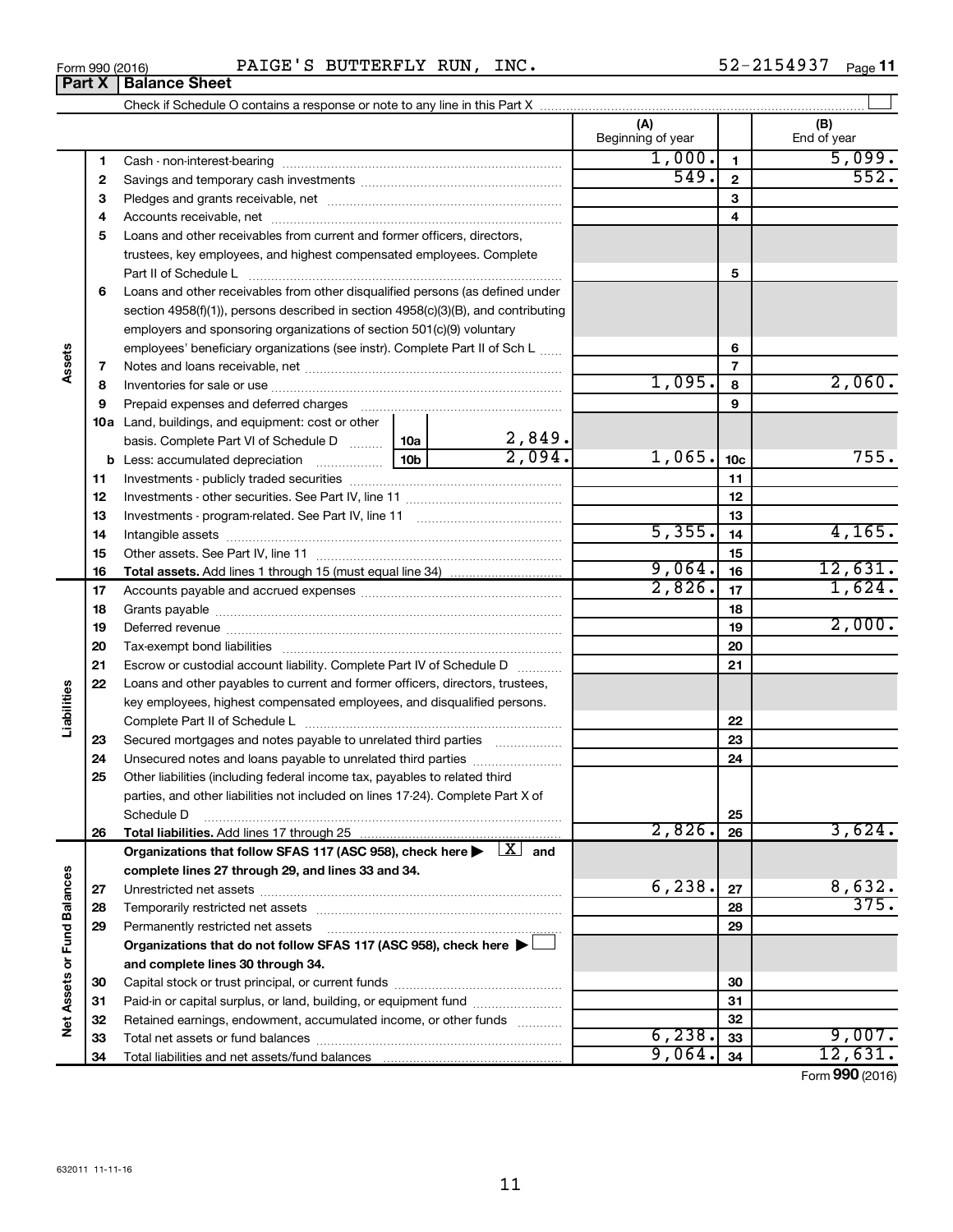|  | Form 990 (2016) | י י<br>PAIGE | <b>BUTTERFLY</b> | <b>RUN</b> | INC. | 54937<br>ິ<br>– ∡ ر<br>$\lambda$ | Page |
|--|-----------------|--------------|------------------|------------|------|----------------------------------|------|
|--|-----------------|--------------|------------------|------------|------|----------------------------------|------|

|                             |    |                                                                                                                                                                                                                                |                 |              | (A)<br>Beginning of year |                 | (B)<br>End of year |
|-----------------------------|----|--------------------------------------------------------------------------------------------------------------------------------------------------------------------------------------------------------------------------------|-----------------|--------------|--------------------------|-----------------|--------------------|
|                             | 1  |                                                                                                                                                                                                                                |                 |              | 1,000.                   | $\mathbf{1}$    | 5,099.             |
|                             | 2  |                                                                                                                                                                                                                                | 549.            | $\mathbf{2}$ | 552.                     |                 |                    |
|                             | з  |                                                                                                                                                                                                                                |                 |              |                          | 3               |                    |
|                             | 4  |                                                                                                                                                                                                                                |                 |              |                          | 4               |                    |
|                             | 5  | Loans and other receivables from current and former officers, directors,                                                                                                                                                       |                 |              |                          |                 |                    |
|                             |    | trustees, key employees, and highest compensated employees. Complete                                                                                                                                                           |                 |              |                          |                 |                    |
|                             |    | Part II of Schedule L                                                                                                                                                                                                          |                 |              |                          | 5               |                    |
|                             | 6  | Loans and other receivables from other disqualified persons (as defined under                                                                                                                                                  |                 |              |                          |                 |                    |
|                             |    | section 4958(f)(1)), persons described in section 4958(c)(3)(B), and contributing                                                                                                                                              |                 |              |                          |                 |                    |
|                             |    | employers and sponsoring organizations of section 501(c)(9) voluntary                                                                                                                                                          |                 |              |                          |                 |                    |
|                             |    | employees' beneficiary organizations (see instr). Complete Part II of Sch L                                                                                                                                                    |                 |              |                          | 6               |                    |
| Assets                      | 7  |                                                                                                                                                                                                                                |                 |              |                          | 7               |                    |
|                             | 8  |                                                                                                                                                                                                                                |                 |              | 1,095.                   | 8               | 2,060.             |
|                             | 9  | Prepaid expenses and deferred charges                                                                                                                                                                                          |                 |              |                          | 9               |                    |
|                             |    | 10a Land, buildings, and equipment: cost or other                                                                                                                                                                              |                 |              |                          |                 |                    |
|                             |    | basis. Complete Part VI of Schedule D  10a                                                                                                                                                                                     |                 | 2,849.       |                          |                 |                    |
|                             |    | <b>b</b> Less: accumulated depreciation                                                                                                                                                                                        | 10 <sub>b</sub> | 2,094.       | 1,065.                   | 10 <sub>c</sub> | 755.               |
|                             | 11 |                                                                                                                                                                                                                                |                 |              |                          | 11              |                    |
|                             | 12 |                                                                                                                                                                                                                                |                 |              |                          | 12              |                    |
|                             | 13 |                                                                                                                                                                                                                                |                 |              |                          | 13              |                    |
|                             | 14 |                                                                                                                                                                                                                                |                 |              | 5,355.                   | 14              | 4,165.             |
|                             | 15 |                                                                                                                                                                                                                                |                 | 15           |                          |                 |                    |
|                             | 16 |                                                                                                                                                                                                                                |                 |              | 9,064.                   | 16              | 12,631.            |
|                             | 17 |                                                                                                                                                                                                                                | 2,826.          | 17           | 1,624.                   |                 |                    |
|                             | 18 | Grants payable manufactured and contract and contract of the contract of the contract of the contract of the c                                                                                                                 |                 |              |                          | 18              |                    |
|                             | 19 | Deferred revenue manual contracts and contracts are all the contracts and contracts are contracted and contracts are contracted and contract are contracted and contract are contracted and contract are contracted and contra |                 |              |                          | 19              | 2,000.             |
|                             | 20 |                                                                                                                                                                                                                                |                 |              |                          | 20              |                    |
|                             | 21 | Escrow or custodial account liability. Complete Part IV of Schedule D                                                                                                                                                          |                 |              |                          | 21              |                    |
| Liabilities                 | 22 | Loans and other payables to current and former officers, directors, trustees,                                                                                                                                                  |                 |              |                          |                 |                    |
|                             |    | key employees, highest compensated employees, and disqualified persons.                                                                                                                                                        |                 |              |                          |                 |                    |
|                             |    |                                                                                                                                                                                                                                |                 |              |                          | 22              |                    |
|                             | 23 | Secured mortgages and notes payable to unrelated third parties                                                                                                                                                                 |                 |              |                          | 23              |                    |
|                             | 24 |                                                                                                                                                                                                                                |                 |              |                          | 24              |                    |
|                             | 25 | Other liabilities (including federal income tax, payables to related third                                                                                                                                                     |                 |              |                          |                 |                    |
|                             |    | parties, and other liabilities not included on lines 17-24). Complete Part X of                                                                                                                                                |                 |              |                          | 25              |                    |
|                             |    | Schedule D                                                                                                                                                                                                                     |                 |              | 2,826.                   | 26              | 3,624.             |
|                             | 26 | Organizations that follow SFAS 117 (ASC 958), check here $\blacktriangleright \quad \boxed{X}$ and                                                                                                                             |                 |              |                          |                 |                    |
|                             |    | complete lines 27 through 29, and lines 33 and 34.                                                                                                                                                                             |                 |              |                          |                 |                    |
|                             | 27 |                                                                                                                                                                                                                                |                 |              | 6, 238.                  | 27              | 8,632.             |
|                             | 28 |                                                                                                                                                                                                                                |                 |              |                          | 28              | 375.               |
| Net Assets or Fund Balances | 29 | Permanently restricted net assets                                                                                                                                                                                              |                 |              |                          | 29              |                    |
|                             |    | Organizations that do not follow SFAS 117 (ASC 958), check here ▶ □                                                                                                                                                            |                 |              |                          |                 |                    |
|                             |    | and complete lines 30 through 34.                                                                                                                                                                                              |                 |              |                          |                 |                    |
|                             | 30 |                                                                                                                                                                                                                                |                 |              |                          | 30              |                    |
|                             | 31 | Paid-in or capital surplus, or land, building, or equipment fund                                                                                                                                                               |                 |              |                          | 31              |                    |
|                             | 32 | Retained earnings, endowment, accumulated income, or other funds                                                                                                                                                               |                 |              |                          | 32              |                    |
|                             | 33 |                                                                                                                                                                                                                                |                 |              | 6, 238.                  | 33              | 9,007.             |
|                             | 34 |                                                                                                                                                                                                                                |                 |              | 9,064.                   | 34              | 12,631.            |

Form (2016) **990**

| Form 990 (2016)               |  |
|-------------------------------|--|
| <b>Part X   Balance Sheet</b> |  |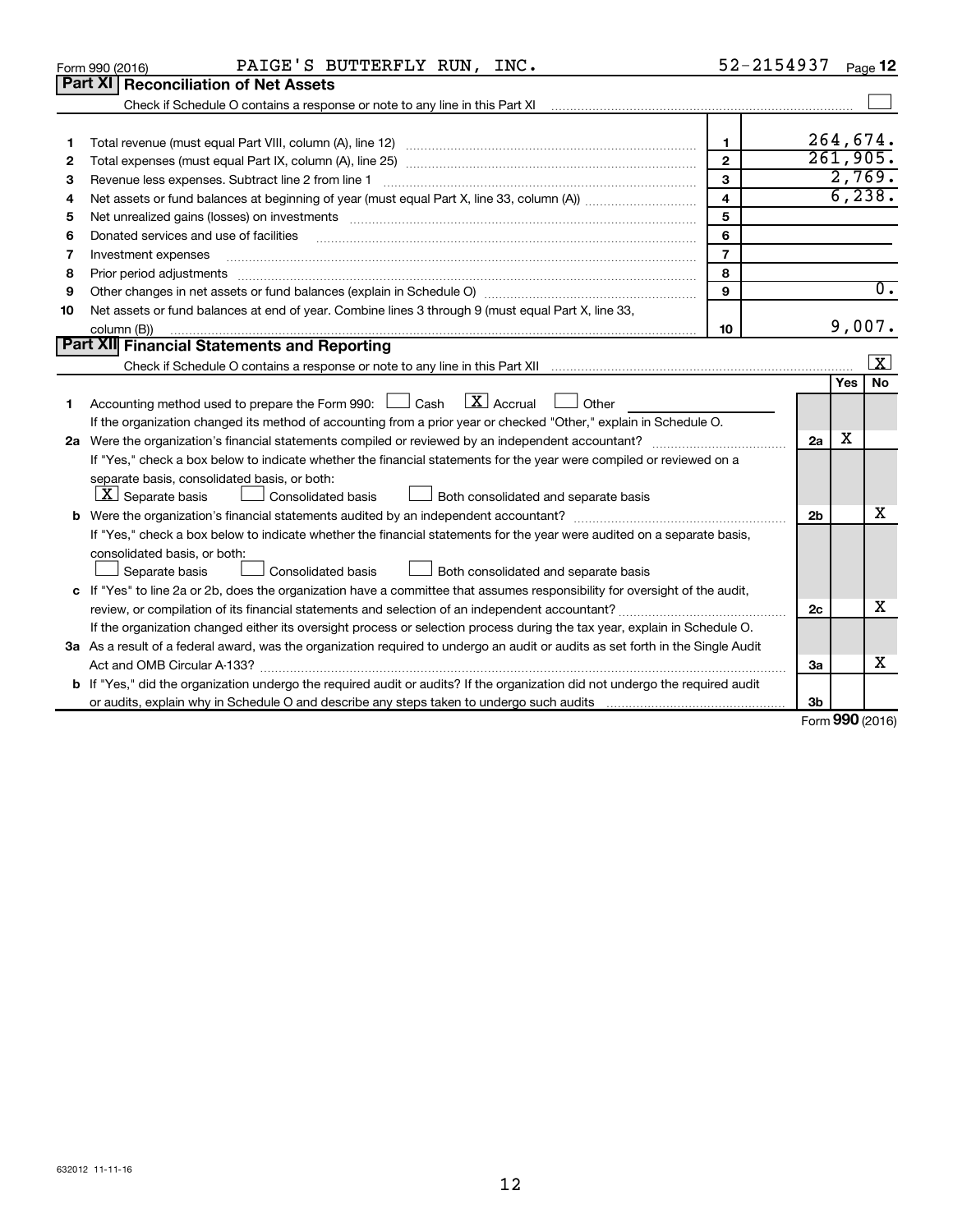|    | PAIGE'S BUTTERFLY RUN, INC.<br>Form 990 (2016)                                                                                                                    | 52-2154937              |                |            | Page 12                 |
|----|-------------------------------------------------------------------------------------------------------------------------------------------------------------------|-------------------------|----------------|------------|-------------------------|
|    | <b>Part XI   Reconciliation of Net Assets</b>                                                                                                                     |                         |                |            |                         |
|    | Check if Schedule O contains a response or note to any line in this Part XI [11] [12] Check if Schedule O contains a response or note to any line in this Part XI |                         |                |            |                         |
| 1  |                                                                                                                                                                   | 1                       |                |            | 264,674.                |
| 2  |                                                                                                                                                                   | $\overline{2}$          |                |            | 261,905.                |
| 3  | Revenue less expenses. Subtract line 2 from line 1                                                                                                                | 3                       |                |            | 2,769.                  |
| 4  |                                                                                                                                                                   | $\overline{\mathbf{4}}$ |                |            | 6, 238.                 |
| 5  | Net unrealized gains (losses) on investments [11] matter continuum matter is a set of the set of the set of the                                                   | 5                       |                |            |                         |
| 6  | Donated services and use of facilities                                                                                                                            | 6                       |                |            |                         |
| 7  | Investment expenses                                                                                                                                               | $\overline{7}$          |                |            |                         |
| 8  | Prior period adjustments                                                                                                                                          | 8                       |                |            |                         |
| 9  |                                                                                                                                                                   | 9                       |                |            | $\overline{0}$ .        |
| 10 | Net assets or fund balances at end of year. Combine lines 3 through 9 (must equal Part X, line 33,                                                                |                         |                |            |                         |
|    | column (B))                                                                                                                                                       | 10                      |                |            | 9,007.                  |
|    | Part XII Financial Statements and Reporting                                                                                                                       |                         |                |            |                         |
|    |                                                                                                                                                                   |                         |                |            | $\overline{\mathbf{x}}$ |
|    |                                                                                                                                                                   |                         |                | <b>Yes</b> | <b>No</b>               |
| 1  | $\boxed{\text{X}}$ Accrual<br>Accounting method used to prepare the Form 990: $\Box$ Cash<br>Other                                                                |                         |                |            |                         |
|    | If the organization changed its method of accounting from a prior year or checked "Other," explain in Schedule O.                                                 |                         |                |            |                         |
|    |                                                                                                                                                                   |                         | 2a             | x          |                         |
|    | If "Yes," check a box below to indicate whether the financial statements for the year were compiled or reviewed on a                                              |                         |                |            |                         |
|    | separate basis, consolidated basis, or both:                                                                                                                      |                         |                |            |                         |
|    | $\boxed{\textbf{X}}$ Separate basis<br>Consolidated basis<br>Both consolidated and separate basis                                                                 |                         |                |            | X                       |
|    |                                                                                                                                                                   |                         | 2 <sub>b</sub> |            |                         |
|    | If "Yes," check a box below to indicate whether the financial statements for the year were audited on a separate basis,                                           |                         |                |            |                         |
|    | consolidated basis, or both:<br>Consolidated basis                                                                                                                |                         |                |            |                         |
|    | Both consolidated and separate basis<br>Separate basis                                                                                                            |                         |                |            |                         |
|    | c If "Yes" to line 2a or 2b, does the organization have a committee that assumes responsibility for oversight of the audit,                                       |                         | 2c             |            | х                       |
|    | If the organization changed either its oversight process or selection process during the tax year, explain in Schedule O.                                         |                         |                |            |                         |
|    | 3a As a result of a federal award, was the organization required to undergo an audit or audits as set forth in the Single Audit                                   |                         |                |            |                         |
|    | Act and OMB Circular A-133?                                                                                                                                       |                         | 3a             |            | x                       |
|    | <b>b</b> If "Yes," did the organization undergo the required audit or audits? If the organization did not undergo the required audit                              |                         |                |            |                         |
|    |                                                                                                                                                                   |                         | 3b             |            |                         |
|    |                                                                                                                                                                   |                         |                |            | Form 990 (2016)         |
|    |                                                                                                                                                                   |                         |                |            |                         |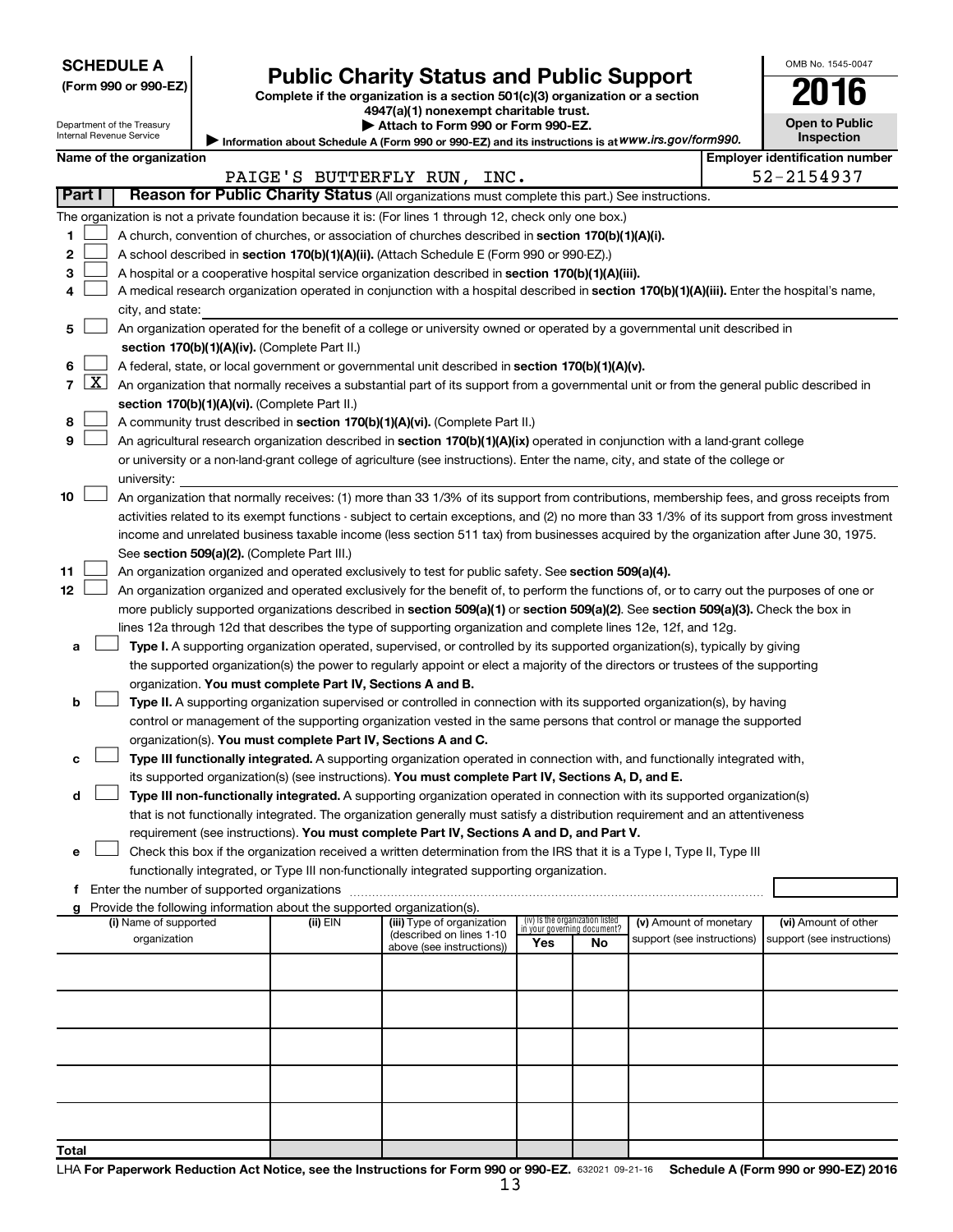| <b>SCHEDULE A</b> |  |  |  |
|-------------------|--|--|--|
|                   |  |  |  |

| (Form 990 or 990-EZ |  |  |  |  |
|---------------------|--|--|--|--|
|---------------------|--|--|--|--|

# Form 990 or 990-EZ)<br>
Complete if the organization is a section 501(c)(3) organization or a section<br> **2016**

**4947(a)(1) nonexempt charitable trust. | Attach to Form 990 or Form 990-EZ.** 

| H                                          |  |
|--------------------------------------------|--|
| <b>Open to Public</b><br><b>Inspection</b> |  |

OMB No. 1545-0047

Department of the Treasury Internal Revenue Service

**Total**

| Information about Schedule A (Form 990 or 990-EZ) and its instructions is at WWW.irs.gov/form990. |
|---------------------------------------------------------------------------------------------------|
|                                                                                                   |

|    | <b>Employer identification number</b><br>Name of the organization                                                            |                                                                                                                                               |          |                                                       |                                                                |    |                            |            |                            |  |
|----|------------------------------------------------------------------------------------------------------------------------------|-----------------------------------------------------------------------------------------------------------------------------------------------|----------|-------------------------------------------------------|----------------------------------------------------------------|----|----------------------------|------------|----------------------------|--|
|    |                                                                                                                              |                                                                                                                                               |          | PAIGE'S BUTTERFLY RUN, INC.                           |                                                                |    |                            | 52-2154937 |                            |  |
|    | Reason for Public Charity Status (All organizations must complete this part.) See instructions.<br>Part I                    |                                                                                                                                               |          |                                                       |                                                                |    |                            |            |                            |  |
|    |                                                                                                                              | The organization is not a private foundation because it is: (For lines 1 through 12, check only one box.)                                     |          |                                                       |                                                                |    |                            |            |                            |  |
| 1  |                                                                                                                              | A church, convention of churches, or association of churches described in section 170(b)(1)(A)(i).                                            |          |                                                       |                                                                |    |                            |            |                            |  |
| 2  |                                                                                                                              | A school described in section 170(b)(1)(A)(ii). (Attach Schedule E (Form 990 or 990-EZ).)                                                     |          |                                                       |                                                                |    |                            |            |                            |  |
| 3  |                                                                                                                              | A hospital or a cooperative hospital service organization described in section 170(b)(1)(A)(iii).                                             |          |                                                       |                                                                |    |                            |            |                            |  |
| 4  |                                                                                                                              | A medical research organization operated in conjunction with a hospital described in section 170(b)(1)(A)(iii). Enter the hospital's name,    |          |                                                       |                                                                |    |                            |            |                            |  |
|    |                                                                                                                              | city, and state:                                                                                                                              |          |                                                       |                                                                |    |                            |            |                            |  |
| 5. |                                                                                                                              | An organization operated for the benefit of a college or university owned or operated by a governmental unit described in                     |          |                                                       |                                                                |    |                            |            |                            |  |
|    |                                                                                                                              | section 170(b)(1)(A)(iv). (Complete Part II.)                                                                                                 |          |                                                       |                                                                |    |                            |            |                            |  |
| 6  |                                                                                                                              | A federal, state, or local government or governmental unit described in section 170(b)(1)(A)(v).                                              |          |                                                       |                                                                |    |                            |            |                            |  |
| 7  | $\lfloor x \rfloor$                                                                                                          | An organization that normally receives a substantial part of its support from a governmental unit or from the general public described in     |          |                                                       |                                                                |    |                            |            |                            |  |
|    |                                                                                                                              | section 170(b)(1)(A)(vi). (Complete Part II.)                                                                                                 |          |                                                       |                                                                |    |                            |            |                            |  |
| 8  |                                                                                                                              | A community trust described in section 170(b)(1)(A)(vi). (Complete Part II.)                                                                  |          |                                                       |                                                                |    |                            |            |                            |  |
| 9  |                                                                                                                              | An agricultural research organization described in section 170(b)(1)(A)(ix) operated in conjunction with a land-grant college                 |          |                                                       |                                                                |    |                            |            |                            |  |
|    |                                                                                                                              | or university or a non-land-grant college of agriculture (see instructions). Enter the name, city, and state of the college or                |          |                                                       |                                                                |    |                            |            |                            |  |
|    |                                                                                                                              | university:                                                                                                                                   |          |                                                       |                                                                |    |                            |            |                            |  |
| 10 |                                                                                                                              | An organization that normally receives: (1) more than 33 1/3% of its support from contributions, membership fees, and gross receipts from     |          |                                                       |                                                                |    |                            |            |                            |  |
|    |                                                                                                                              | activities related to its exempt functions - subject to certain exceptions, and (2) no more than 33 1/3% of its support from gross investment |          |                                                       |                                                                |    |                            |            |                            |  |
|    |                                                                                                                              | income and unrelated business taxable income (less section 511 tax) from businesses acquired by the organization after June 30, 1975.         |          |                                                       |                                                                |    |                            |            |                            |  |
|    |                                                                                                                              | See section 509(a)(2). (Complete Part III.)                                                                                                   |          |                                                       |                                                                |    |                            |            |                            |  |
| 11 |                                                                                                                              | An organization organized and operated exclusively to test for public safety. See section 509(a)(4).                                          |          |                                                       |                                                                |    |                            |            |                            |  |
| 12 |                                                                                                                              | An organization organized and operated exclusively for the benefit of, to perform the functions of, or to carry out the purposes of one or    |          |                                                       |                                                                |    |                            |            |                            |  |
|    |                                                                                                                              | more publicly supported organizations described in section 509(a)(1) or section 509(a)(2). See section 509(a)(3). Check the box in            |          |                                                       |                                                                |    |                            |            |                            |  |
|    |                                                                                                                              | lines 12a through 12d that describes the type of supporting organization and complete lines 12e, 12f, and 12g.                                |          |                                                       |                                                                |    |                            |            |                            |  |
| а  |                                                                                                                              | Type I. A supporting organization operated, supervised, or controlled by its supported organization(s), typically by giving                   |          |                                                       |                                                                |    |                            |            |                            |  |
|    |                                                                                                                              | the supported organization(s) the power to regularly appoint or elect a majority of the directors or trustees of the supporting               |          |                                                       |                                                                |    |                            |            |                            |  |
|    |                                                                                                                              | organization. You must complete Part IV, Sections A and B.                                                                                    |          |                                                       |                                                                |    |                            |            |                            |  |
| b  |                                                                                                                              | Type II. A supporting organization supervised or controlled in connection with its supported organization(s), by having                       |          |                                                       |                                                                |    |                            |            |                            |  |
|    |                                                                                                                              | control or management of the supporting organization vested in the same persons that control or manage the supported                          |          |                                                       |                                                                |    |                            |            |                            |  |
|    |                                                                                                                              | organization(s). You must complete Part IV, Sections A and C.                                                                                 |          |                                                       |                                                                |    |                            |            |                            |  |
| с  |                                                                                                                              | Type III functionally integrated. A supporting organization operated in connection with, and functionally integrated with,                    |          |                                                       |                                                                |    |                            |            |                            |  |
|    |                                                                                                                              | its supported organization(s) (see instructions). You must complete Part IV, Sections A, D, and E.                                            |          |                                                       |                                                                |    |                            |            |                            |  |
| d  |                                                                                                                              | Type III non-functionally integrated. A supporting organization operated in connection with its supported organization(s)                     |          |                                                       |                                                                |    |                            |            |                            |  |
|    | that is not functionally integrated. The organization generally must satisfy a distribution requirement and an attentiveness |                                                                                                                                               |          |                                                       |                                                                |    |                            |            |                            |  |
|    | requirement (see instructions). You must complete Part IV, Sections A and D, and Part V.                                     |                                                                                                                                               |          |                                                       |                                                                |    |                            |            |                            |  |
|    | Check this box if the organization received a written determination from the IRS that it is a Type I, Type II, Type III      |                                                                                                                                               |          |                                                       |                                                                |    |                            |            |                            |  |
|    | functionally integrated, or Type III non-functionally integrated supporting organization.                                    |                                                                                                                                               |          |                                                       |                                                                |    |                            |            |                            |  |
| f  | Enter the number of supported organizations                                                                                  |                                                                                                                                               |          |                                                       |                                                                |    |                            |            |                            |  |
| a  |                                                                                                                              | Provide the following information about the supported organization(s).                                                                        |          |                                                       |                                                                |    |                            |            |                            |  |
|    |                                                                                                                              | (i) Name of supported                                                                                                                         | (ii) EIN | (iii) Type of organization                            | (iv) Is the organization listed<br>in your governing document? |    | (v) Amount of monetary     |            | (vi) Amount of other       |  |
|    |                                                                                                                              | organization                                                                                                                                  |          | (described on lines 1-10<br>above (see instructions)) | Yes                                                            | No | support (see instructions) |            | support (see instructions) |  |
|    |                                                                                                                              |                                                                                                                                               |          |                                                       |                                                                |    |                            |            |                            |  |
|    |                                                                                                                              |                                                                                                                                               |          |                                                       |                                                                |    |                            |            |                            |  |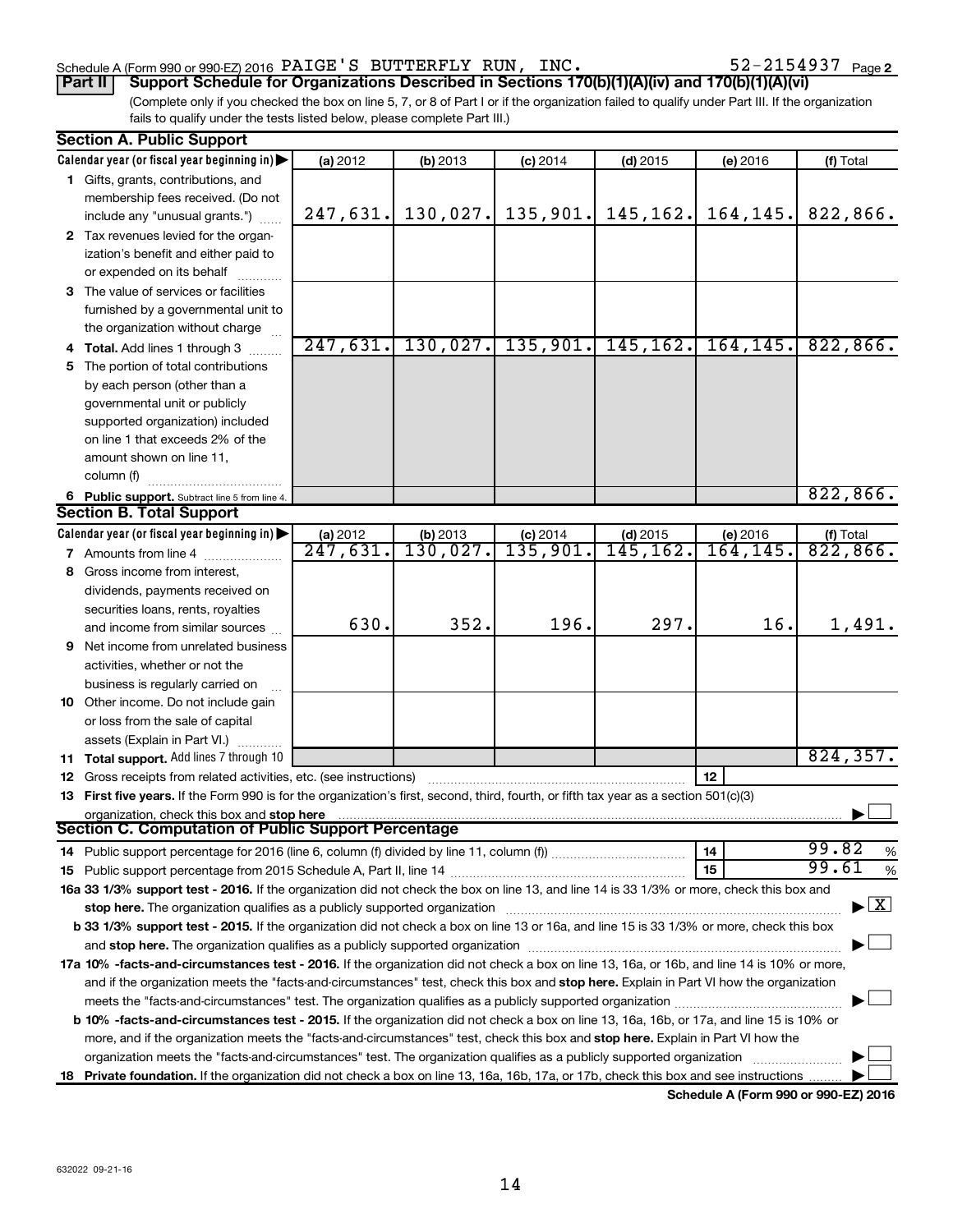#### Schedule A (Form 990 or 990-EZ) 2016  $\rm PAIGE$  'S BUTTERFLY RUN, INC .  $\rm 52\text{--}2154937$   $\rm Page$

(Complete only if you checked the box on line 5, 7, or 8 of Part I or if the organization failed to qualify under Part III. If the organization fails to qualify under the tests listed below, please complete Part III.) **Part II Support Schedule for Organizations Described in Sections 170(b)(1)(A)(iv) and 170(b)(1)(A)(vi)**

|    | <b>Section A. Public Support</b>                                                                                                               |                      |          |            |            |           |                            |  |  |
|----|------------------------------------------------------------------------------------------------------------------------------------------------|----------------------|----------|------------|------------|-----------|----------------------------|--|--|
|    | Calendar year (or fiscal year beginning in)                                                                                                    | (a) 2012             | (b) 2013 | $(c)$ 2014 | $(d)$ 2015 | (e) 2016  | (f) Total                  |  |  |
|    | 1 Gifts, grants, contributions, and                                                                                                            |                      |          |            |            |           |                            |  |  |
|    | membership fees received. (Do not                                                                                                              |                      |          |            |            |           |                            |  |  |
|    | include any "unusual grants.")                                                                                                                 | 247,631.             | 130,027. | 135,901.   | 145, 162.  | 164,145.  | 822,866.                   |  |  |
|    | 2 Tax revenues levied for the organ-                                                                                                           |                      |          |            |            |           |                            |  |  |
|    | ization's benefit and either paid to                                                                                                           |                      |          |            |            |           |                            |  |  |
|    | or expended on its behalf                                                                                                                      |                      |          |            |            |           |                            |  |  |
|    | 3 The value of services or facilities                                                                                                          |                      |          |            |            |           |                            |  |  |
|    | furnished by a governmental unit to                                                                                                            |                      |          |            |            |           |                            |  |  |
|    | the organization without charge                                                                                                                |                      |          |            |            |           |                            |  |  |
|    | 4 Total. Add lines 1 through 3                                                                                                                 | 247,631.             | 130,027. | 135,901.   | 145, 162.  | 164, 145. | 822, 866.                  |  |  |
| 5. | The portion of total contributions                                                                                                             |                      |          |            |            |           |                            |  |  |
|    | by each person (other than a                                                                                                                   |                      |          |            |            |           |                            |  |  |
|    | governmental unit or publicly                                                                                                                  |                      |          |            |            |           |                            |  |  |
|    | supported organization) included                                                                                                               |                      |          |            |            |           |                            |  |  |
|    | on line 1 that exceeds 2% of the                                                                                                               |                      |          |            |            |           |                            |  |  |
|    | amount shown on line 11,                                                                                                                       |                      |          |            |            |           |                            |  |  |
|    | column (f)                                                                                                                                     |                      |          |            |            |           |                            |  |  |
|    | 6 Public support. Subtract line 5 from line 4.                                                                                                 |                      |          |            |            |           | 822, 866.                  |  |  |
|    | <b>Section B. Total Support</b>                                                                                                                |                      |          |            |            |           |                            |  |  |
|    | Calendar year (or fiscal year beginning in)                                                                                                    | (a) 2012             | (b) 2013 | $(c)$ 2014 | $(d)$ 2015 | (e) 2016  |                            |  |  |
|    | <b>7</b> Amounts from line 4                                                                                                                   | $\overline{247,631}$ | 130,027. | 135,901.   | 145,162.   | 164, 145. | $( f )$ Total<br>822, 866. |  |  |
|    | 8 Gross income from interest,                                                                                                                  |                      |          |            |            |           |                            |  |  |
|    | dividends, payments received on                                                                                                                |                      |          |            |            |           |                            |  |  |
|    | securities loans, rents, royalties                                                                                                             |                      |          |            |            |           |                            |  |  |
|    | and income from similar sources                                                                                                                | 630.                 | 352.     | 196.       | 297.       | 16.       | 1,491.                     |  |  |
| 9. | Net income from unrelated business                                                                                                             |                      |          |            |            |           |                            |  |  |
|    | activities, whether or not the                                                                                                                 |                      |          |            |            |           |                            |  |  |
|    | business is regularly carried on                                                                                                               |                      |          |            |            |           |                            |  |  |
|    | 10 Other income. Do not include gain                                                                                                           |                      |          |            |            |           |                            |  |  |
|    | or loss from the sale of capital                                                                                                               |                      |          |            |            |           |                            |  |  |
|    | assets (Explain in Part VI.)                                                                                                                   |                      |          |            |            |           |                            |  |  |
|    | 11 Total support. Add lines 7 through 10                                                                                                       |                      |          |            |            |           | 824, 357.                  |  |  |
|    | <b>12</b> Gross receipts from related activities, etc. (see instructions)                                                                      |                      |          |            |            | 12        |                            |  |  |
|    | 13 First five years. If the Form 990 is for the organization's first, second, third, fourth, or fifth tax year as a section 501(c)(3)          |                      |          |            |            |           |                            |  |  |
|    | organization, check this box and stop here                                                                                                     |                      |          |            |            |           |                            |  |  |
|    | <b>Section C. Computation of Public Support Percentage</b>                                                                                     |                      |          |            |            |           |                            |  |  |
|    | 14 Public support percentage for 2016 (line 6, column (f) divided by line 11, column (f) <i></i>                                               |                      |          |            |            | 14        | 99.82<br>$\%$              |  |  |
|    |                                                                                                                                                |                      |          |            |            | 15        | 99.61<br>$\%$              |  |  |
|    | 16a 33 1/3% support test - 2016. If the organization did not check the box on line 13, and line 14 is 33 1/3% or more, check this box and      |                      |          |            |            |           |                            |  |  |
|    | stop here. The organization qualifies as a publicly supported organization                                                                     |                      |          |            |            |           | $\mathbf{X}$               |  |  |
|    | b 33 1/3% support test - 2015. If the organization did not check a box on line 13 or 16a, and line 15 is 33 1/3% or more, check this box       |                      |          |            |            |           |                            |  |  |
|    |                                                                                                                                                |                      |          |            |            |           |                            |  |  |
|    | 17a 10% -facts-and-circumstances test - 2016. If the organization did not check a box on line 13, 16a, or 16b, and line 14 is 10% or more,     |                      |          |            |            |           |                            |  |  |
|    | and if the organization meets the "facts-and-circumstances" test, check this box and stop here. Explain in Part VI how the organization        |                      |          |            |            |           |                            |  |  |
|    |                                                                                                                                                |                      |          |            |            |           |                            |  |  |
|    | <b>b 10% -facts-and-circumstances test - 2015.</b> If the organization did not check a box on line 13, 16a, 16b, or 17a, and line 15 is 10% or |                      |          |            |            |           |                            |  |  |
|    | more, and if the organization meets the "facts-and-circumstances" test, check this box and stop here. Explain in Part VI how the               |                      |          |            |            |           |                            |  |  |
|    | organization meets the "facts-and-circumstances" test. The organization qualifies as a publicly supported organization                         |                      |          |            |            |           |                            |  |  |
| 18 | Private foundation. If the organization did not check a box on line 13, 16a, 16b, 17a, or 17b, check this box and see instructions             |                      |          |            |            |           |                            |  |  |
|    |                                                                                                                                                |                      |          |            |            |           |                            |  |  |

**Schedule A (Form 990 or 990-EZ) 2016**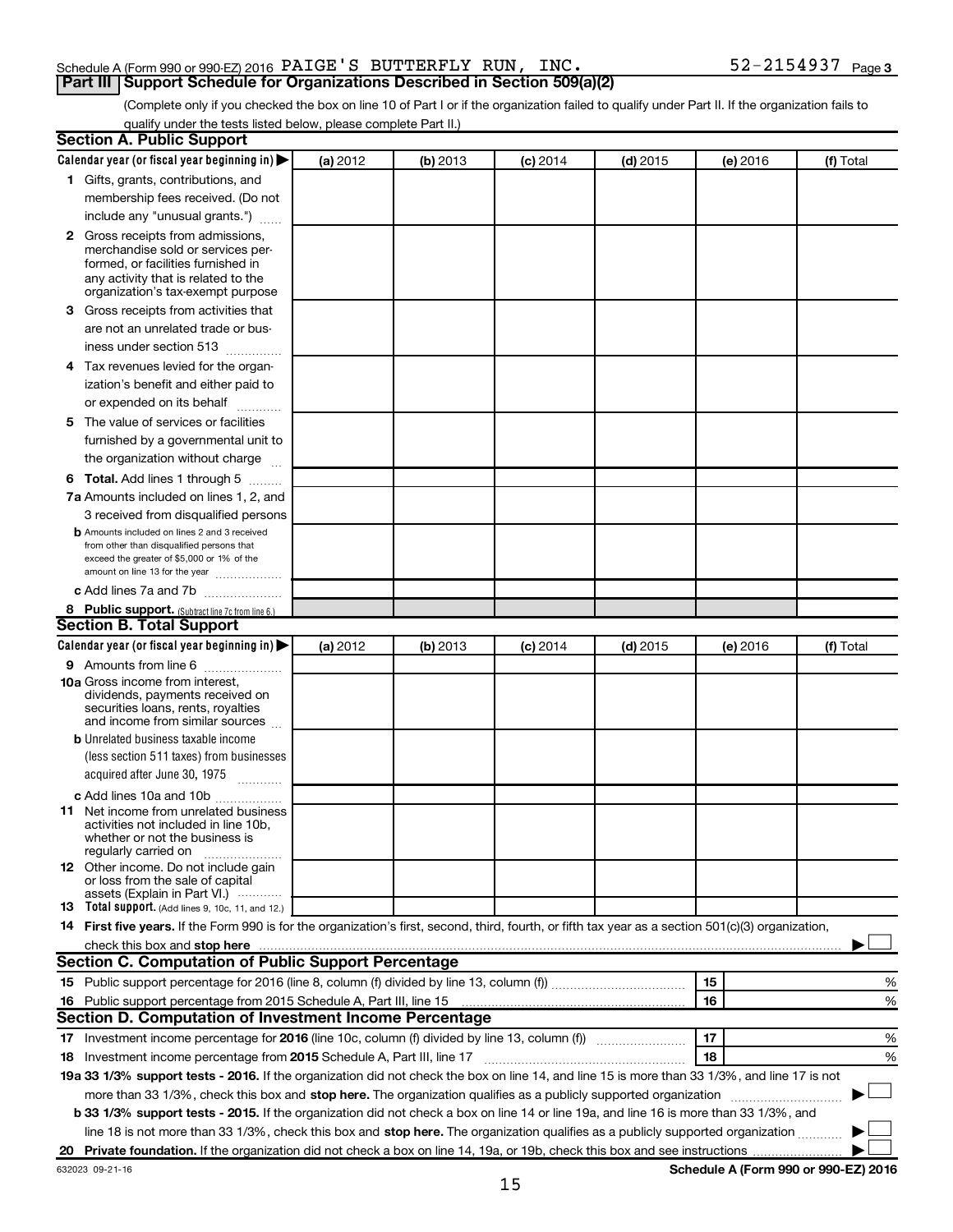#### Schedule A (Form 990 or 990-EZ) 2016  $\rm PAIGE$  'S BUTTERFLY RUN, INC .  $\rm 52\text{--}2154937$   $\rm Page$ **Part III Support Schedule for Organizations Described in Section 509(a)(2)**

(Complete only if you checked the box on line 10 of Part I or if the organization failed to qualify under Part II. If the organization fails to qualify under the tests listed below, please complete Part II.)

|   | <b>Section A. Public Support</b>                                                                                                                                                         |          |          |            |            |          |                                      |
|---|------------------------------------------------------------------------------------------------------------------------------------------------------------------------------------------|----------|----------|------------|------------|----------|--------------------------------------|
|   | Calendar year (or fiscal year beginning in) $\blacktriangleright$                                                                                                                        | (a) 2012 | (b) 2013 | $(c)$ 2014 | $(d)$ 2015 | (e) 2016 | (f) Total                            |
|   | 1 Gifts, grants, contributions, and                                                                                                                                                      |          |          |            |            |          |                                      |
|   | membership fees received. (Do not                                                                                                                                                        |          |          |            |            |          |                                      |
|   | include any "unusual grants.")                                                                                                                                                           |          |          |            |            |          |                                      |
|   | 2 Gross receipts from admissions,<br>merchandise sold or services per-<br>formed, or facilities furnished in<br>any activity that is related to the<br>organization's tax-exempt purpose |          |          |            |            |          |                                      |
|   | 3 Gross receipts from activities that                                                                                                                                                    |          |          |            |            |          |                                      |
|   | are not an unrelated trade or bus-<br>iness under section 513                                                                                                                            |          |          |            |            |          |                                      |
| 4 | Tax revenues levied for the organ-                                                                                                                                                       |          |          |            |            |          |                                      |
|   | ization's benefit and either paid to<br>or expended on its behalf                                                                                                                        |          |          |            |            |          |                                      |
|   | 5 The value of services or facilities                                                                                                                                                    |          |          |            |            |          |                                      |
|   | furnished by a governmental unit to                                                                                                                                                      |          |          |            |            |          |                                      |
|   | the organization without charge                                                                                                                                                          |          |          |            |            |          |                                      |
|   | 6 Total. Add lines 1 through 5                                                                                                                                                           |          |          |            |            |          |                                      |
|   | 7a Amounts included on lines 1, 2, and                                                                                                                                                   |          |          |            |            |          |                                      |
|   | 3 received from disqualified persons                                                                                                                                                     |          |          |            |            |          |                                      |
|   | <b>b</b> Amounts included on lines 2 and 3 received<br>from other than disqualified persons that<br>exceed the greater of \$5,000 or 1% of the<br>amount on line 13 for the year         |          |          |            |            |          |                                      |
|   | c Add lines 7a and 7b                                                                                                                                                                    |          |          |            |            |          |                                      |
|   | 8 Public support. (Subtract line 7c from line 6.)                                                                                                                                        |          |          |            |            |          |                                      |
|   | <b>Section B. Total Support</b>                                                                                                                                                          |          |          |            |            |          |                                      |
|   | Calendar year (or fiscal year beginning in) $\blacktriangleright$                                                                                                                        | (a) 2012 | (b) 2013 | $(c)$ 2014 | $(d)$ 2015 | (e) 2016 | (f) Total                            |
|   | <b>9</b> Amounts from line 6                                                                                                                                                             |          |          |            |            |          |                                      |
|   | <b>10a</b> Gross income from interest,<br>dividends, payments received on<br>securities loans, rents, royalties<br>and income from similar sources                                       |          |          |            |            |          |                                      |
|   | <b>b</b> Unrelated business taxable income                                                                                                                                               |          |          |            |            |          |                                      |
|   | (less section 511 taxes) from businesses<br>acquired after June 30, 1975                                                                                                                 |          |          |            |            |          |                                      |
|   | .                                                                                                                                                                                        |          |          |            |            |          |                                      |
|   | c Add lines 10a and 10b<br><b>11</b> Net income from unrelated business<br>activities not included in line 10b,<br>whether or not the business is<br>regularly carried on                |          |          |            |            |          |                                      |
|   | 12 Other income. Do not include gain<br>or loss from the sale of capital<br>assets (Explain in Part VI.)                                                                                 |          |          |            |            |          |                                      |
|   | <b>13</b> Total support. (Add lines 9, 10c, 11, and 12.)                                                                                                                                 |          |          |            |            |          |                                      |
|   | 14 First five years. If the Form 990 is for the organization's first, second, third, fourth, or fifth tax year as a section 501(c)(3) organization,                                      |          |          |            |            |          |                                      |
|   |                                                                                                                                                                                          |          |          |            |            |          |                                      |
|   | <b>Section C. Computation of Public Support Percentage</b>                                                                                                                               |          |          |            |            |          |                                      |
|   |                                                                                                                                                                                          |          |          |            |            | 15       | %                                    |
|   | 16 Public support percentage from 2015 Schedule A, Part III, line 15                                                                                                                     |          |          |            |            | 16       | %                                    |
|   | Section D. Computation of Investment Income Percentage                                                                                                                                   |          |          |            |            |          |                                      |
|   |                                                                                                                                                                                          |          |          |            |            | 17       | %                                    |
|   | 18 Investment income percentage from 2015 Schedule A, Part III, line 17                                                                                                                  |          |          |            |            | 18       | %                                    |
|   | 19a 33 1/3% support tests - 2016. If the organization did not check the box on line 14, and line 15 is more than 33 1/3%, and line 17 is not                                             |          |          |            |            |          |                                      |
|   | more than 33 1/3%, check this box and stop here. The organization qualifies as a publicly supported organization                                                                         |          |          |            |            |          |                                      |
|   | <b>b 33 1/3% support tests - 2015.</b> If the organization did not check a box on line 14 or line 19a, and line 16 is more than 33 1/3%, and                                             |          |          |            |            |          |                                      |
|   | line 18 is not more than 33 1/3%, check this box and stop here. The organization qualifies as a publicly supported organization                                                          |          |          |            |            |          |                                      |
|   |                                                                                                                                                                                          |          |          |            |            |          |                                      |
|   | 632023 09-21-16                                                                                                                                                                          |          |          |            |            |          | Schedule A (Form 990 or 990-EZ) 2016 |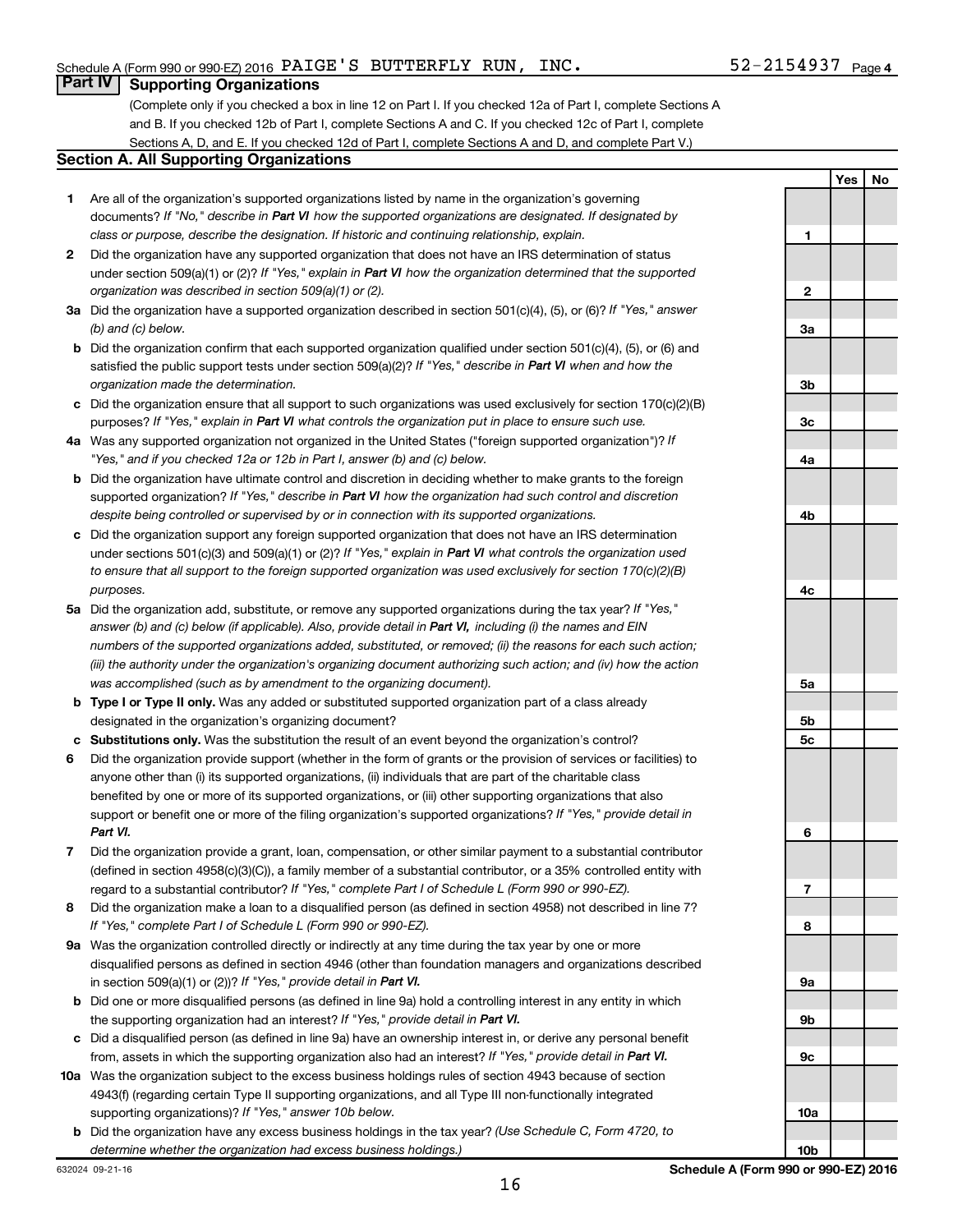**Yes No**

#### **Part IV Supporting Organizations**

(Complete only if you checked a box in line 12 on Part I. If you checked 12a of Part I, complete Sections A and B. If you checked 12b of Part I, complete Sections A and C. If you checked 12c of Part I, complete Sections A, D, and E. If you checked 12d of Part I, complete Sections A and D, and complete Part V.)

#### **Section A. All Supporting Organizations**

- **1** Are all of the organization's supported organizations listed by name in the organization's governing documents? If "No," describe in Part VI how the supported organizations are designated. If designated by *class or purpose, describe the designation. If historic and continuing relationship, explain.*
- **2** Did the organization have any supported organization that does not have an IRS determination of status under section 509(a)(1) or (2)? If "Yes," explain in Part VI how the organization determined that the supported *organization was described in section 509(a)(1) or (2).*
- **3a** Did the organization have a supported organization described in section 501(c)(4), (5), or (6)? If "Yes," answer *(b) and (c) below.*
- **b** Did the organization confirm that each supported organization qualified under section 501(c)(4), (5), or (6) and satisfied the public support tests under section 509(a)(2)? If "Yes," describe in Part VI when and how the *organization made the determination.*
- **c** Did the organization ensure that all support to such organizations was used exclusively for section 170(c)(2)(B) purposes? If "Yes," explain in Part VI what controls the organization put in place to ensure such use.
- **4 a** *If* Was any supported organization not organized in the United States ("foreign supported organization")? *"Yes," and if you checked 12a or 12b in Part I, answer (b) and (c) below.*
- **b** Did the organization have ultimate control and discretion in deciding whether to make grants to the foreign supported organization? If "Yes," describe in Part VI how the organization had such control and discretion *despite being controlled or supervised by or in connection with its supported organizations.*
- **c** Did the organization support any foreign supported organization that does not have an IRS determination under sections 501(c)(3) and 509(a)(1) or (2)? If "Yes," explain in Part VI what controls the organization used *to ensure that all support to the foreign supported organization was used exclusively for section 170(c)(2)(B) purposes.*
- **5a** Did the organization add, substitute, or remove any supported organizations during the tax year? If "Yes," answer (b) and (c) below (if applicable). Also, provide detail in Part VI, including (i) the names and EIN *numbers of the supported organizations added, substituted, or removed; (ii) the reasons for each such action; (iii) the authority under the organization's organizing document authorizing such action; and (iv) how the action was accomplished (such as by amendment to the organizing document).*
- **b Type I or Type II only.** Was any added or substituted supported organization part of a class already designated in the organization's organizing document?
- **c Substitutions only.**  Was the substitution the result of an event beyond the organization's control?
- **6** Did the organization provide support (whether in the form of grants or the provision of services or facilities) to support or benefit one or more of the filing organization's supported organizations? If "Yes," provide detail in anyone other than (i) its supported organizations, (ii) individuals that are part of the charitable class benefited by one or more of its supported organizations, or (iii) other supporting organizations that also *Part VI.*
- **7** Did the organization provide a grant, loan, compensation, or other similar payment to a substantial contributor regard to a substantial contributor? If "Yes," complete Part I of Schedule L (Form 990 or 990-EZ). (defined in section 4958(c)(3)(C)), a family member of a substantial contributor, or a 35% controlled entity with
- **8** Did the organization make a loan to a disqualified person (as defined in section 4958) not described in line 7? *If "Yes," complete Part I of Schedule L (Form 990 or 990-EZ).*
- **9 a** Was the organization controlled directly or indirectly at any time during the tax year by one or more in section 509(a)(1) or (2))? If "Yes," provide detail in Part VI. disqualified persons as defined in section 4946 (other than foundation managers and organizations described
- **b** Did one or more disqualified persons (as defined in line 9a) hold a controlling interest in any entity in which the supporting organization had an interest? If "Yes," provide detail in Part VI.
- **c** Did a disqualified person (as defined in line 9a) have an ownership interest in, or derive any personal benefit from, assets in which the supporting organization also had an interest? If "Yes," provide detail in Part VI.
- **10 a** Was the organization subject to the excess business holdings rules of section 4943 because of section supporting organizations)? If "Yes," answer 10b below. 4943(f) (regarding certain Type II supporting organizations, and all Type III non-functionally integrated
	- **b** Did the organization have any excess business holdings in the tax year? (Use Schedule C, Form 4720, to *determine whether the organization had excess business holdings.)*

**1 2 3a 3b 3c 4a 4b 4c 5a 5b 5c 6 7 8 9a 9b 9c 10a**

**10b**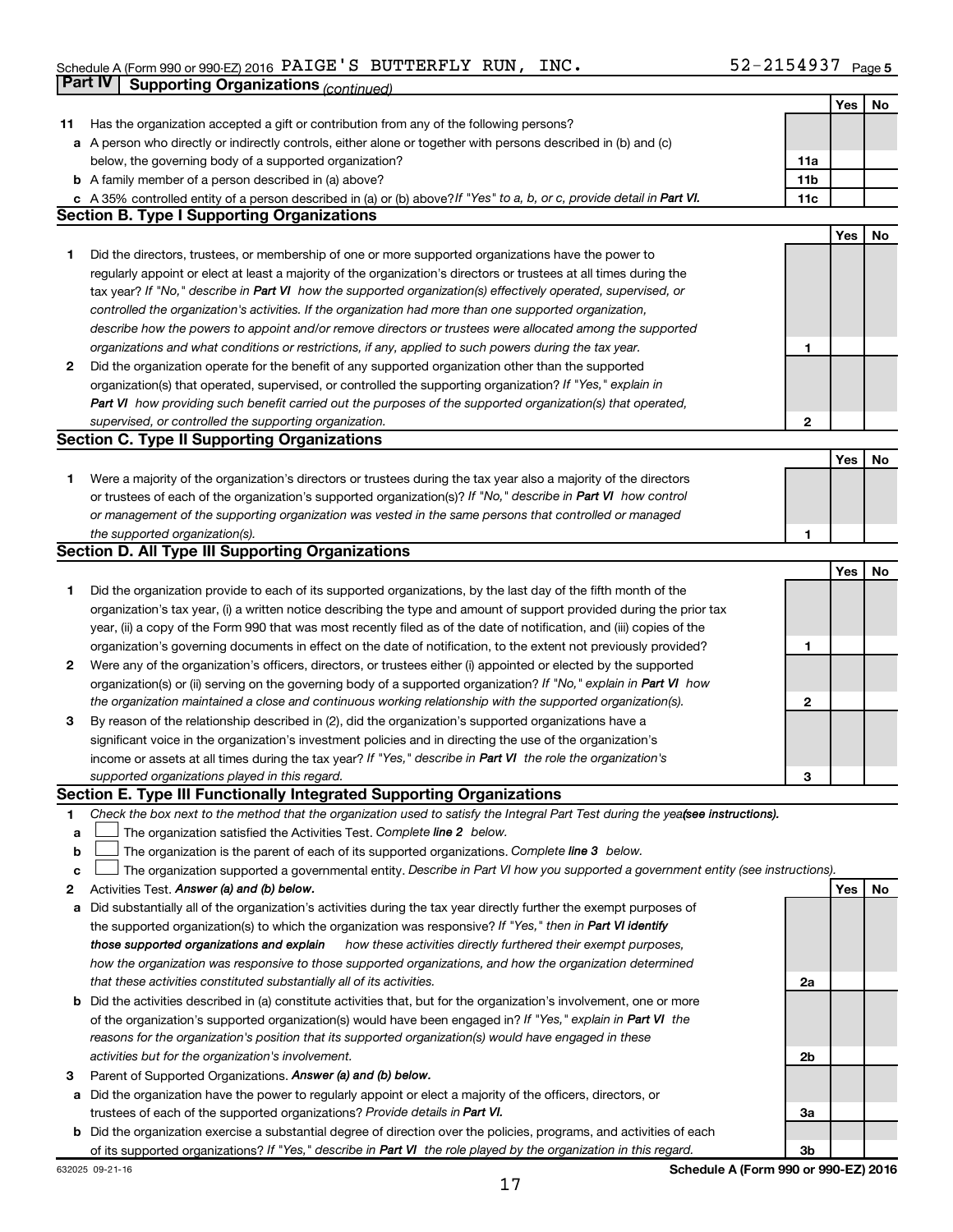#### Schedule A (Form 990 or 990-EZ) 2016  $\rm PAIGE$  'S BUTTERFLY RUN, INC .  $\rm 52\text{--}2154937$   $\rm Page$ **Part IV Supporting Organizations** *(continued)*

|    |                                                                                                                                 |                 | Yes | No |
|----|---------------------------------------------------------------------------------------------------------------------------------|-----------------|-----|----|
| 11 | Has the organization accepted a gift or contribution from any of the following persons?                                         |                 |     |    |
|    | a A person who directly or indirectly controls, either alone or together with persons described in (b) and (c)                  |                 |     |    |
|    | below, the governing body of a supported organization?                                                                          | 11a             |     |    |
|    | <b>b</b> A family member of a person described in (a) above?                                                                    | 11 <sub>b</sub> |     |    |
|    | c A 35% controlled entity of a person described in (a) or (b) above? If "Yes" to a, b, or c, provide detail in Part VI.         | 11c             |     |    |
|    | <b>Section B. Type I Supporting Organizations</b>                                                                               |                 |     |    |
|    |                                                                                                                                 |                 |     |    |
|    |                                                                                                                                 |                 | Yes | No |
| 1  | Did the directors, trustees, or membership of one or more supported organizations have the power to                             |                 |     |    |
|    | regularly appoint or elect at least a majority of the organization's directors or trustees at all times during the              |                 |     |    |
|    | tax year? If "No," describe in Part VI how the supported organization(s) effectively operated, supervised, or                   |                 |     |    |
|    | controlled the organization's activities. If the organization had more than one supported organization,                         |                 |     |    |
|    | describe how the powers to appoint and/or remove directors or trustees were allocated among the supported                       |                 |     |    |
|    | organizations and what conditions or restrictions, if any, applied to such powers during the tax year.                          | 1               |     |    |
| 2  | Did the organization operate for the benefit of any supported organization other than the supported                             |                 |     |    |
|    | organization(s) that operated, supervised, or controlled the supporting organization? If "Yes," explain in                      |                 |     |    |
|    | Part VI how providing such benefit carried out the purposes of the supported organization(s) that operated,                     |                 |     |    |
|    | supervised, or controlled the supporting organization.                                                                          | 2               |     |    |
|    | <b>Section C. Type II Supporting Organizations</b>                                                                              |                 |     |    |
|    |                                                                                                                                 |                 |     |    |
|    |                                                                                                                                 |                 | Yes | No |
| 1  | Were a majority of the organization's directors or trustees during the tax year also a majority of the directors                |                 |     |    |
|    | or trustees of each of the organization's supported organization(s)? If "No," describe in Part VI how control                   |                 |     |    |
|    | or management of the supporting organization was vested in the same persons that controlled or managed                          |                 |     |    |
|    | the supported organization(s).                                                                                                  | 1               |     |    |
|    | <b>Section D. All Type III Supporting Organizations</b>                                                                         |                 |     |    |
|    |                                                                                                                                 |                 | Yes | No |
| 1  | Did the organization provide to each of its supported organizations, by the last day of the fifth month of the                  |                 |     |    |
|    | organization's tax year, (i) a written notice describing the type and amount of support provided during the prior tax           |                 |     |    |
|    | year, (ii) a copy of the Form 990 that was most recently filed as of the date of notification, and (iii) copies of the          |                 |     |    |
|    |                                                                                                                                 | 1               |     |    |
|    | organization's governing documents in effect on the date of notification, to the extent not previously provided?                |                 |     |    |
| 2  | Were any of the organization's officers, directors, or trustees either (i) appointed or elected by the supported                |                 |     |    |
|    | organization(s) or (ii) serving on the governing body of a supported organization? If "No," explain in Part VI how              |                 |     |    |
|    | the organization maintained a close and continuous working relationship with the supported organization(s).                     | 2               |     |    |
| 3  | By reason of the relationship described in (2), did the organization's supported organizations have a                           |                 |     |    |
|    | significant voice in the organization's investment policies and in directing the use of the organization's                      |                 |     |    |
|    | income or assets at all times during the tax year? If "Yes," describe in Part VI the role the organization's                    |                 |     |    |
|    | supported organizations played in this regard.                                                                                  | 3               |     |    |
|    | Section E. Type III Functionally Integrated Supporting Organizations                                                            |                 |     |    |
| 1. | Check the box next to the method that the organization used to satisfy the Integral Part Test during the yealsee instructions). |                 |     |    |
| a  | The organization satisfied the Activities Test. Complete line 2 below.                                                          |                 |     |    |
| b  | The organization is the parent of each of its supported organizations. Complete line 3 below.                                   |                 |     |    |
|    | The organization supported a governmental entity. Describe in Part VI how you supported a government entity (see instructions). |                 |     |    |
| с  |                                                                                                                                 |                 |     |    |
| 2  | Activities Test. Answer (a) and (b) below.                                                                                      |                 | Yes | No |
| а  | Did substantially all of the organization's activities during the tax year directly further the exempt purposes of              |                 |     |    |
|    | the supported organization(s) to which the organization was responsive? If "Yes," then in Part VI identify                      |                 |     |    |
|    | those supported organizations and explain how these activities directly furthered their exempt purposes,                        |                 |     |    |
|    | how the organization was responsive to those supported organizations, and how the organization determined                       |                 |     |    |
|    | that these activities constituted substantially all of its activities.                                                          | 2a              |     |    |
| b  | Did the activities described in (a) constitute activities that, but for the organization's involvement, one or more             |                 |     |    |
|    | of the organization's supported organization(s) would have been engaged in? If "Yes," explain in Part VI the                    |                 |     |    |
|    | reasons for the organization's position that its supported organization(s) would have engaged in these                          |                 |     |    |
|    | activities but for the organization's involvement.                                                                              | 2 <sub>b</sub>  |     |    |
| з  | Parent of Supported Organizations. Answer (a) and (b) below.                                                                    |                 |     |    |
|    |                                                                                                                                 |                 |     |    |
| а  | Did the organization have the power to regularly appoint or elect a majority of the officers, directors, or                     |                 |     |    |
|    | trustees of each of the supported organizations? Provide details in Part VI.                                                    | Зa              |     |    |
| b  | Did the organization exercise a substantial degree of direction over the policies, programs, and activities of each             |                 |     |    |
|    | of its supported organizations? If "Yes," describe in Part VI the role played by the organization in this regard.               | 3b              |     |    |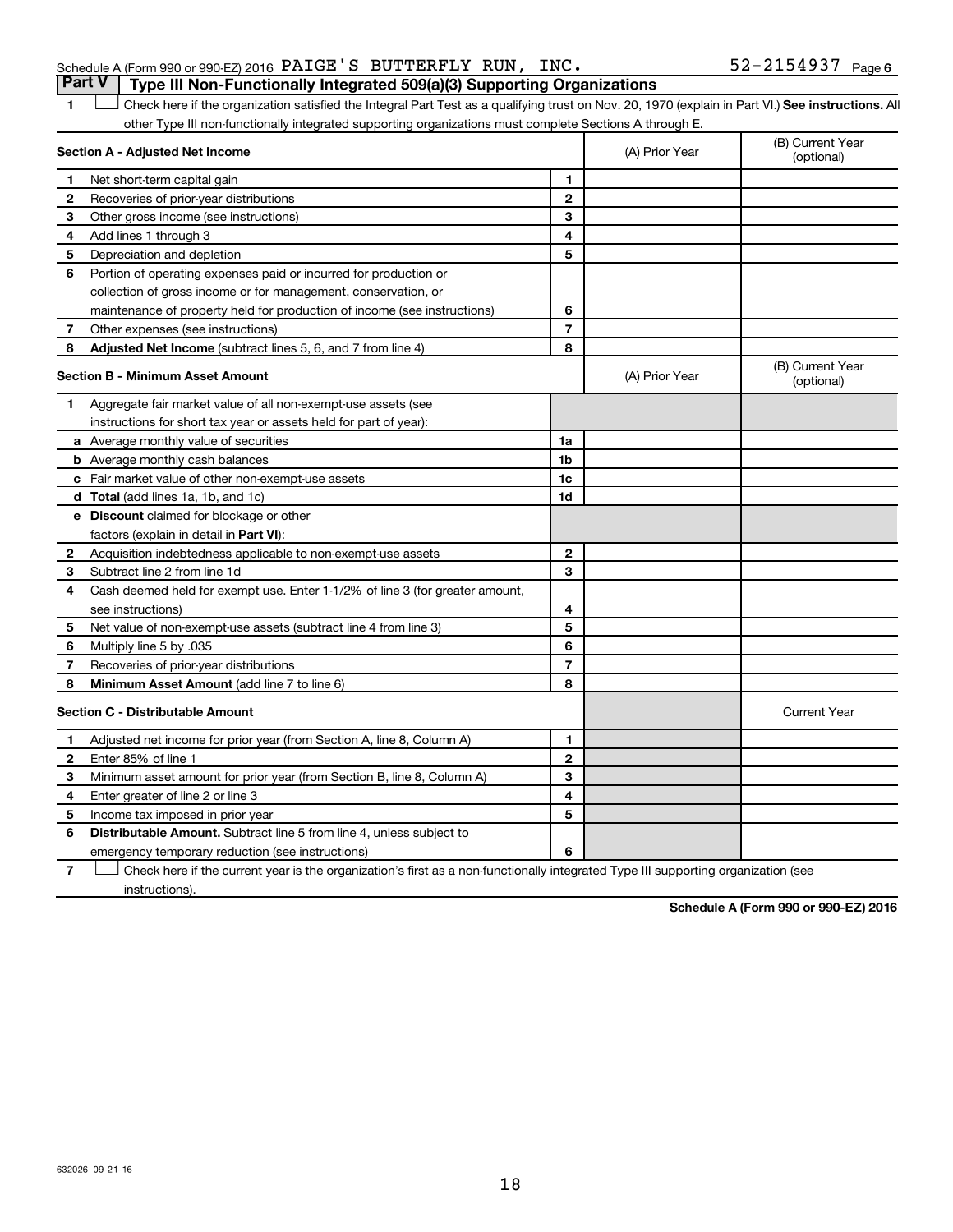1 **Letter here if the organization satisfied the Integral Part Test as a qualifying trust on Nov. 20, 1970 (explain in Part VI.) See instructions. All** other Type III non-functionally integrated supporting organizations must complete Sections A through E.

|                | Section A - Adjusted Net Income                                              |                | (A) Prior Year | (B) Current Year<br>(optional) |
|----------------|------------------------------------------------------------------------------|----------------|----------------|--------------------------------|
| 1              | Net short-term capital gain                                                  | 1              |                |                                |
| $\mathbf{2}$   | Recoveries of prior-year distributions                                       | $\mathbf{2}$   |                |                                |
| 3              | Other gross income (see instructions)                                        | 3              |                |                                |
| 4              | Add lines 1 through 3                                                        | 4              |                |                                |
| 5              | Depreciation and depletion                                                   | 5              |                |                                |
| 6              | Portion of operating expenses paid or incurred for production or             |                |                |                                |
|                | collection of gross income or for management, conservation, or               |                |                |                                |
|                | maintenance of property held for production of income (see instructions)     | 6              |                |                                |
| $\overline{7}$ | Other expenses (see instructions)                                            | $\overline{7}$ |                |                                |
| 8              | Adjusted Net Income (subtract lines 5, 6, and 7 from line 4)                 | 8              |                |                                |
|                | <b>Section B - Minimum Asset Amount</b>                                      |                | (A) Prior Year | (B) Current Year<br>(optional) |
| 1              | Aggregate fair market value of all non-exempt-use assets (see                |                |                |                                |
|                | instructions for short tax year or assets held for part of year):            |                |                |                                |
|                | a Average monthly value of securities                                        | 1a             |                |                                |
|                | <b>b</b> Average monthly cash balances                                       | 1b             |                |                                |
|                | c Fair market value of other non-exempt-use assets                           | 1 <sub>c</sub> |                |                                |
|                | <b>d</b> Total (add lines 1a, 1b, and 1c)                                    | 1 <sub>d</sub> |                |                                |
|                | e Discount claimed for blockage or other                                     |                |                |                                |
|                | factors (explain in detail in Part VI):                                      |                |                |                                |
| $\mathbf{2}$   | Acquisition indebtedness applicable to non-exempt-use assets                 | $\mathbf{2}$   |                |                                |
| 3              | Subtract line 2 from line 1d                                                 | 3              |                |                                |
| 4              | Cash deemed held for exempt use. Enter 1-1/2% of line 3 (for greater amount, |                |                |                                |
|                | see instructions)                                                            | 4              |                |                                |
| 5              | Net value of non-exempt-use assets (subtract line 4 from line 3)             | 5              |                |                                |
| 6              | Multiply line 5 by .035                                                      | 6              |                |                                |
| 7              | Recoveries of prior-year distributions                                       | $\overline{7}$ |                |                                |
| 8              | Minimum Asset Amount (add line 7 to line 6)                                  | 8              |                |                                |
|                | <b>Section C - Distributable Amount</b>                                      |                |                | <b>Current Year</b>            |
| 1              | Adjusted net income for prior year (from Section A, line 8, Column A)        | 1              |                |                                |
| $\mathbf{2}$   | Enter 85% of line 1                                                          | $\mathbf{2}$   |                |                                |
| 3              | Minimum asset amount for prior year (from Section B, line 8, Column A)       | 3              |                |                                |
| 4              | Enter greater of line 2 or line 3                                            | 4              |                |                                |
| 5              | Income tax imposed in prior year                                             | 5              |                |                                |
| 6              | <b>Distributable Amount.</b> Subtract line 5 from line 4, unless subject to  |                |                |                                |
|                | emergency temporary reduction (see instructions)                             | 6              |                |                                |
|                |                                                                              |                |                |                                |

**7** Check here if the current year is the organization's first as a non-functionally integrated Type III supporting organization (see instructions).

**Schedule A (Form 990 or 990-EZ) 2016**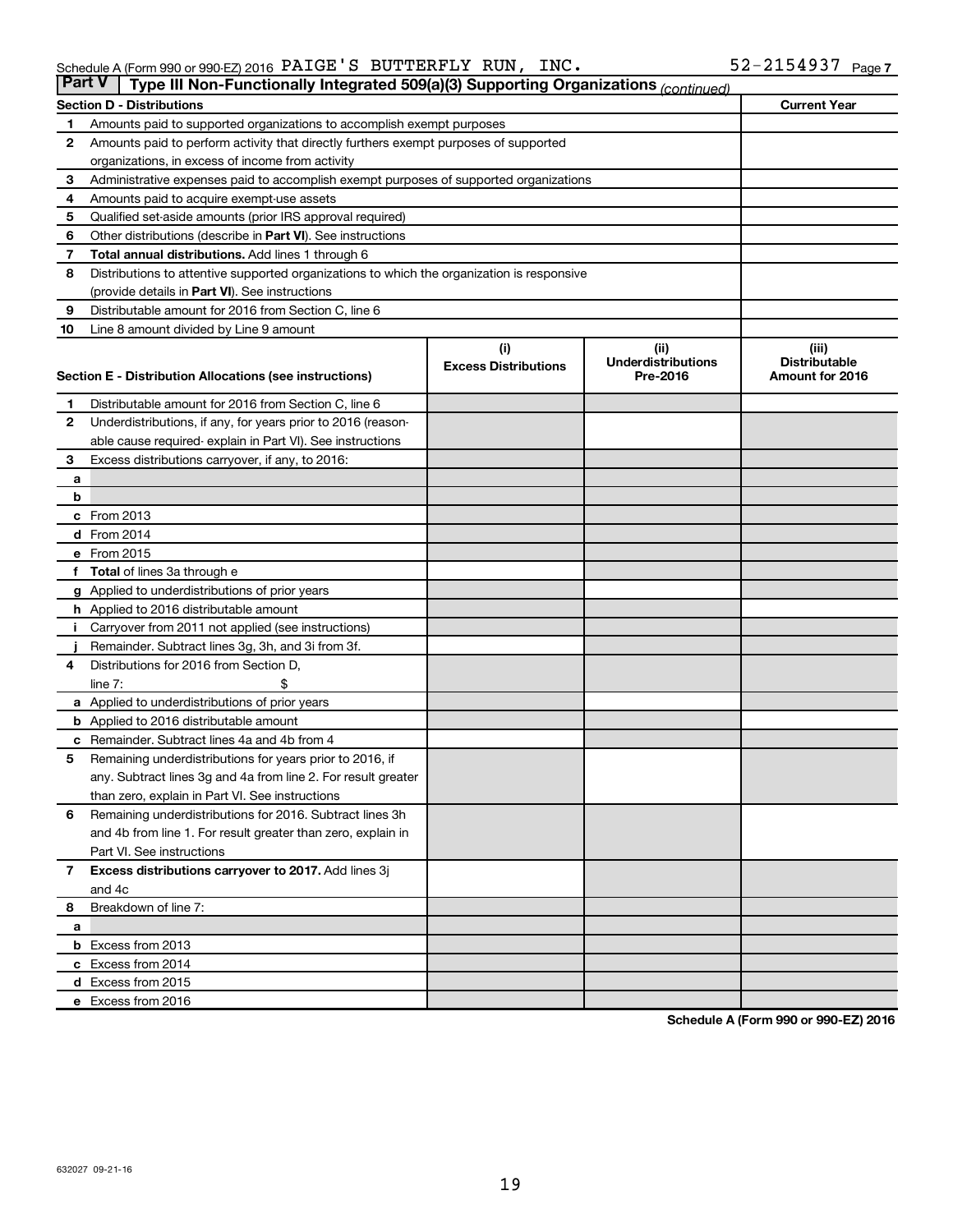| <b>Part V</b><br>Type III Non-Functionally Integrated 509(a)(3) Supporting Organizations (continued) |                                                                                             |                             |                                       |                                         |  |  |  |
|------------------------------------------------------------------------------------------------------|---------------------------------------------------------------------------------------------|-----------------------------|---------------------------------------|-----------------------------------------|--|--|--|
|                                                                                                      | <b>Current Year</b><br><b>Section D - Distributions</b>                                     |                             |                                       |                                         |  |  |  |
| 1                                                                                                    | Amounts paid to supported organizations to accomplish exempt purposes                       |                             |                                       |                                         |  |  |  |
| 2                                                                                                    | Amounts paid to perform activity that directly furthers exempt purposes of supported        |                             |                                       |                                         |  |  |  |
|                                                                                                      | organizations, in excess of income from activity                                            |                             |                                       |                                         |  |  |  |
| 3                                                                                                    | Administrative expenses paid to accomplish exempt purposes of supported organizations       |                             |                                       |                                         |  |  |  |
| 4                                                                                                    | Amounts paid to acquire exempt-use assets                                                   |                             |                                       |                                         |  |  |  |
| 5                                                                                                    | Qualified set-aside amounts (prior IRS approval required)                                   |                             |                                       |                                         |  |  |  |
| 6                                                                                                    | Other distributions (describe in Part VI). See instructions                                 |                             |                                       |                                         |  |  |  |
| 7                                                                                                    | <b>Total annual distributions.</b> Add lines 1 through 6                                    |                             |                                       |                                         |  |  |  |
| 8                                                                                                    | Distributions to attentive supported organizations to which the organization is responsive  |                             |                                       |                                         |  |  |  |
|                                                                                                      | (provide details in Part VI). See instructions                                              |                             |                                       |                                         |  |  |  |
| 9                                                                                                    | Distributable amount for 2016 from Section C, line 6                                        |                             |                                       |                                         |  |  |  |
| 10                                                                                                   | Line 8 amount divided by Line 9 amount                                                      |                             |                                       |                                         |  |  |  |
|                                                                                                      |                                                                                             | (i)                         | (ii)                                  | (iii)                                   |  |  |  |
|                                                                                                      | <b>Section E - Distribution Allocations (see instructions)</b>                              | <b>Excess Distributions</b> | <b>Underdistributions</b><br>Pre-2016 | <b>Distributable</b><br>Amount for 2016 |  |  |  |
|                                                                                                      |                                                                                             |                             |                                       |                                         |  |  |  |
| 1                                                                                                    | Distributable amount for 2016 from Section C, line 6                                        |                             |                                       |                                         |  |  |  |
| $\mathbf{2}$                                                                                         | Underdistributions, if any, for years prior to 2016 (reason-                                |                             |                                       |                                         |  |  |  |
|                                                                                                      | able cause required-explain in Part VI). See instructions                                   |                             |                                       |                                         |  |  |  |
| 3                                                                                                    | Excess distributions carryover, if any, to 2016:                                            |                             |                                       |                                         |  |  |  |
| a                                                                                                    |                                                                                             |                             |                                       |                                         |  |  |  |
| b                                                                                                    |                                                                                             |                             |                                       |                                         |  |  |  |
|                                                                                                      | c From 2013                                                                                 |                             |                                       |                                         |  |  |  |
|                                                                                                      | d From 2014                                                                                 |                             |                                       |                                         |  |  |  |
|                                                                                                      | e From 2015                                                                                 |                             |                                       |                                         |  |  |  |
|                                                                                                      | Total of lines 3a through e                                                                 |                             |                                       |                                         |  |  |  |
|                                                                                                      | g Applied to underdistributions of prior years                                              |                             |                                       |                                         |  |  |  |
|                                                                                                      | <b>h</b> Applied to 2016 distributable amount                                               |                             |                                       |                                         |  |  |  |
|                                                                                                      | Carryover from 2011 not applied (see instructions)                                          |                             |                                       |                                         |  |  |  |
|                                                                                                      | Remainder. Subtract lines 3g, 3h, and 3i from 3f.<br>Distributions for 2016 from Section D, |                             |                                       |                                         |  |  |  |
| 4                                                                                                    | line 7:                                                                                     |                             |                                       |                                         |  |  |  |
|                                                                                                      | a Applied to underdistributions of prior years                                              |                             |                                       |                                         |  |  |  |
|                                                                                                      | <b>b</b> Applied to 2016 distributable amount                                               |                             |                                       |                                         |  |  |  |
| с                                                                                                    | Remainder. Subtract lines 4a and 4b from 4                                                  |                             |                                       |                                         |  |  |  |
| 5                                                                                                    | Remaining underdistributions for years prior to 2016, if                                    |                             |                                       |                                         |  |  |  |
|                                                                                                      | any. Subtract lines 3g and 4a from line 2. For result greater                               |                             |                                       |                                         |  |  |  |
|                                                                                                      | than zero, explain in Part VI. See instructions                                             |                             |                                       |                                         |  |  |  |
| 6                                                                                                    | Remaining underdistributions for 2016. Subtract lines 3h                                    |                             |                                       |                                         |  |  |  |
|                                                                                                      | and 4b from line 1. For result greater than zero, explain in                                |                             |                                       |                                         |  |  |  |
|                                                                                                      | Part VI. See instructions                                                                   |                             |                                       |                                         |  |  |  |
| $\mathbf{7}$                                                                                         | Excess distributions carryover to 2017. Add lines 3j                                        |                             |                                       |                                         |  |  |  |
|                                                                                                      | and 4c                                                                                      |                             |                                       |                                         |  |  |  |
| 8                                                                                                    | Breakdown of line 7:                                                                        |                             |                                       |                                         |  |  |  |
| a                                                                                                    |                                                                                             |                             |                                       |                                         |  |  |  |
|                                                                                                      | <b>b</b> Excess from 2013                                                                   |                             |                                       |                                         |  |  |  |
|                                                                                                      | c Excess from 2014                                                                          |                             |                                       |                                         |  |  |  |
|                                                                                                      | d Excess from 2015                                                                          |                             |                                       |                                         |  |  |  |
|                                                                                                      | e Excess from 2016                                                                          |                             |                                       |                                         |  |  |  |

**Schedule A (Form 990 or 990-EZ) 2016**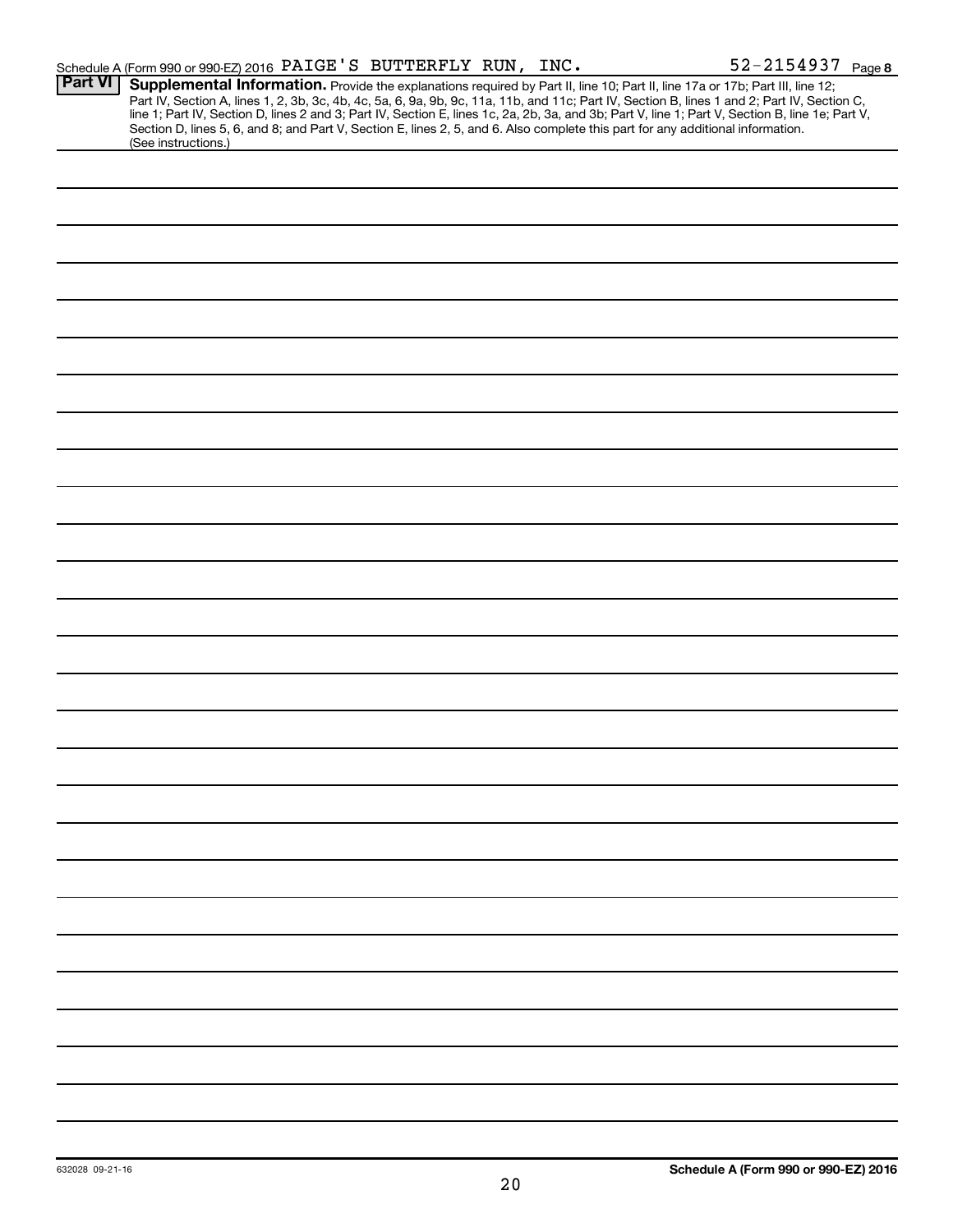|                | Schedule A (Form 990 or 990-EZ) 2016 PAIGE'S BUTTERFLY RUN, INC.                                                                                                                                                                                                                                                                                                                                                                                                                                                                                                                            | 52-2154937 Page 8 |
|----------------|---------------------------------------------------------------------------------------------------------------------------------------------------------------------------------------------------------------------------------------------------------------------------------------------------------------------------------------------------------------------------------------------------------------------------------------------------------------------------------------------------------------------------------------------------------------------------------------------|-------------------|
| <b>Part VI</b> | Supplemental Information. Provide the explanations required by Part II, line 10; Part II, line 17a or 17b; Part III, line 12;<br>Part IV, Section A, lines 1, 2, 3b, 3c, 4b, 4c, 5a, 6, 9a, 9b, 9c, 11a, 11b, and 11c; Part IV, Section B, lines 1 and 2; Part IV, Section C,<br>line 1; Part IV, Section D, lines 2 and 3; Part IV, Section E, lines 1c, 2a, 2b, 3a, and 3b; Part V, line 1; Part V, Section B, line 1e; Part V,<br>Section D, lines 5, 6, and 8; and Part V, Section E, lines 2, 5, and 6. Also complete this part for any additional information.<br>(See instructions.) |                   |
|                |                                                                                                                                                                                                                                                                                                                                                                                                                                                                                                                                                                                             |                   |
|                |                                                                                                                                                                                                                                                                                                                                                                                                                                                                                                                                                                                             |                   |
|                |                                                                                                                                                                                                                                                                                                                                                                                                                                                                                                                                                                                             |                   |
|                |                                                                                                                                                                                                                                                                                                                                                                                                                                                                                                                                                                                             |                   |
|                |                                                                                                                                                                                                                                                                                                                                                                                                                                                                                                                                                                                             |                   |
|                |                                                                                                                                                                                                                                                                                                                                                                                                                                                                                                                                                                                             |                   |
|                |                                                                                                                                                                                                                                                                                                                                                                                                                                                                                                                                                                                             |                   |
|                |                                                                                                                                                                                                                                                                                                                                                                                                                                                                                                                                                                                             |                   |
|                |                                                                                                                                                                                                                                                                                                                                                                                                                                                                                                                                                                                             |                   |
|                |                                                                                                                                                                                                                                                                                                                                                                                                                                                                                                                                                                                             |                   |
|                |                                                                                                                                                                                                                                                                                                                                                                                                                                                                                                                                                                                             |                   |
|                |                                                                                                                                                                                                                                                                                                                                                                                                                                                                                                                                                                                             |                   |
|                |                                                                                                                                                                                                                                                                                                                                                                                                                                                                                                                                                                                             |                   |
|                |                                                                                                                                                                                                                                                                                                                                                                                                                                                                                                                                                                                             |                   |
|                |                                                                                                                                                                                                                                                                                                                                                                                                                                                                                                                                                                                             |                   |
|                |                                                                                                                                                                                                                                                                                                                                                                                                                                                                                                                                                                                             |                   |
|                |                                                                                                                                                                                                                                                                                                                                                                                                                                                                                                                                                                                             |                   |
|                |                                                                                                                                                                                                                                                                                                                                                                                                                                                                                                                                                                                             |                   |
|                |                                                                                                                                                                                                                                                                                                                                                                                                                                                                                                                                                                                             |                   |
|                |                                                                                                                                                                                                                                                                                                                                                                                                                                                                                                                                                                                             |                   |
|                |                                                                                                                                                                                                                                                                                                                                                                                                                                                                                                                                                                                             |                   |
|                |                                                                                                                                                                                                                                                                                                                                                                                                                                                                                                                                                                                             |                   |
|                |                                                                                                                                                                                                                                                                                                                                                                                                                                                                                                                                                                                             |                   |
|                |                                                                                                                                                                                                                                                                                                                                                                                                                                                                                                                                                                                             |                   |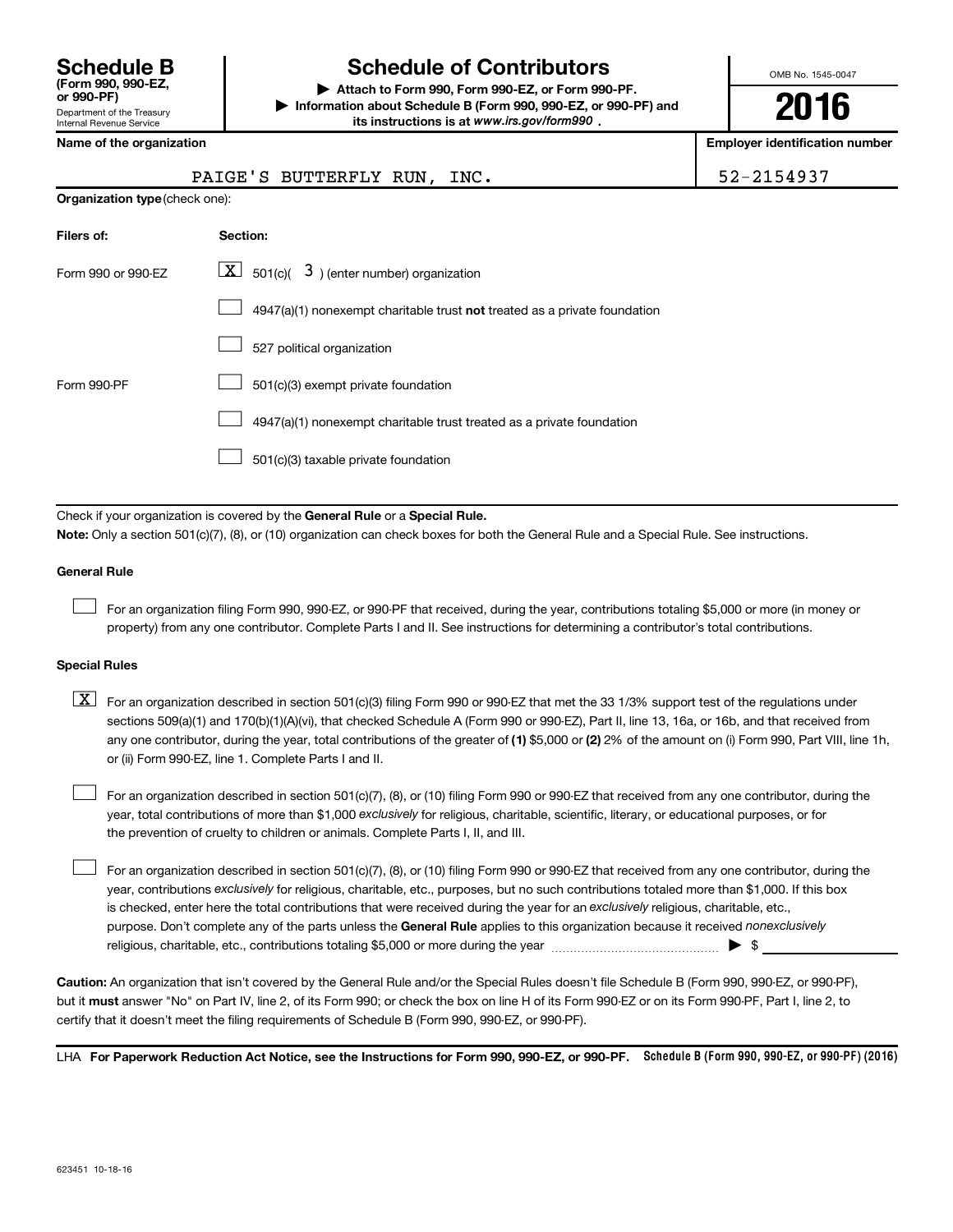# **Schedule B Schedule of Contributors**

**or 990-PF) | Attach to Form 990, Form 990-EZ, or Form 990-PF. | Information about Schedule B (Form 990, 990-EZ, or 990-PF) and** its instructions is at www.irs.gov/form990.

PAIGE'S BUTTERFLY RUN, INC. 1997

OMB No. 1545-0047

**2016**

**Employer identification number** 

| 2-2154937 |  |
|-----------|--|
|-----------|--|

| vame or the organization |  |  |  |
|--------------------------|--|--|--|
|                          |  |  |  |

| <b>Organization type</b> (check one): |                                                                           |  |  |  |  |
|---------------------------------------|---------------------------------------------------------------------------|--|--|--|--|
| Filers of:                            | Section:                                                                  |  |  |  |  |
| Form 990 or 990-EZ                    | $ \mathbf{X} $ 501(c)( 3) (enter number) organization                     |  |  |  |  |
|                                       | 4947(a)(1) nonexempt charitable trust not treated as a private foundation |  |  |  |  |
|                                       | 527 political organization                                                |  |  |  |  |
| Form 990-PF                           | 501(c)(3) exempt private foundation                                       |  |  |  |  |
|                                       | 4947(a)(1) nonexempt charitable trust treated as a private foundation     |  |  |  |  |
|                                       | 501(c)(3) taxable private foundation                                      |  |  |  |  |
|                                       |                                                                           |  |  |  |  |

Check if your organization is covered by the General Rule or a Special Rule.

**Note:**  Only a section 501(c)(7), (8), or (10) organization can check boxes for both the General Rule and a Special Rule. See instructions.

#### **General Rule**

 $\begin{array}{c} \hline \end{array}$ 

For an organization filing Form 990, 990-EZ, or 990-PF that received, during the year, contributions totaling \$5,000 or more (in money or property) from any one contributor. Complete Parts I and II. See instructions for determining a contributor's total contributions.

#### **Special Rules**

any one contributor, during the year, total contributions of the greater of (1) \$5,000 or (2) 2% of the amount on (i) Form 990, Part VIII, line 1h,  $\boxed{\text{X}}$  For an organization described in section 501(c)(3) filing Form 990 or 990-EZ that met the 33 1/3% support test of the regulations under sections 509(a)(1) and 170(b)(1)(A)(vi), that checked Schedule A (Form 990 or 990-EZ), Part II, line 13, 16a, or 16b, and that received from or (ii) Form 990-EZ, line 1. Complete Parts I and II.

year, total contributions of more than \$1,000 exclusively for religious, charitable, scientific, literary, or educational purposes, or for For an organization described in section 501(c)(7), (8), or (10) filing Form 990 or 990-EZ that received from any one contributor, during the the prevention of cruelty to children or animals. Complete Parts I, II, and III.  $\begin{array}{c} \hline \end{array}$ 

purpose. Don't complete any of the parts unless the General Rule applies to this organization because it received nonexclusively year, contributions exclusively for religious, charitable, etc., purposes, but no such contributions totaled more than \$1,000. If this box is checked, enter here the total contributions that were received during the year for an exclusively religious, charitable, etc., For an organization described in section 501(c)(7), (8), or (10) filing Form 990 or 990-EZ that received from any one contributor, during the religious, charitable, etc., contributions totaling \$5,000 or more during the year  $\ldots$  $\ldots$  $\ldots$  $\ldots$  $\ldots$  $\begin{array}{c} \hline \end{array}$ 

**Caution:**  An organization that isn't covered by the General Rule and/or the Special Rules doesn't file Schedule B (Form 990, 990-EZ, or 990-PF),  **must** but it answer "No" on Part IV, line 2, of its Form 990; or check the box on line H of its Form 990-EZ or on its Form 990-PF, Part I, line 2, to certify that it doesn't meet the filing requirements of Schedule B (Form 990, 990-EZ, or 990-PF).

LHA For Paperwork Reduction Act Notice, see the Instructions for Form 990, 990-EZ, or 990-PF. Schedule B (Form 990, 990-EZ, or 990-PF) (2016)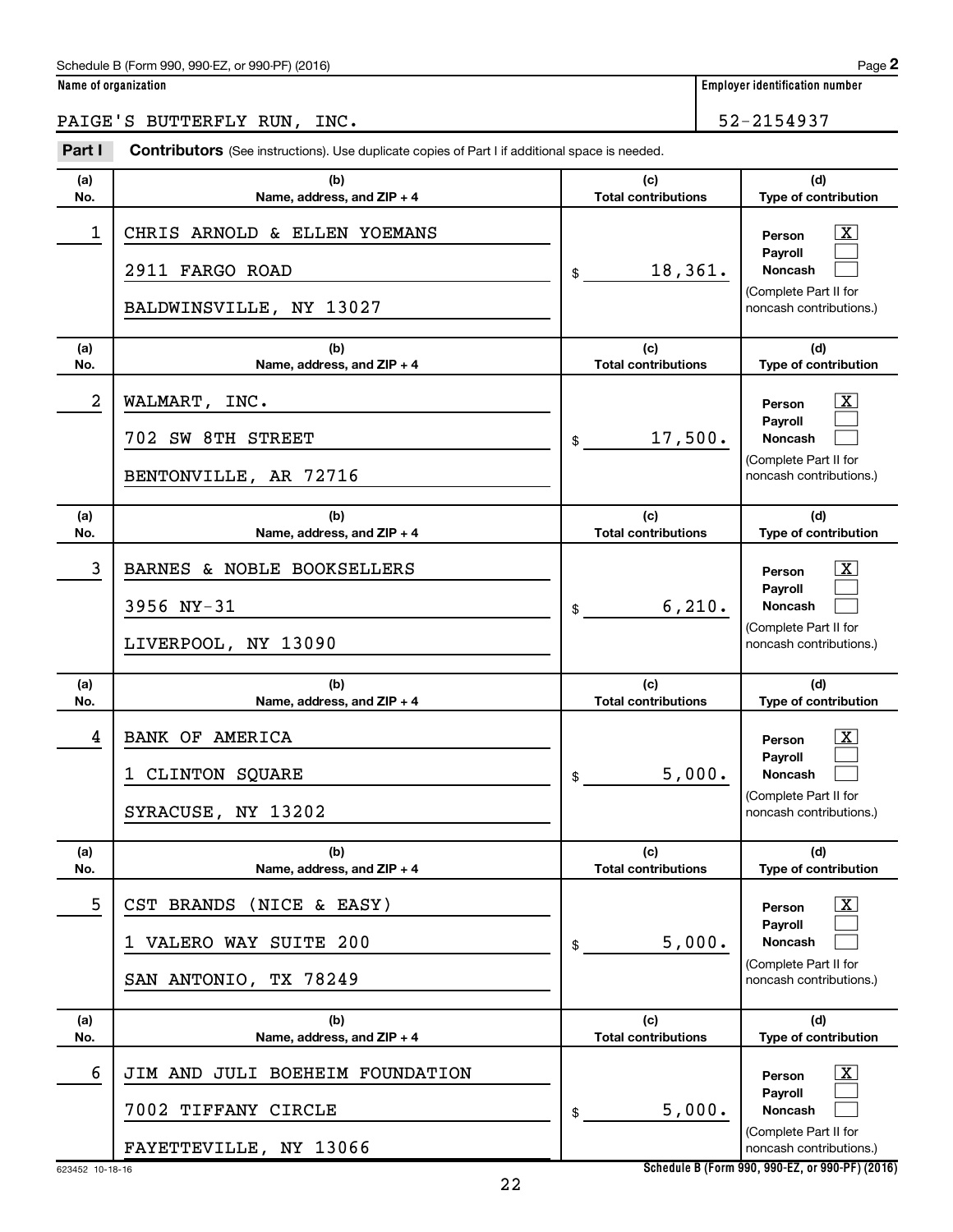#### Schedule B (Form 990, 990-EZ, or 990-PF) (2016)

| Name of organization |  |  |  |
|----------------------|--|--|--|
|                      |  |  |  |

PAIGE'S BUTTERFLY RUN, INC. 52-2154937

| Part I     | <b>Contributors</b> (See instructions). Use duplicate copies of Part I if additional space is needed. |                                   |                                                                                                                  |  |  |  |
|------------|-------------------------------------------------------------------------------------------------------|-----------------------------------|------------------------------------------------------------------------------------------------------------------|--|--|--|
| (a)<br>No. | (b)<br>Name, address, and ZIP + 4                                                                     | (c)<br><b>Total contributions</b> | (d)<br>Type of contribution                                                                                      |  |  |  |
| 1          | CHRIS ARNOLD & ELLEN YOEMANS<br>2911 FARGO ROAD<br>BALDWINSVILLE, NY 13027                            | 18,361.<br>\$                     | $\overline{\text{X}}$<br>Person<br>Payroll<br><b>Noncash</b><br>(Complete Part II for<br>noncash contributions.) |  |  |  |
| (a)<br>No. | (b)<br>Name, address, and ZIP + 4                                                                     | (c)<br><b>Total contributions</b> | (d)<br>Type of contribution                                                                                      |  |  |  |
| 2          | WALMART, INC.<br>702 SW 8TH STREET<br>BENTONVILLE, AR 72716                                           | 17,500.<br>\$                     | $\overline{\text{X}}$<br>Person<br>Payroll<br><b>Noncash</b><br>(Complete Part II for<br>noncash contributions.) |  |  |  |
| (a)<br>No. | (b)<br>Name, address, and ZIP + 4                                                                     | (c)<br><b>Total contributions</b> | (d)<br>Type of contribution                                                                                      |  |  |  |
| 3          | BARNES & NOBLE BOOKSELLERS<br>3956 NY-31<br>LIVERPOOL, NY 13090                                       | 6, 210.<br>\$                     | $\overline{\text{X}}$<br>Person<br>Payroll<br><b>Noncash</b><br>(Complete Part II for<br>noncash contributions.) |  |  |  |
| (a)<br>No. | (b)<br>Name, address, and ZIP + 4                                                                     | (c)<br><b>Total contributions</b> | (d)<br>Type of contribution                                                                                      |  |  |  |
| 4          | BANK OF AMERICA<br>CLINTON SQUARE<br>SYRACUSE, NY 13202                                               | 5,000.<br>\$                      | $\overline{\text{X}}$<br>Person<br>Payroll<br><b>Noncash</b><br>(Complete Part II for<br>noncash contributions.) |  |  |  |
| (a)<br>No. | (b)<br>Name, address, and ZIP + 4                                                                     | (c)<br><b>Total contributions</b> | (d)<br>Type of contribution                                                                                      |  |  |  |
| 5          | CST BRANDS<br>(NICE & EASY)<br>VALERO WAY SUITE 200<br>SAN ANTONIO, TX 78249                          | 5,000.<br>\$                      | X.<br>Person<br>Payroll<br><b>Noncash</b><br>(Complete Part II for<br>noncash contributions.)                    |  |  |  |
| (a)<br>No. | (b)<br>Name, address, and ZIP + 4                                                                     | (c)<br><b>Total contributions</b> | (d)<br>Type of contribution                                                                                      |  |  |  |
| 6          | JIM AND JULI BOEHEIM FOUNDATION<br>7002 TIFFANY CIRCLE<br>FAYETTEVILLE, NY 13066                      | 5,000.<br>\$                      | X.<br>Person<br>Payroll<br><b>Noncash</b><br>(Complete Part II for<br>noncash contributions.)                    |  |  |  |

**Schedule B (Form 990, 990-EZ, or 990-PF) (2016)**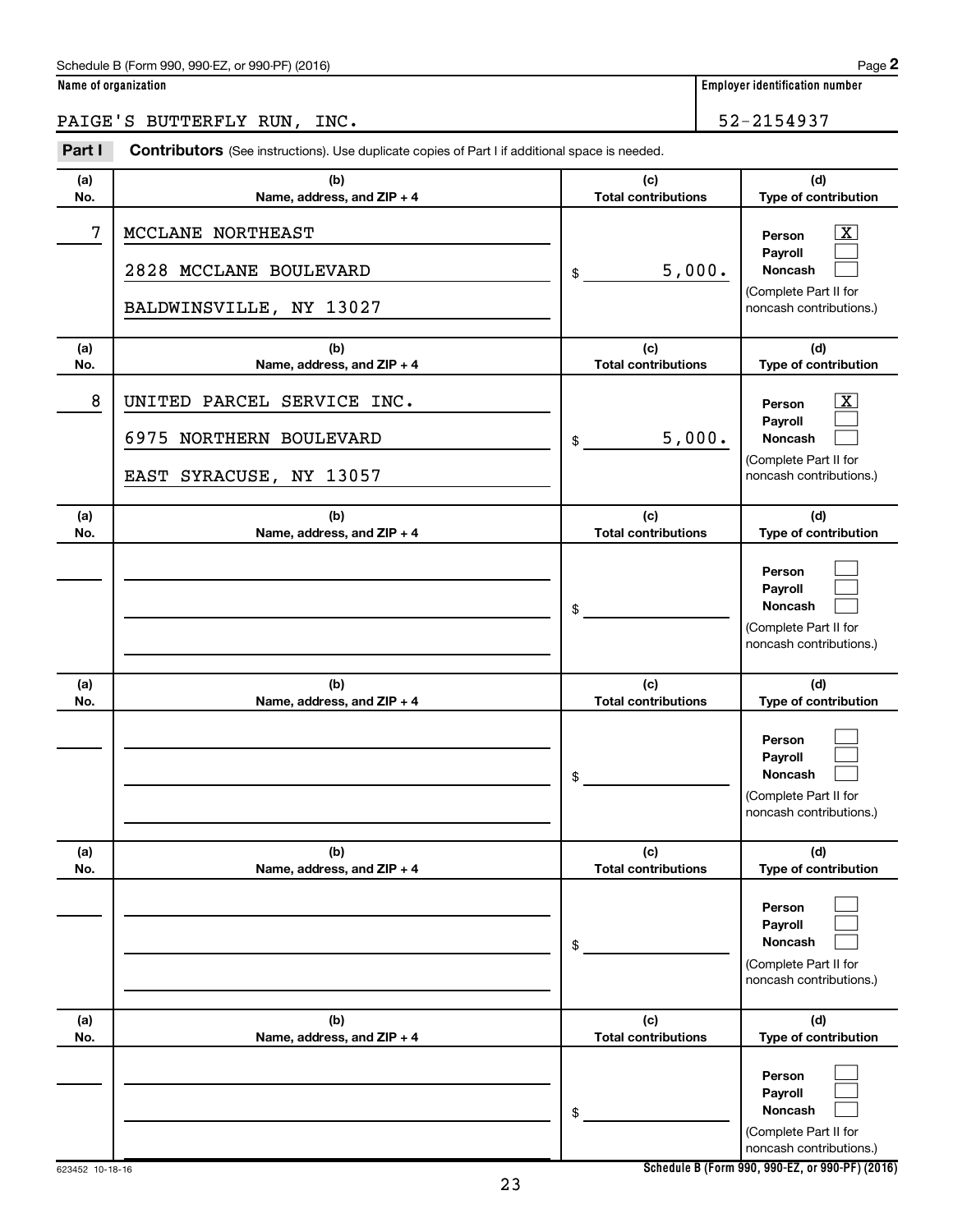#### Schedule B (Form 990, 990-EZ, or 990-PF) (2016)

| Name of organization |  |  |
|----------------------|--|--|
|                      |  |  |

PAIGE'S BUTTERFLY RUN, INC. 52-2154937

| Part I     | Contributors (See instructions). Use duplicate copies of Part I if additional space is needed. |                                   |                                                                                                           |  |  |  |
|------------|------------------------------------------------------------------------------------------------|-----------------------------------|-----------------------------------------------------------------------------------------------------------|--|--|--|
| (a)<br>No. | (b)<br>Name, address, and ZIP + 4                                                              | (c)<br><b>Total contributions</b> | (d)<br>Type of contribution                                                                               |  |  |  |
| 7          | MCCLANE NORTHEAST<br>2828 MCCLANE BOULEVARD<br>BALDWINSVILLE, NY 13027                         | 5,000.<br>\$                      | $\overline{\text{X}}$<br>Person<br>Pavroll<br>Noncash<br>(Complete Part II for<br>noncash contributions.) |  |  |  |
| (a)<br>No. | (b)<br>Name, address, and ZIP + 4                                                              | (c)<br><b>Total contributions</b> | (d)<br>Type of contribution                                                                               |  |  |  |
| 8          | UNITED PARCEL SERVICE INC.<br>6975 NORTHERN BOULEVARD<br>EAST SYRACUSE, NY 13057               | 5,000.<br>\$                      | $\overline{\text{X}}$<br>Person<br>Payroll<br>Noncash<br>(Complete Part II for<br>noncash contributions.) |  |  |  |
| (a)<br>No. | (b)<br>Name, address, and ZIP + 4                                                              | (c)<br><b>Total contributions</b> | (d)<br>Type of contribution                                                                               |  |  |  |
|            |                                                                                                | \$                                | Person<br>Payroll<br>Noncash<br>(Complete Part II for<br>noncash contributions.)                          |  |  |  |
| (a)<br>No. | (b)                                                                                            | (c)<br><b>Total contributions</b> | (d)                                                                                                       |  |  |  |
|            | Name, address, and ZIP + 4                                                                     | \$                                | Type of contribution<br>Person<br>Payroll<br>Noncash<br>(Complete Part II for<br>noncash contributions.)  |  |  |  |
| (a)<br>No. | (b)<br>Name, address, and ZIP + 4                                                              | (c)<br><b>Total contributions</b> | (d)<br>Type of contribution                                                                               |  |  |  |
|            |                                                                                                | \$                                | Person<br>Payroll<br><b>Noncash</b><br>(Complete Part II for<br>noncash contributions.)                   |  |  |  |
| (a)<br>No. | (b)<br>Name, address, and ZIP + 4                                                              | (c)<br><b>Total contributions</b> | (d)<br>Type of contribution                                                                               |  |  |  |
|            |                                                                                                | \$                                | Person<br>Payroll<br><b>Noncash</b><br>(Complete Part II for<br>noncash contributions.)                   |  |  |  |

**Schedule B (Form 990, 990-EZ, or 990-PF) (2016)**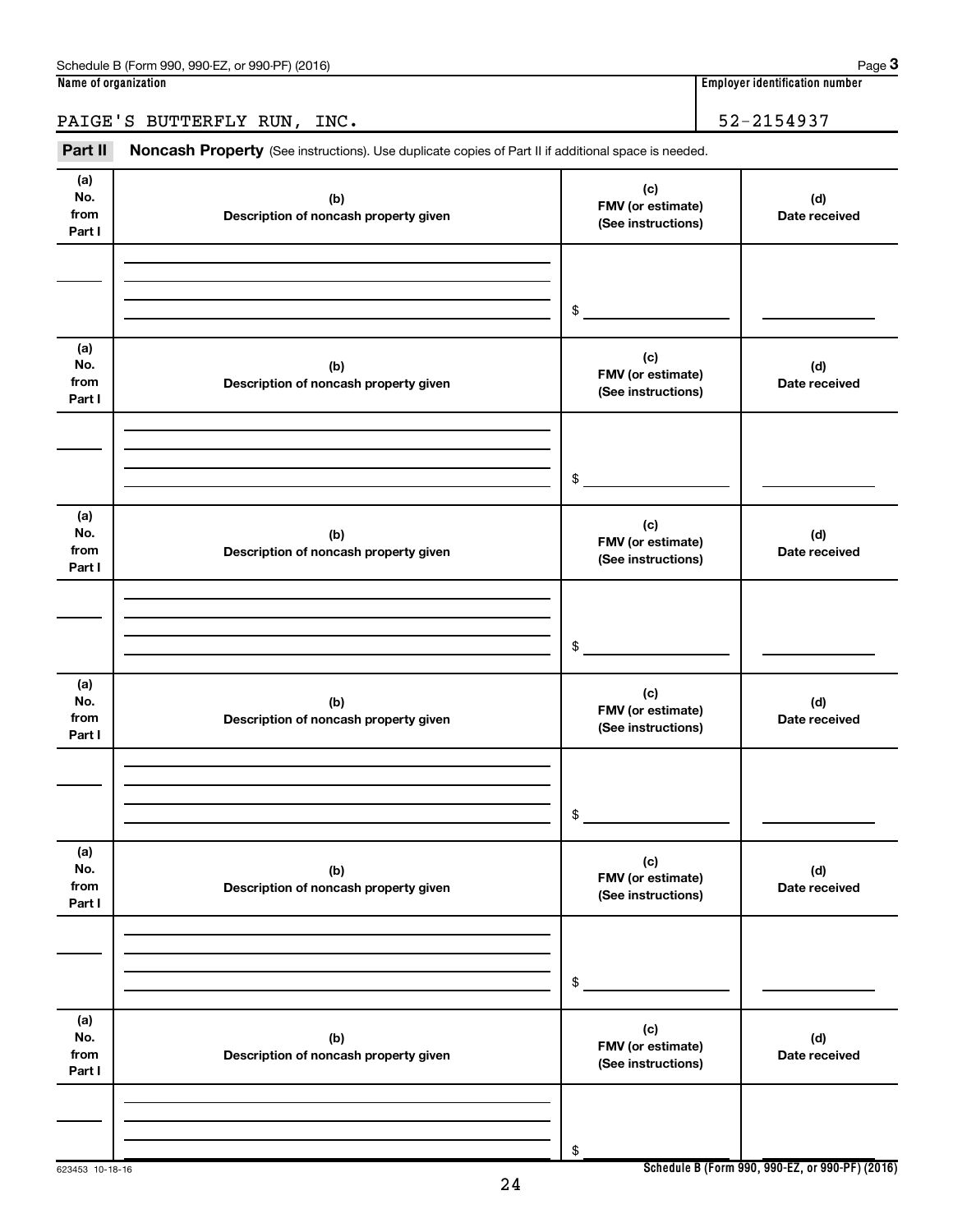| Part II Noncash Property (See instructions). Use duplicate copies of Part II if additional space is needed. |  |
|-------------------------------------------------------------------------------------------------------------|--|
|                                                                                                             |  |

| (a)<br>No.<br>from<br>Part I | (b)<br>Description of noncash property given | (c)<br>FMV (or estimate)<br>(See instructions) | (d)<br>Date received                            |
|------------------------------|----------------------------------------------|------------------------------------------------|-------------------------------------------------|
|                              |                                              | \$                                             |                                                 |
| (a)<br>No.<br>from<br>Part I | (b)<br>Description of noncash property given | (c)<br>FMV (or estimate)<br>(See instructions) | (d)<br>Date received                            |
|                              |                                              | \$                                             |                                                 |
| (a)<br>No.<br>from<br>Part I | (b)<br>Description of noncash property given | (c)<br>FMV (or estimate)<br>(See instructions) | (d)<br>Date received                            |
|                              |                                              | \$                                             |                                                 |
| (a)<br>No.<br>from<br>Part I | (b)<br>Description of noncash property given | (c)<br>FMV (or estimate)<br>(See instructions) | (d)<br>Date received                            |
|                              |                                              | \$                                             |                                                 |
| (a)<br>No.<br>from<br>Part I | (b)<br>Description of noncash property given | (c)<br>FMV (or estimate)<br>(See instructions) | (d)<br>Date received                            |
|                              |                                              | \$                                             |                                                 |
| (a)<br>No.<br>from<br>Part I | (b)<br>Description of noncash property given | (c)<br>FMV (or estimate)<br>(See instructions) | (d)<br>Date received                            |
| 623453 10-18-16              |                                              | \$                                             | Schedule B (Form 990, 990-EZ, or 990-PF) (2016) |

PAIGE'S BUTTERFLY RUN, INC. 52-2154937

**Schedule B (Form 990, 990-EZ, or 990-PF) (2016)**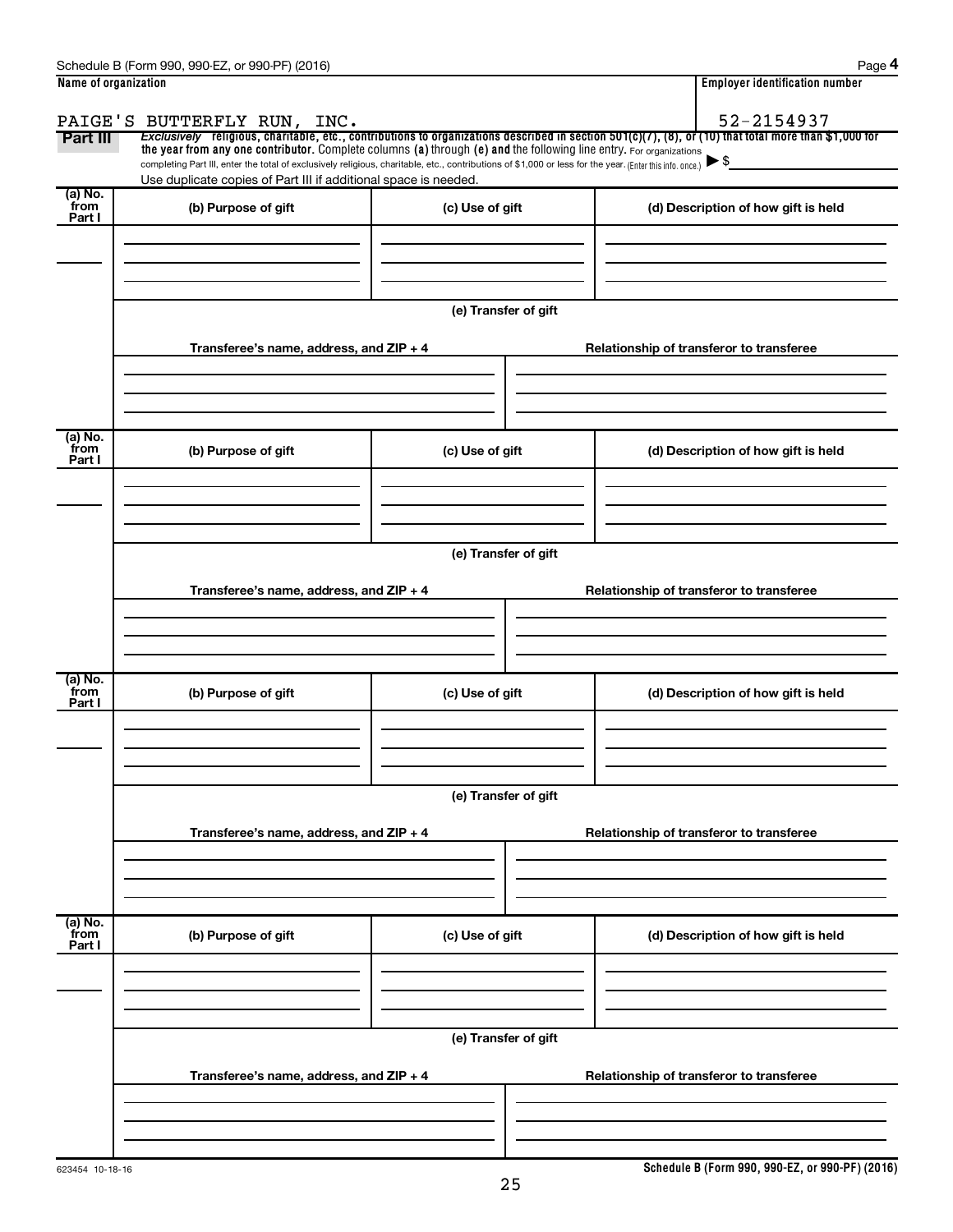| Name of organization      |                                                                                                                                                          |                      | <b>Employer identification number</b>                                                                                                                    |  |  |  |  |
|---------------------------|----------------------------------------------------------------------------------------------------------------------------------------------------------|----------------------|----------------------------------------------------------------------------------------------------------------------------------------------------------|--|--|--|--|
|                           | PAIGE'S BUTTERFLY RUN, INC.                                                                                                                              |                      | 52-2154937                                                                                                                                               |  |  |  |  |
| Part III                  | the year from any one contributor. Complete columns (a) through (e) and the following line entry. For organizations                                      |                      | Exclusively religious, charitable, etc., contributions to organizations described in section $501(c)(7)$ , (8), or (10) that total more than \$1,000 for |  |  |  |  |
|                           | completing Part III, enter the total of exclusively religious, charitable, etc., contributions of \$1,000 or less for the year. (Enter this info. once.) |                      | $\blacktriangleright$ \$                                                                                                                                 |  |  |  |  |
| (a) No.                   | Use duplicate copies of Part III if additional space is needed.                                                                                          |                      |                                                                                                                                                          |  |  |  |  |
| from<br>Part I            | (b) Purpose of gift                                                                                                                                      | (c) Use of gift      | (d) Description of how gift is held                                                                                                                      |  |  |  |  |
|                           |                                                                                                                                                          |                      |                                                                                                                                                          |  |  |  |  |
|                           |                                                                                                                                                          |                      |                                                                                                                                                          |  |  |  |  |
|                           |                                                                                                                                                          |                      |                                                                                                                                                          |  |  |  |  |
|                           |                                                                                                                                                          | (e) Transfer of gift |                                                                                                                                                          |  |  |  |  |
|                           |                                                                                                                                                          |                      |                                                                                                                                                          |  |  |  |  |
|                           | Transferee's name, address, and ZIP + 4                                                                                                                  |                      | Relationship of transferor to transferee                                                                                                                 |  |  |  |  |
|                           |                                                                                                                                                          |                      |                                                                                                                                                          |  |  |  |  |
|                           |                                                                                                                                                          |                      |                                                                                                                                                          |  |  |  |  |
|                           |                                                                                                                                                          |                      |                                                                                                                                                          |  |  |  |  |
| (a) No.<br>from<br>Part I | (b) Purpose of gift                                                                                                                                      | (c) Use of gift      | (d) Description of how gift is held                                                                                                                      |  |  |  |  |
|                           |                                                                                                                                                          |                      |                                                                                                                                                          |  |  |  |  |
|                           |                                                                                                                                                          |                      |                                                                                                                                                          |  |  |  |  |
|                           |                                                                                                                                                          |                      |                                                                                                                                                          |  |  |  |  |
|                           |                                                                                                                                                          | (e) Transfer of gift |                                                                                                                                                          |  |  |  |  |
|                           |                                                                                                                                                          |                      |                                                                                                                                                          |  |  |  |  |
|                           | Transferee's name, address, and ZIP + 4                                                                                                                  |                      | Relationship of transferor to transferee                                                                                                                 |  |  |  |  |
|                           |                                                                                                                                                          |                      |                                                                                                                                                          |  |  |  |  |
|                           |                                                                                                                                                          |                      |                                                                                                                                                          |  |  |  |  |
|                           |                                                                                                                                                          |                      |                                                                                                                                                          |  |  |  |  |
| (a) No.<br>from<br>Part I | (b) Purpose of gift                                                                                                                                      | (c) Use of gift      | (d) Description of how gift is held                                                                                                                      |  |  |  |  |
|                           |                                                                                                                                                          |                      |                                                                                                                                                          |  |  |  |  |
|                           |                                                                                                                                                          |                      |                                                                                                                                                          |  |  |  |  |
|                           |                                                                                                                                                          |                      |                                                                                                                                                          |  |  |  |  |
|                           |                                                                                                                                                          | (e) Transfer of gift |                                                                                                                                                          |  |  |  |  |
|                           |                                                                                                                                                          |                      |                                                                                                                                                          |  |  |  |  |
|                           | Transferee's name, address, and ZIP + 4                                                                                                                  |                      | Relationship of transferor to transferee                                                                                                                 |  |  |  |  |
|                           |                                                                                                                                                          |                      |                                                                                                                                                          |  |  |  |  |
|                           |                                                                                                                                                          |                      |                                                                                                                                                          |  |  |  |  |
|                           |                                                                                                                                                          |                      |                                                                                                                                                          |  |  |  |  |
| (a) No.<br>from<br>Part I | (b) Purpose of gift                                                                                                                                      | (c) Use of gift      | (d) Description of how gift is held                                                                                                                      |  |  |  |  |
|                           |                                                                                                                                                          |                      |                                                                                                                                                          |  |  |  |  |
|                           |                                                                                                                                                          |                      |                                                                                                                                                          |  |  |  |  |
|                           |                                                                                                                                                          |                      |                                                                                                                                                          |  |  |  |  |
|                           |                                                                                                                                                          | (e) Transfer of gift |                                                                                                                                                          |  |  |  |  |
|                           |                                                                                                                                                          |                      |                                                                                                                                                          |  |  |  |  |
|                           | Transferee's name, address, and ZIP + 4                                                                                                                  |                      | Relationship of transferor to transferee                                                                                                                 |  |  |  |  |
|                           |                                                                                                                                                          |                      |                                                                                                                                                          |  |  |  |  |
|                           |                                                                                                                                                          |                      |                                                                                                                                                          |  |  |  |  |
|                           |                                                                                                                                                          |                      |                                                                                                                                                          |  |  |  |  |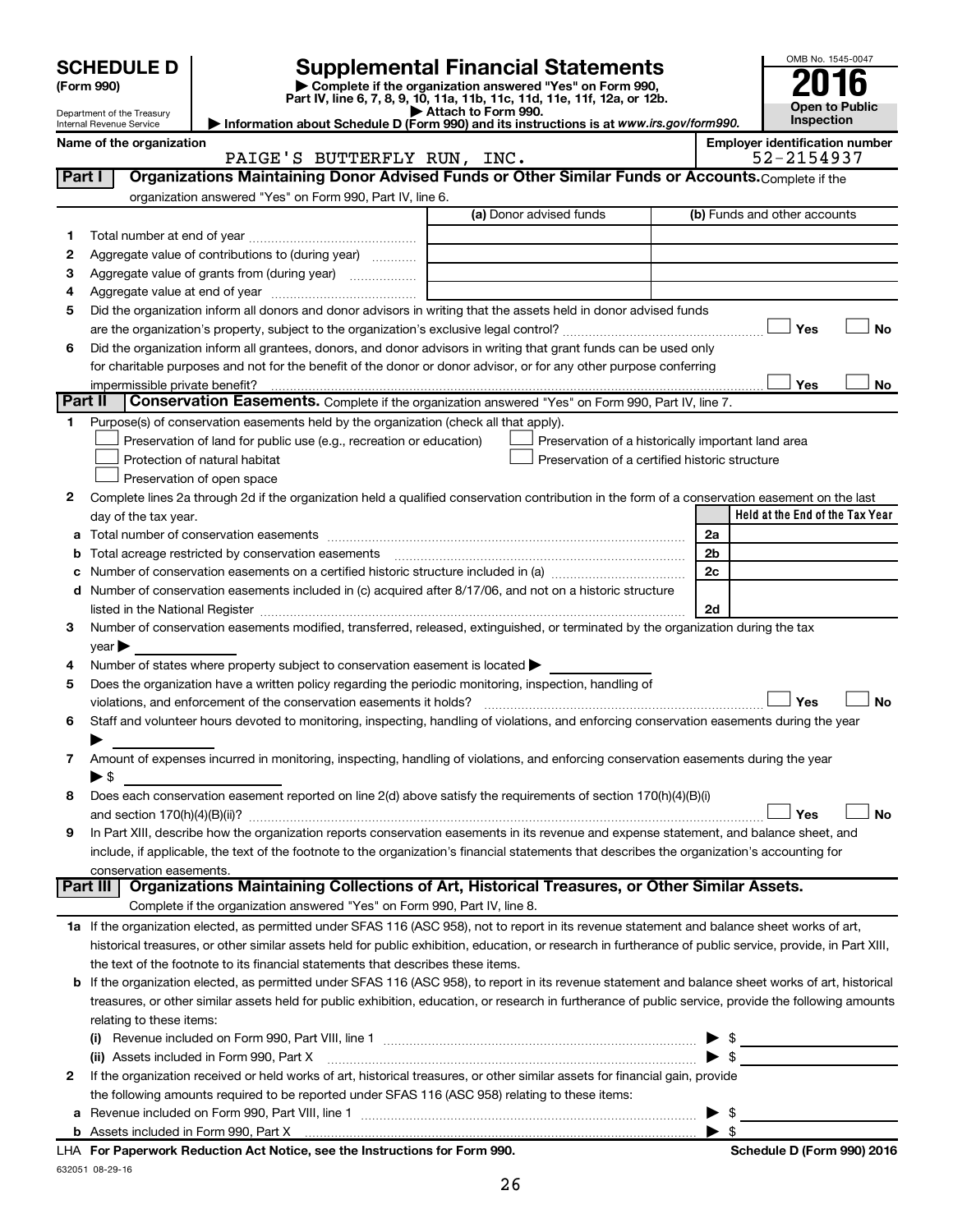|        | <b>SCHEDULE D</b>                                      |                                                                                                                                                                                                                                       | <b>Supplemental Financial Statements</b>                                                                                             |                                                    |                          |                                       | OMB No. 1545-0047            |           |
|--------|--------------------------------------------------------|---------------------------------------------------------------------------------------------------------------------------------------------------------------------------------------------------------------------------------------|--------------------------------------------------------------------------------------------------------------------------------------|----------------------------------------------------|--------------------------|---------------------------------------|------------------------------|-----------|
|        | (Form 990)                                             |                                                                                                                                                                                                                                       | Complete if the organization answered "Yes" on Form 990,<br>Part IV, line 6, 7, 8, 9, 10, 11a, 11b, 11c, 11d, 11e, 11f, 12a, or 12b. |                                                    |                          |                                       |                              |           |
|        | Department of the Treasury<br>Internal Revenue Service | Information about Schedule D (Form 990) and its instructions is at www.irs.gov/form990.                                                                                                                                               | Attach to Form 990.                                                                                                                  |                                                    |                          |                                       | Open to Public<br>Inspection |           |
|        | Name of the organization                               |                                                                                                                                                                                                                                       |                                                                                                                                      |                                                    |                          | <b>Employer identification number</b> |                              |           |
| Part I |                                                        | PAIGE'S BUTTERFLY RUN, INC.<br>Organizations Maintaining Donor Advised Funds or Other Similar Funds or Accounts. Complete if the                                                                                                      |                                                                                                                                      |                                                    |                          | 52-2154937                            |                              |           |
|        |                                                        | organization answered "Yes" on Form 990, Part IV, line 6.                                                                                                                                                                             |                                                                                                                                      |                                                    |                          |                                       |                              |           |
|        |                                                        |                                                                                                                                                                                                                                       | (a) Donor advised funds                                                                                                              |                                                    |                          | (b) Funds and other accounts          |                              |           |
| 1.     |                                                        |                                                                                                                                                                                                                                       |                                                                                                                                      |                                                    |                          |                                       |                              |           |
| 2      |                                                        | Aggregate value of contributions to (during year)                                                                                                                                                                                     |                                                                                                                                      |                                                    |                          |                                       |                              |           |
| З      |                                                        |                                                                                                                                                                                                                                       |                                                                                                                                      |                                                    |                          |                                       |                              |           |
| 4      |                                                        |                                                                                                                                                                                                                                       |                                                                                                                                      |                                                    |                          |                                       |                              |           |
| 5      |                                                        | Did the organization inform all donors and donor advisors in writing that the assets held in donor advised funds                                                                                                                      |                                                                                                                                      |                                                    |                          |                                       |                              |           |
|        |                                                        |                                                                                                                                                                                                                                       |                                                                                                                                      |                                                    |                          | Yes                                   |                              | <b>No</b> |
| 6      |                                                        | Did the organization inform all grantees, donors, and donor advisors in writing that grant funds can be used only                                                                                                                     |                                                                                                                                      |                                                    |                          |                                       |                              |           |
|        | impermissible private benefit?                         | for charitable purposes and not for the benefit of the donor or donor advisor, or for any other purpose conferring                                                                                                                    |                                                                                                                                      |                                                    |                          | Yes                                   |                              | No        |
|        | Part II                                                | Conservation Easements. Complete if the organization answered "Yes" on Form 990, Part IV, line 7.                                                                                                                                     |                                                                                                                                      |                                                    |                          |                                       |                              |           |
| 1.     |                                                        | Purpose(s) of conservation easements held by the organization (check all that apply).                                                                                                                                                 |                                                                                                                                      |                                                    |                          |                                       |                              |           |
|        |                                                        | Preservation of land for public use (e.g., recreation or education)                                                                                                                                                                   |                                                                                                                                      | Preservation of a historically important land area |                          |                                       |                              |           |
|        |                                                        | Protection of natural habitat                                                                                                                                                                                                         |                                                                                                                                      | Preservation of a certified historic structure     |                          |                                       |                              |           |
|        |                                                        | Preservation of open space                                                                                                                                                                                                            |                                                                                                                                      |                                                    |                          |                                       |                              |           |
| 2      |                                                        | Complete lines 2a through 2d if the organization held a qualified conservation contribution in the form of a conservation easement on the last                                                                                        |                                                                                                                                      |                                                    |                          |                                       |                              |           |
|        | day of the tax year.                                   |                                                                                                                                                                                                                                       |                                                                                                                                      |                                                    |                          | Held at the End of the Tax Year       |                              |           |
| а      |                                                        |                                                                                                                                                                                                                                       |                                                                                                                                      |                                                    | 2a                       |                                       |                              |           |
|        |                                                        |                                                                                                                                                                                                                                       |                                                                                                                                      |                                                    | 2b                       |                                       |                              |           |
|        |                                                        | d Number of conservation easements included in (c) acquired after 8/17/06, and not on a historic structure                                                                                                                            |                                                                                                                                      |                                                    | 2c                       |                                       |                              |           |
|        |                                                        |                                                                                                                                                                                                                                       |                                                                                                                                      |                                                    | 2d                       |                                       |                              |           |
| 3      |                                                        | Number of conservation easements modified, transferred, released, extinguished, or terminated by the organization during the tax                                                                                                      |                                                                                                                                      |                                                    |                          |                                       |                              |           |
|        | $year \blacktriangleright$                             |                                                                                                                                                                                                                                       |                                                                                                                                      |                                                    |                          |                                       |                              |           |
| 4      |                                                        | Number of states where property subject to conservation easement is located                                                                                                                                                           |                                                                                                                                      |                                                    |                          |                                       |                              |           |
| 5      |                                                        | Does the organization have a written policy regarding the periodic monitoring, inspection, handling of                                                                                                                                |                                                                                                                                      |                                                    |                          |                                       |                              |           |
|        |                                                        | violations, and enforcement of the conservation easements it holds?                                                                                                                                                                   |                                                                                                                                      |                                                    |                          | Yes                                   |                              | <b>No</b> |
| 6      |                                                        | Staff and volunteer hours devoted to monitoring, inspecting, handling of violations, and enforcing conservation easements during the year                                                                                             |                                                                                                                                      |                                                    |                          |                                       |                              |           |
|        |                                                        |                                                                                                                                                                                                                                       |                                                                                                                                      |                                                    |                          |                                       |                              |           |
| 7      |                                                        | Amount of expenses incurred in monitoring, inspecting, handling of violations, and enforcing conservation easements during the year                                                                                                   |                                                                                                                                      |                                                    |                          |                                       |                              |           |
| 8      | $\blacktriangleright$ \$                               | Does each conservation easement reported on line 2(d) above satisfy the requirements of section 170(h)(4)(B)(i)                                                                                                                       |                                                                                                                                      |                                                    |                          |                                       |                              |           |
|        | and section $170(h)(4)(B)(ii)?$                        |                                                                                                                                                                                                                                       |                                                                                                                                      |                                                    |                          | Yes                                   |                              | <b>No</b> |
| 9      |                                                        | In Part XIII, describe how the organization reports conservation easements in its revenue and expense statement, and balance sheet, and                                                                                               |                                                                                                                                      |                                                    |                          |                                       |                              |           |
|        |                                                        | include, if applicable, the text of the footnote to the organization's financial statements that describes the organization's accounting for                                                                                          |                                                                                                                                      |                                                    |                          |                                       |                              |           |
|        | conservation easements.                                |                                                                                                                                                                                                                                       |                                                                                                                                      |                                                    |                          |                                       |                              |           |
|        | Part III                                               | Organizations Maintaining Collections of Art, Historical Treasures, or Other Similar Assets.                                                                                                                                          |                                                                                                                                      |                                                    |                          |                                       |                              |           |
|        |                                                        | Complete if the organization answered "Yes" on Form 990, Part IV, line 8.                                                                                                                                                             |                                                                                                                                      |                                                    |                          |                                       |                              |           |
|        |                                                        | 1a If the organization elected, as permitted under SFAS 116 (ASC 958), not to report in its revenue statement and balance sheet works of art,                                                                                         |                                                                                                                                      |                                                    |                          |                                       |                              |           |
|        |                                                        | historical treasures, or other similar assets held for public exhibition, education, or research in furtherance of public service, provide, in Part XIII,                                                                             |                                                                                                                                      |                                                    |                          |                                       |                              |           |
|        |                                                        | the text of the footnote to its financial statements that describes these items.<br>If the organization elected, as permitted under SFAS 116 (ASC 958), to report in its revenue statement and balance sheet works of art, historical |                                                                                                                                      |                                                    |                          |                                       |                              |           |
| b      |                                                        | treasures, or other similar assets held for public exhibition, education, or research in furtherance of public service, provide the following amounts                                                                                 |                                                                                                                                      |                                                    |                          |                                       |                              |           |
|        | relating to these items:                               |                                                                                                                                                                                                                                       |                                                                                                                                      |                                                    |                          |                                       |                              |           |
|        |                                                        |                                                                                                                                                                                                                                       |                                                                                                                                      |                                                    |                          |                                       |                              |           |
|        |                                                        | (ii) Assets included in Form 990, Part X                                                                                                                                                                                              |                                                                                                                                      |                                                    |                          | $\bullet$ \$                          |                              |           |
| 2      |                                                        | If the organization received or held works of art, historical treasures, or other similar assets for financial gain, provide                                                                                                          |                                                                                                                                      |                                                    |                          |                                       |                              |           |
|        |                                                        | the following amounts required to be reported under SFAS 116 (ASC 958) relating to these items:                                                                                                                                       |                                                                                                                                      |                                                    |                          |                                       |                              |           |
| а      |                                                        |                                                                                                                                                                                                                                       |                                                                                                                                      |                                                    |                          | -\$                                   |                              |           |
|        |                                                        | b Assets included in Form 990, Part X [11] Marten and Martin Martin Marten and Marten and Martin Marten and Ma                                                                                                                        |                                                                                                                                      |                                                    | $\blacktriangleright$ \$ |                                       |                              |           |

| LHA For Paperwork Reduction Act Notice, see the Instructions for Form 990. |
|----------------------------------------------------------------------------|
| 632051 08-29-16                                                            |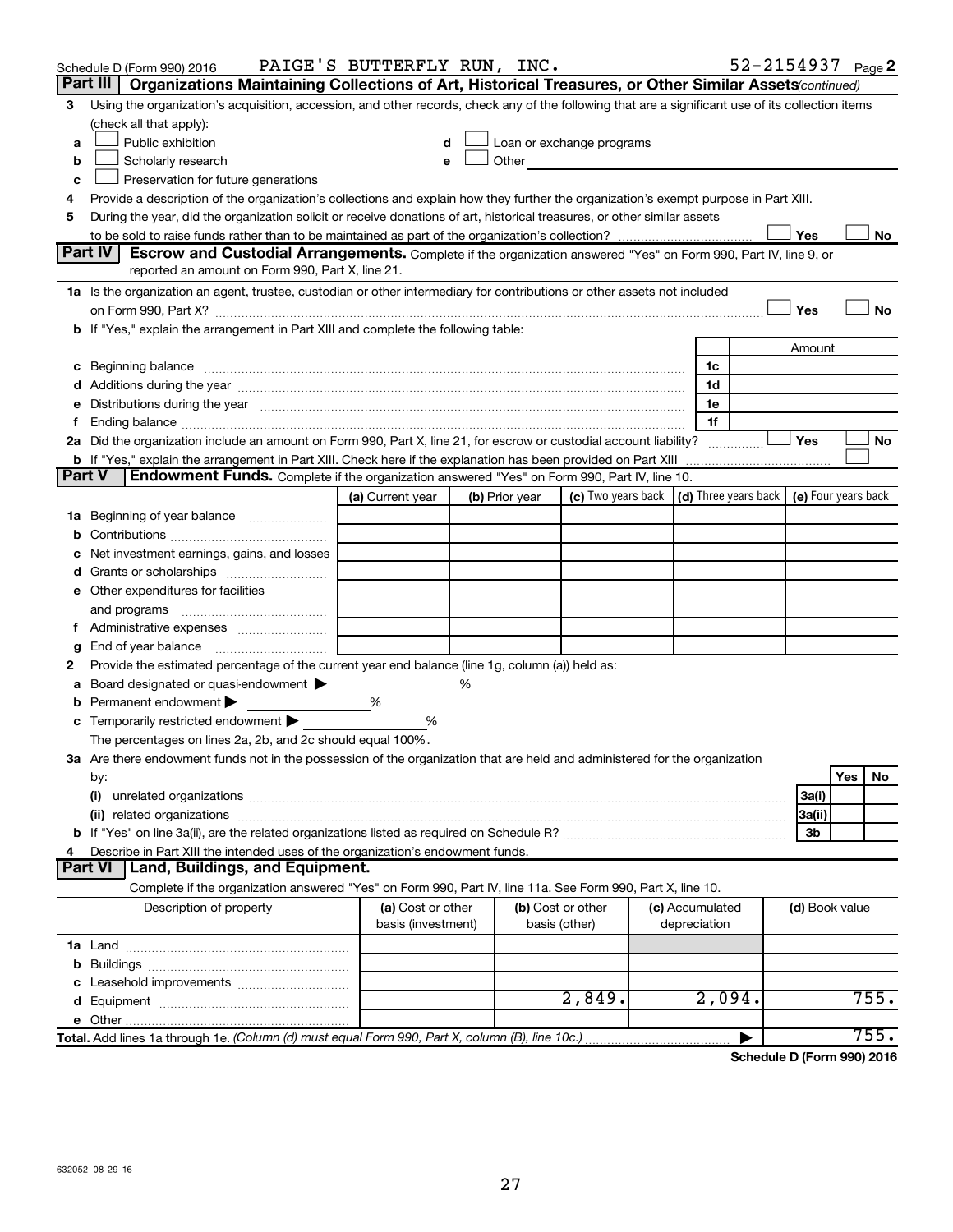|               | Schedule D (Form 990) 2016                                                                                                                                                                                                          | PAIGE'S BUTTERFLY RUN, INC. |   |                                                                                                                                                                                                                                |                   |                                                                             |                | 52-2154937 Page 2 |
|---------------|-------------------------------------------------------------------------------------------------------------------------------------------------------------------------------------------------------------------------------------|-----------------------------|---|--------------------------------------------------------------------------------------------------------------------------------------------------------------------------------------------------------------------------------|-------------------|-----------------------------------------------------------------------------|----------------|-------------------|
|               | Organizations Maintaining Collections of Art, Historical Treasures, or Other Similar Assets (continued)<br>Part III                                                                                                                 |                             |   |                                                                                                                                                                                                                                |                   |                                                                             |                |                   |
| 3             | Using the organization's acquisition, accession, and other records, check any of the following that are a significant use of its collection items                                                                                   |                             |   |                                                                                                                                                                                                                                |                   |                                                                             |                |                   |
|               | (check all that apply):                                                                                                                                                                                                             |                             |   |                                                                                                                                                                                                                                |                   |                                                                             |                |                   |
| a             | Public exhibition                                                                                                                                                                                                                   |                             |   | Loan or exchange programs                                                                                                                                                                                                      |                   |                                                                             |                |                   |
| b             | Scholarly research                                                                                                                                                                                                                  | e                           |   | Other the contract of the contract of the contract of the contract of the contract of the contract of the contract of the contract of the contract of the contract of the contract of the contract of the contract of the cont |                   |                                                                             |                |                   |
| c             | Preservation for future generations                                                                                                                                                                                                 |                             |   |                                                                                                                                                                                                                                |                   |                                                                             |                |                   |
| 4             | Provide a description of the organization's collections and explain how they further the organization's exempt purpose in Part XIII.                                                                                                |                             |   |                                                                                                                                                                                                                                |                   |                                                                             |                |                   |
| 5             | During the year, did the organization solicit or receive donations of art, historical treasures, or other similar assets                                                                                                            |                             |   |                                                                                                                                                                                                                                |                   |                                                                             |                |                   |
|               |                                                                                                                                                                                                                                     |                             |   |                                                                                                                                                                                                                                |                   |                                                                             | Yes            | No                |
|               | Part IV<br>Escrow and Custodial Arrangements. Complete if the organization answered "Yes" on Form 990, Part IV, line 9, or                                                                                                          |                             |   |                                                                                                                                                                                                                                |                   |                                                                             |                |                   |
|               | reported an amount on Form 990, Part X, line 21.                                                                                                                                                                                    |                             |   |                                                                                                                                                                                                                                |                   |                                                                             |                |                   |
|               | 1a Is the organization an agent, trustee, custodian or other intermediary for contributions or other assets not included                                                                                                            |                             |   |                                                                                                                                                                                                                                |                   |                                                                             |                |                   |
|               | on Form 990, Part X? [11] matter contracts and contracts and contracts are contracted as a form 990, Part X?                                                                                                                        |                             |   |                                                                                                                                                                                                                                |                   |                                                                             | Yes            | No                |
|               | <b>b</b> If "Yes," explain the arrangement in Part XIII and complete the following table:                                                                                                                                           |                             |   |                                                                                                                                                                                                                                |                   |                                                                             |                |                   |
|               |                                                                                                                                                                                                                                     |                             |   |                                                                                                                                                                                                                                |                   |                                                                             | Amount         |                   |
| c             | Beginning balance <b>contract to the contract of the contract of the contract of the contract of the contract of t</b>                                                                                                              |                             |   |                                                                                                                                                                                                                                |                   | 1c                                                                          |                |                   |
| d             | Additions during the year manufactured and an account of the state of the state of the state of the state of the state of the state of the state of the state of the state of the state of the state of the state of the state      |                             |   |                                                                                                                                                                                                                                |                   | 1d                                                                          |                |                   |
| е             | Distributions during the year manufactured and an account of the state of the state of the state of the state of the state of the state of the state of the state of the state of the state of the state of the state of the s      |                             |   |                                                                                                                                                                                                                                |                   | 1e                                                                          |                |                   |
| f             |                                                                                                                                                                                                                                     |                             |   |                                                                                                                                                                                                                                |                   | 1f                                                                          |                |                   |
|               | 2a Did the organization include an amount on Form 990, Part X, line 21, for escrow or custodial account liability?                                                                                                                  |                             |   |                                                                                                                                                                                                                                |                   |                                                                             | Yes            | No                |
| <b>Part V</b> | <b>b</b> If "Yes," explain the arrangement in Part XIII. Check here if the explanation has been provided on Part XIII<br>Endowment Funds. Complete if the organization answered "Yes" on Form 990, Part IV, line 10.                |                             |   |                                                                                                                                                                                                                                |                   |                                                                             |                |                   |
|               |                                                                                                                                                                                                                                     |                             |   |                                                                                                                                                                                                                                |                   | (c) Two years back $\vert$ (d) Three years back $\vert$ (e) Four years back |                |                   |
|               |                                                                                                                                                                                                                                     | (a) Current year            |   | (b) Prior year                                                                                                                                                                                                                 |                   |                                                                             |                |                   |
| 1a            | Beginning of year balance                                                                                                                                                                                                           |                             |   |                                                                                                                                                                                                                                |                   |                                                                             |                |                   |
| b             |                                                                                                                                                                                                                                     |                             |   |                                                                                                                                                                                                                                |                   |                                                                             |                |                   |
| c             | Net investment earnings, gains, and losses                                                                                                                                                                                          |                             |   |                                                                                                                                                                                                                                |                   |                                                                             |                |                   |
| d             | Grants or scholarships <i>manually contained</i>                                                                                                                                                                                    |                             |   |                                                                                                                                                                                                                                |                   |                                                                             |                |                   |
| е             | Other expenditures for facilities                                                                                                                                                                                                   |                             |   |                                                                                                                                                                                                                                |                   |                                                                             |                |                   |
|               | and programs                                                                                                                                                                                                                        |                             |   |                                                                                                                                                                                                                                |                   |                                                                             |                |                   |
| f.            | Administrative expenses <i>manually community</i>                                                                                                                                                                                   |                             |   |                                                                                                                                                                                                                                |                   |                                                                             |                |                   |
| g<br>2        | Provide the estimated percentage of the current year end balance (line 1g, column (a)) held as:                                                                                                                                     |                             |   |                                                                                                                                                                                                                                |                   |                                                                             |                |                   |
| а             | Board designated or quasi-endowment                                                                                                                                                                                                 |                             | % |                                                                                                                                                                                                                                |                   |                                                                             |                |                   |
| b             | Permanent endowment                                                                                                                                                                                                                 | %                           |   |                                                                                                                                                                                                                                |                   |                                                                             |                |                   |
| С             | Temporarily restricted endowment                                                                                                                                                                                                    | %                           |   |                                                                                                                                                                                                                                |                   |                                                                             |                |                   |
|               | The percentages on lines 2a, 2b, and 2c should equal 100%.                                                                                                                                                                          |                             |   |                                                                                                                                                                                                                                |                   |                                                                             |                |                   |
|               | 3a Are there endowment funds not in the possession of the organization that are held and administered for the organization                                                                                                          |                             |   |                                                                                                                                                                                                                                |                   |                                                                             |                |                   |
|               | by:                                                                                                                                                                                                                                 |                             |   |                                                                                                                                                                                                                                |                   |                                                                             |                | Yes<br>No         |
|               | (i)                                                                                                                                                                                                                                 |                             |   |                                                                                                                                                                                                                                |                   |                                                                             | 3a(i)          |                   |
|               | (ii) related organizations <b>constructions</b> and construction of the construction of the construction of the construction of the construction of the construction of the construction of the construction of the construction of |                             |   |                                                                                                                                                                                                                                |                   |                                                                             | 3a(ii)         |                   |
| b             |                                                                                                                                                                                                                                     |                             |   |                                                                                                                                                                                                                                |                   |                                                                             | 3b             |                   |
| 4             | Describe in Part XIII the intended uses of the organization's endowment funds.                                                                                                                                                      |                             |   |                                                                                                                                                                                                                                |                   |                                                                             |                |                   |
|               | Land, Buildings, and Equipment.<br><b>Part VI</b>                                                                                                                                                                                   |                             |   |                                                                                                                                                                                                                                |                   |                                                                             |                |                   |
|               | Complete if the organization answered "Yes" on Form 990, Part IV, line 11a. See Form 990, Part X, line 10.                                                                                                                          |                             |   |                                                                                                                                                                                                                                |                   |                                                                             |                |                   |
|               | Description of property                                                                                                                                                                                                             | (a) Cost or other           |   |                                                                                                                                                                                                                                | (b) Cost or other | (c) Accumulated                                                             | (d) Book value |                   |
|               |                                                                                                                                                                                                                                     | basis (investment)          |   | basis (other)                                                                                                                                                                                                                  |                   | depreciation                                                                |                |                   |
|               |                                                                                                                                                                                                                                     |                             |   |                                                                                                                                                                                                                                |                   |                                                                             |                |                   |
| b             |                                                                                                                                                                                                                                     |                             |   |                                                                                                                                                                                                                                |                   |                                                                             |                |                   |
| c             |                                                                                                                                                                                                                                     |                             |   |                                                                                                                                                                                                                                |                   |                                                                             |                |                   |
| d             |                                                                                                                                                                                                                                     |                             |   |                                                                                                                                                                                                                                | 2,849.            | 2,094.                                                                      |                | 755.              |
|               |                                                                                                                                                                                                                                     |                             |   |                                                                                                                                                                                                                                |                   |                                                                             |                |                   |
|               | Total. Add lines 1a through 1e. (Column (d) must equal Form 990, Part X, column (B), line 10c.)                                                                                                                                     |                             |   |                                                                                                                                                                                                                                |                   |                                                                             |                | 755.              |

**Schedule D (Form 990) 2016**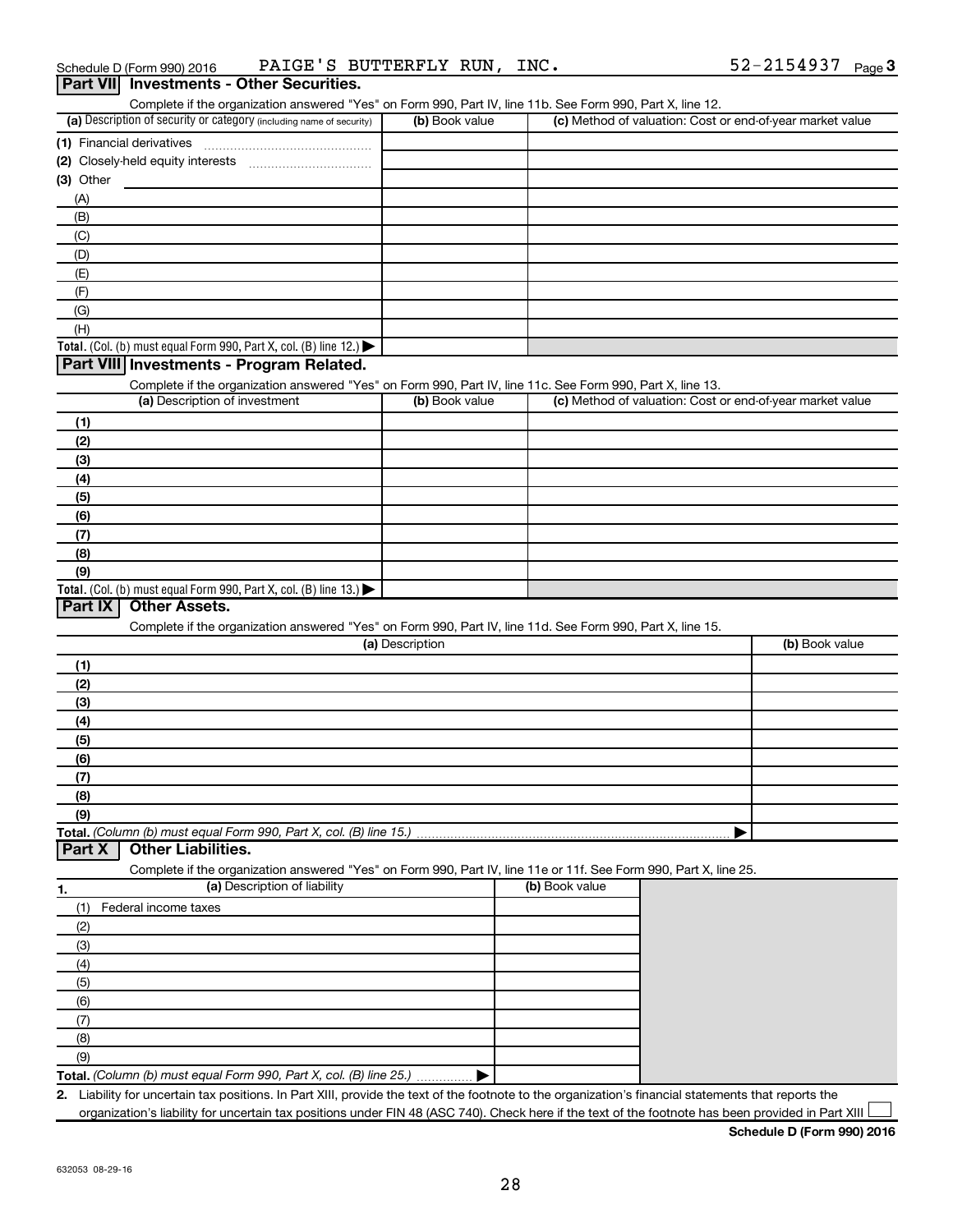|  | Schedule D (Form 990) 2016 |                                                 | PAIGE'S BUTTERFLY RUN, INC. |  | $52 - 2154937$ Page 3 |  |
|--|----------------------------|-------------------------------------------------|-----------------------------|--|-----------------------|--|
|  |                            | <b>Part VII</b> Investments - Other Securities. |                             |  |                       |  |

| .<br>Complete if the organization answered "Yes" on Form 990, Part IV, line 11b. See Form 990, Part X, line 12.                                                                                                      |                 |                                                                                                                                                      |                                                           |
|----------------------------------------------------------------------------------------------------------------------------------------------------------------------------------------------------------------------|-----------------|------------------------------------------------------------------------------------------------------------------------------------------------------|-----------------------------------------------------------|
| (a) Description of security or category (including name of security)                                                                                                                                                 | (b) Book value  |                                                                                                                                                      | (c) Method of valuation: Cost or end-of-year market value |
|                                                                                                                                                                                                                      |                 |                                                                                                                                                      |                                                           |
|                                                                                                                                                                                                                      |                 |                                                                                                                                                      |                                                           |
| (3) Other                                                                                                                                                                                                            |                 |                                                                                                                                                      |                                                           |
| (A)                                                                                                                                                                                                                  |                 |                                                                                                                                                      |                                                           |
| (B)                                                                                                                                                                                                                  |                 |                                                                                                                                                      |                                                           |
| (C)                                                                                                                                                                                                                  |                 |                                                                                                                                                      |                                                           |
| (D)                                                                                                                                                                                                                  |                 |                                                                                                                                                      |                                                           |
| (E)                                                                                                                                                                                                                  |                 |                                                                                                                                                      |                                                           |
| (F)                                                                                                                                                                                                                  |                 |                                                                                                                                                      |                                                           |
| (G)                                                                                                                                                                                                                  |                 |                                                                                                                                                      |                                                           |
| (H)                                                                                                                                                                                                                  |                 |                                                                                                                                                      |                                                           |
| Total. (Col. (b) must equal Form 990, Part X, col. (B) line 12.) $\blacktriangleright$                                                                                                                               |                 |                                                                                                                                                      |                                                           |
| Part VIII Investments - Program Related.                                                                                                                                                                             |                 |                                                                                                                                                      |                                                           |
| Complete if the organization answered "Yes" on Form 990, Part IV, line 11c. See Form 990, Part X, line 13.                                                                                                           |                 |                                                                                                                                                      |                                                           |
| (a) Description of investment                                                                                                                                                                                        | (b) Book value  |                                                                                                                                                      | (c) Method of valuation: Cost or end-of-year market value |
| (1)                                                                                                                                                                                                                  |                 |                                                                                                                                                      |                                                           |
| (2)                                                                                                                                                                                                                  |                 |                                                                                                                                                      |                                                           |
| (3)                                                                                                                                                                                                                  |                 |                                                                                                                                                      |                                                           |
| (4)                                                                                                                                                                                                                  |                 |                                                                                                                                                      |                                                           |
| (5)                                                                                                                                                                                                                  |                 |                                                                                                                                                      |                                                           |
| (6)                                                                                                                                                                                                                  |                 |                                                                                                                                                      |                                                           |
| (7)                                                                                                                                                                                                                  |                 |                                                                                                                                                      |                                                           |
| (8)                                                                                                                                                                                                                  |                 |                                                                                                                                                      |                                                           |
| (9)                                                                                                                                                                                                                  |                 |                                                                                                                                                      |                                                           |
| Total. (Col. (b) must equal Form 990, Part X, col. (B) line $13.$ )<br><b>Other Assets.</b><br>Part IX<br>Complete if the organization answered "Yes" on Form 990, Part IV, line 11d. See Form 990, Part X, line 15. |                 |                                                                                                                                                      |                                                           |
|                                                                                                                                                                                                                      | (a) Description |                                                                                                                                                      | (b) Book value                                            |
| (1)                                                                                                                                                                                                                  |                 |                                                                                                                                                      |                                                           |
| (2)                                                                                                                                                                                                                  |                 |                                                                                                                                                      |                                                           |
| (3)                                                                                                                                                                                                                  |                 |                                                                                                                                                      |                                                           |
| (4)                                                                                                                                                                                                                  |                 |                                                                                                                                                      |                                                           |
| (5)                                                                                                                                                                                                                  |                 |                                                                                                                                                      |                                                           |
| (6)                                                                                                                                                                                                                  |                 |                                                                                                                                                      |                                                           |
| (7)                                                                                                                                                                                                                  |                 |                                                                                                                                                      |                                                           |
| (8)                                                                                                                                                                                                                  |                 |                                                                                                                                                      |                                                           |
| (9)                                                                                                                                                                                                                  |                 |                                                                                                                                                      |                                                           |
| Total. (Column (b) must equal Form 990, Part X, col. (B) line 15.)                                                                                                                                                   |                 |                                                                                                                                                      |                                                           |
| <b>Other Liabilities.</b><br>Part X                                                                                                                                                                                  |                 |                                                                                                                                                      |                                                           |
| Complete if the organization answered "Yes" on Form 990, Part IV, line 11e or 11f. See Form 990, Part X, line 25.                                                                                                    |                 |                                                                                                                                                      |                                                           |
| (a) Description of liability<br>1.                                                                                                                                                                                   |                 | (b) Book value                                                                                                                                       |                                                           |
| (1)<br>Federal income taxes                                                                                                                                                                                          |                 |                                                                                                                                                      |                                                           |
| (2)                                                                                                                                                                                                                  |                 |                                                                                                                                                      |                                                           |
| (3)                                                                                                                                                                                                                  |                 |                                                                                                                                                      |                                                           |
| (4)                                                                                                                                                                                                                  |                 |                                                                                                                                                      |                                                           |
| (5)                                                                                                                                                                                                                  |                 |                                                                                                                                                      |                                                           |
| (6)                                                                                                                                                                                                                  |                 |                                                                                                                                                      |                                                           |
| (7)                                                                                                                                                                                                                  |                 |                                                                                                                                                      |                                                           |
| (8)                                                                                                                                                                                                                  |                 |                                                                                                                                                      |                                                           |
| (9)                                                                                                                                                                                                                  |                 |                                                                                                                                                      |                                                           |
| Total. (Column (b) must equal Form 990, Part X, col. (B) line 25.)                                                                                                                                                   |                 |                                                                                                                                                      |                                                           |
|                                                                                                                                                                                                                      |                 | 2. Liability for uncertain tax positions. In Part XIII, provide the text of the footnote to the organization's financial statements that reports the |                                                           |

organization's liability for uncertain tax positions under FIN 48 (ASC 740). Check here if the text of the footnote has been provided in Part XIII

**Schedule D (Form 990) 2016**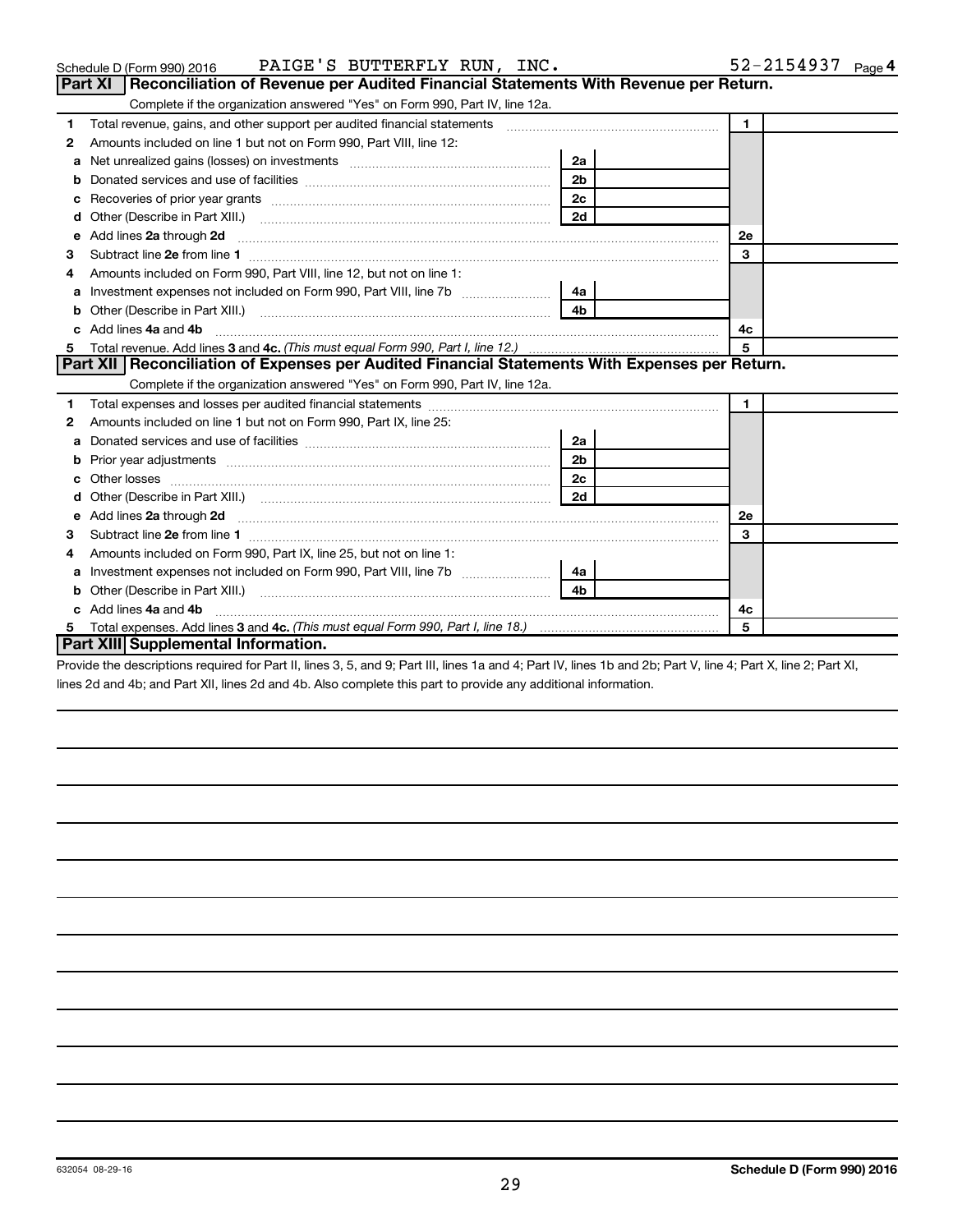| 632054 08-29-16 |
|-----------------|

**5**

|    | Part XI   Reconciliation of Revenue per Audited Financial Statements with Revenue per Return.                                                                                                                                        |                |              |  |
|----|--------------------------------------------------------------------------------------------------------------------------------------------------------------------------------------------------------------------------------------|----------------|--------------|--|
|    | Complete if the organization answered "Yes" on Form 990, Part IV, line 12a.                                                                                                                                                          |                |              |  |
| 1  | Total revenue, gains, and other support per audited financial statements                                                                                                                                                             |                | $\mathbf{1}$ |  |
| 2  | Amounts included on line 1 but not on Form 990, Part VIII, line 12:                                                                                                                                                                  |                |              |  |
| a  | Net unrealized gains (losses) on investments [11] matter contracts and the unrealized gains (losses) on investments                                                                                                                  | 2a             |              |  |
| b  |                                                                                                                                                                                                                                      | 2 <sub>b</sub> |              |  |
| c  |                                                                                                                                                                                                                                      | 2c             |              |  |
| d  |                                                                                                                                                                                                                                      | 2d             |              |  |
| е  | Add lines 2a through 2d <b>continuum contract and contract and contract and contract and contract and contract and contract and contract and contract and contract and contract and contract and contract and contract and contr</b> |                | 2е           |  |
| з  | Subtract line 2e from line 1 <b>manufacture in the contract of the 2e</b> from line 1                                                                                                                                                |                | 3            |  |
| 4  | Amounts included on Form 990, Part VIII, line 12, but not on line 1:                                                                                                                                                                 |                |              |  |
| a  | Investment expenses not included on Form 990, Part VIII, line 7b [11, 11, 12, 13, 13]                                                                                                                                                | -4a l          |              |  |
| b  | Other (Describe in Part XIII.) <b>Construction Construction</b> Chern Construction Chern Chern Chern Chern Chern Chern                                                                                                               | 4 <sub>b</sub> |              |  |
|    | c Add lines 4a and 4b                                                                                                                                                                                                                | 4с             |              |  |
|    |                                                                                                                                                                                                                                      |                |              |  |
| 5. | Total revenue. Add lines 3 and 4c. (This must equal Form 990, Part I, line 12.) [100] Total revenue. Add lines 3 and 4c. (This must equal Form 990, Part I, line 12.)                                                                |                | 5            |  |
|    | Part XII   Reconciliation of Expenses per Audited Financial Statements With Expenses per Return.                                                                                                                                     |                |              |  |
|    | Complete if the organization answered "Yes" on Form 990, Part IV, line 12a.                                                                                                                                                          |                |              |  |
| 1  | Total expenses and losses per audited financial statements [11] contain an intervention contained to the statements [11] and the statements and expenses and losses per audited financial statements                                 |                | $\mathbf{1}$ |  |
| 2  | Amounts included on line 1 but not on Form 990, Part IX, line 25:                                                                                                                                                                    |                |              |  |
| a  |                                                                                                                                                                                                                                      | 2a             |              |  |
| b  |                                                                                                                                                                                                                                      | 2 <sub>b</sub> |              |  |
|    | Prior year adjustments [111] Prior year adjustments [11] Prior year adjustments [11] Prior year adjustments [1                                                                                                                       | 2 <sub>c</sub> |              |  |
| d  |                                                                                                                                                                                                                                      | 2d             |              |  |
| e  |                                                                                                                                                                                                                                      |                | 2е           |  |
| з  | Add lines 2a through 2d <b>contract and a contract and a contract a</b> contract a contract and a contract a contract a                                                                                                              |                | 3            |  |
| 4  | Subtract line 2e from line 1 <b>manufacture in the contract of the 2e</b> from line 1<br>Amounts included on Form 990, Part IX, line 25, but not on line 1:                                                                          |                |              |  |
| a  |                                                                                                                                                                                                                                      | 4a             |              |  |
|    | Other (Describe in Part XIII.) <b>Construction Construction</b> Chern Construction Chern Chern Chern Chern Chern Chern                                                                                                               | 4b.            |              |  |

**5** Total expenses. Add lines 3 and 4c. (This must equal Form 990, Part I, line 18.)

#### **Part XIII Supplemental Information.**

Provide the descriptions required for Part II, lines 3, 5, and 9; Part III, lines 1a and 4; Part IV, lines 1b and 2b; Part V, line 4; Part X, line 2; Part XI, lines 2d and 4b; and Part XII, lines 2d and 4b. Also complete this part to provide any additional information.

29

#### Schedule D (Form 990) 2016  $\;$  PAIGE 'S BUTTERFLY RUN, INC .  $\;$  52-2154937  $\;$  Page **Schedule D (Form 990) 2016 PAIGE'S BUTTERFLY RUN, INC.**<br>**Part XI | Reconciliation of Revenue per Audited Financial Statements With**

| art XI   Reconciliation of Revenue per A |  |  |  |
|------------------------------------------|--|--|--|
|                                          |  |  |  |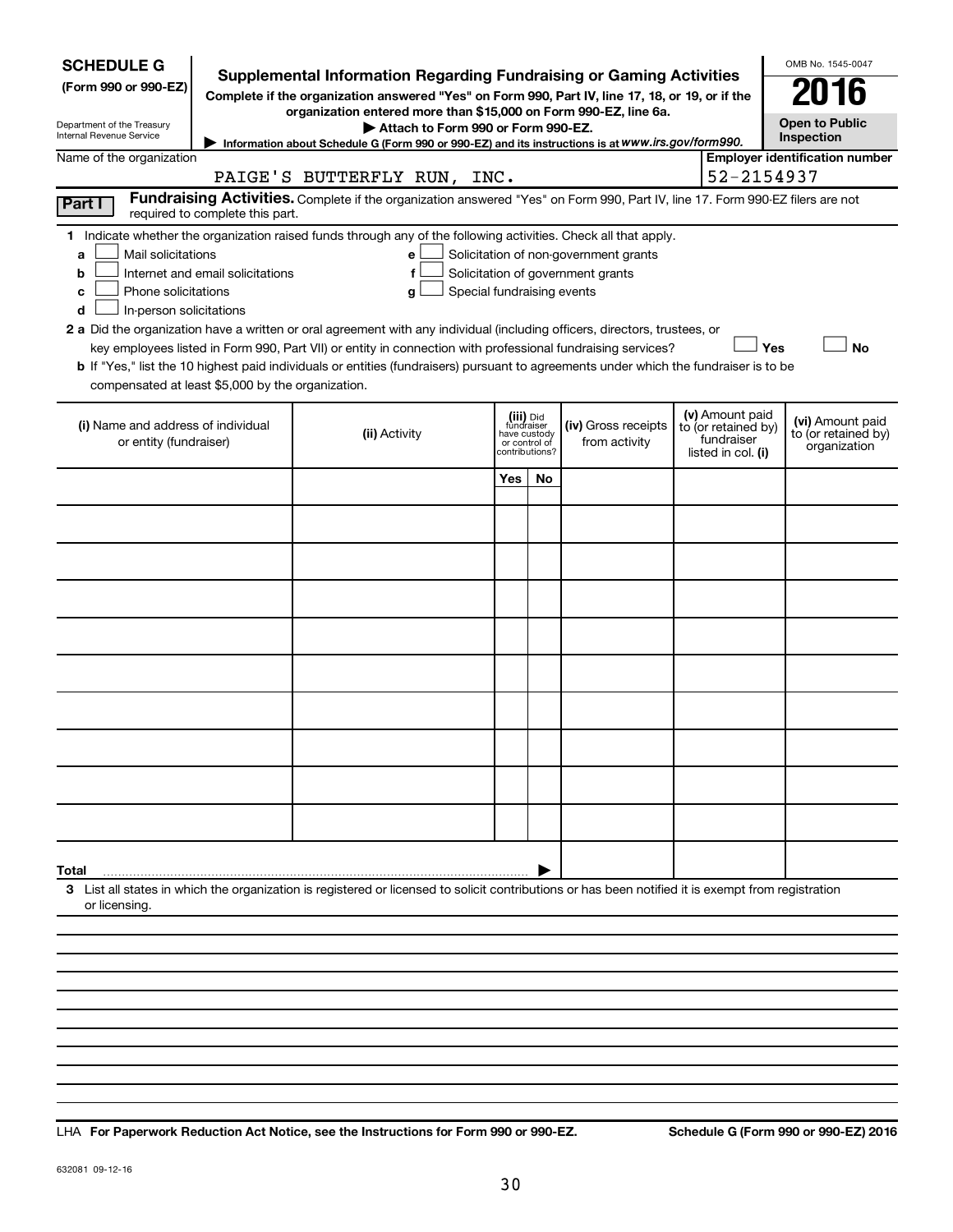| <b>SCHEDULE G</b><br>(Form 990 or 990-EZ)<br>Department of the Treasury<br>Internal Revenue Service<br>Name of the organization                                                                                                                                                                                                                                                                                                                                                                                                                                                                                                                                                                                                                                                                                                                                              | <b>Supplemental Information Regarding Fundraising or Gaming Activities</b><br>Complete if the organization answered "Yes" on Form 990, Part IV, line 17, 18, or 19, or if the<br>organization entered more than \$15,000 on Form 990-EZ, line 6a.<br>Attach to Form 990 or Form 990-EZ.<br>Information about Schedule G (Form 990 or 990-EZ) and its instructions is at WWW.irs.gov/form990. |                               |                                           |                                      |  |                                                                            | OMB No. 1545-0047<br><b>Open to Public</b><br><b>Inspection</b><br><b>Employer identification number</b> |  |  |
|------------------------------------------------------------------------------------------------------------------------------------------------------------------------------------------------------------------------------------------------------------------------------------------------------------------------------------------------------------------------------------------------------------------------------------------------------------------------------------------------------------------------------------------------------------------------------------------------------------------------------------------------------------------------------------------------------------------------------------------------------------------------------------------------------------------------------------------------------------------------------|----------------------------------------------------------------------------------------------------------------------------------------------------------------------------------------------------------------------------------------------------------------------------------------------------------------------------------------------------------------------------------------------|-------------------------------|-------------------------------------------|--------------------------------------|--|----------------------------------------------------------------------------|----------------------------------------------------------------------------------------------------------|--|--|
| 52-2154937<br>PAIGE'S BUTTERFLY RUN, INC.<br>Fundraising Activities. Complete if the organization answered "Yes" on Form 990, Part IV, line 17. Form 990-EZ filers are not<br>Part I                                                                                                                                                                                                                                                                                                                                                                                                                                                                                                                                                                                                                                                                                         |                                                                                                                                                                                                                                                                                                                                                                                              |                               |                                           |                                      |  |                                                                            |                                                                                                          |  |  |
| required to complete this part.<br>1 Indicate whether the organization raised funds through any of the following activities. Check all that apply.<br>Mail solicitations<br>Solicitation of non-government grants<br>a<br>е<br>Internet and email solicitations<br>Solicitation of government grants<br>f<br>b<br>Phone solicitations<br>Special fundraising events<br>с<br>g<br>In-person solicitations<br>d<br>2 a Did the organization have a written or oral agreement with any individual (including officers, directors, trustees, or<br>key employees listed in Form 990, Part VII) or entity in connection with professional fundraising services?<br>Yes<br><b>No</b><br>b If "Yes," list the 10 highest paid individuals or entities (fundraisers) pursuant to agreements under which the fundraiser is to be<br>compensated at least \$5,000 by the organization. |                                                                                                                                                                                                                                                                                                                                                                                              |                               |                                           |                                      |  |                                                                            |                                                                                                          |  |  |
| (i) Name and address of individual<br>or entity (fundraiser)                                                                                                                                                                                                                                                                                                                                                                                                                                                                                                                                                                                                                                                                                                                                                                                                                 | (ii) Activity                                                                                                                                                                                                                                                                                                                                                                                | have custody<br>or control of | (iii) Did<br>fundraiser<br>contributions? | (iv) Gross receipts<br>from activity |  | (v) Amount paid<br>to (or retained by)<br>fundraiser<br>listed in col. (i) | (vi) Amount paid<br>to (or retained by)<br>organization                                                  |  |  |
|                                                                                                                                                                                                                                                                                                                                                                                                                                                                                                                                                                                                                                                                                                                                                                                                                                                                              |                                                                                                                                                                                                                                                                                                                                                                                              | Yes                           | No                                        |                                      |  |                                                                            |                                                                                                          |  |  |
|                                                                                                                                                                                                                                                                                                                                                                                                                                                                                                                                                                                                                                                                                                                                                                                                                                                                              |                                                                                                                                                                                                                                                                                                                                                                                              |                               |                                           |                                      |  |                                                                            |                                                                                                          |  |  |
|                                                                                                                                                                                                                                                                                                                                                                                                                                                                                                                                                                                                                                                                                                                                                                                                                                                                              |                                                                                                                                                                                                                                                                                                                                                                                              |                               |                                           |                                      |  |                                                                            |                                                                                                          |  |  |
|                                                                                                                                                                                                                                                                                                                                                                                                                                                                                                                                                                                                                                                                                                                                                                                                                                                                              |                                                                                                                                                                                                                                                                                                                                                                                              |                               |                                           |                                      |  |                                                                            |                                                                                                          |  |  |
|                                                                                                                                                                                                                                                                                                                                                                                                                                                                                                                                                                                                                                                                                                                                                                                                                                                                              |                                                                                                                                                                                                                                                                                                                                                                                              |                               |                                           |                                      |  |                                                                            |                                                                                                          |  |  |
|                                                                                                                                                                                                                                                                                                                                                                                                                                                                                                                                                                                                                                                                                                                                                                                                                                                                              |                                                                                                                                                                                                                                                                                                                                                                                              |                               |                                           |                                      |  |                                                                            |                                                                                                          |  |  |
|                                                                                                                                                                                                                                                                                                                                                                                                                                                                                                                                                                                                                                                                                                                                                                                                                                                                              |                                                                                                                                                                                                                                                                                                                                                                                              |                               |                                           |                                      |  |                                                                            |                                                                                                          |  |  |
|                                                                                                                                                                                                                                                                                                                                                                                                                                                                                                                                                                                                                                                                                                                                                                                                                                                                              |                                                                                                                                                                                                                                                                                                                                                                                              |                               |                                           |                                      |  |                                                                            |                                                                                                          |  |  |
|                                                                                                                                                                                                                                                                                                                                                                                                                                                                                                                                                                                                                                                                                                                                                                                                                                                                              |                                                                                                                                                                                                                                                                                                                                                                                              |                               |                                           |                                      |  |                                                                            |                                                                                                          |  |  |
|                                                                                                                                                                                                                                                                                                                                                                                                                                                                                                                                                                                                                                                                                                                                                                                                                                                                              |                                                                                                                                                                                                                                                                                                                                                                                              |                               |                                           |                                      |  |                                                                            |                                                                                                          |  |  |
| Total                                                                                                                                                                                                                                                                                                                                                                                                                                                                                                                                                                                                                                                                                                                                                                                                                                                                        |                                                                                                                                                                                                                                                                                                                                                                                              |                               |                                           |                                      |  |                                                                            |                                                                                                          |  |  |
| 3 List all states in which the organization is registered or licensed to solicit contributions or has been notified it is exempt from registration<br>or licensing.                                                                                                                                                                                                                                                                                                                                                                                                                                                                                                                                                                                                                                                                                                          |                                                                                                                                                                                                                                                                                                                                                                                              |                               |                                           |                                      |  |                                                                            |                                                                                                          |  |  |
|                                                                                                                                                                                                                                                                                                                                                                                                                                                                                                                                                                                                                                                                                                                                                                                                                                                                              |                                                                                                                                                                                                                                                                                                                                                                                              |                               |                                           |                                      |  |                                                                            |                                                                                                          |  |  |
|                                                                                                                                                                                                                                                                                                                                                                                                                                                                                                                                                                                                                                                                                                                                                                                                                                                                              |                                                                                                                                                                                                                                                                                                                                                                                              |                               |                                           |                                      |  |                                                                            |                                                                                                          |  |  |
|                                                                                                                                                                                                                                                                                                                                                                                                                                                                                                                                                                                                                                                                                                                                                                                                                                                                              |                                                                                                                                                                                                                                                                                                                                                                                              |                               |                                           |                                      |  |                                                                            |                                                                                                          |  |  |

**For Paperwork Reduction Act Notice, see the Instructions for Form 990 or 990-EZ. Schedule G (Form 990 or 990-EZ) 2016** LHA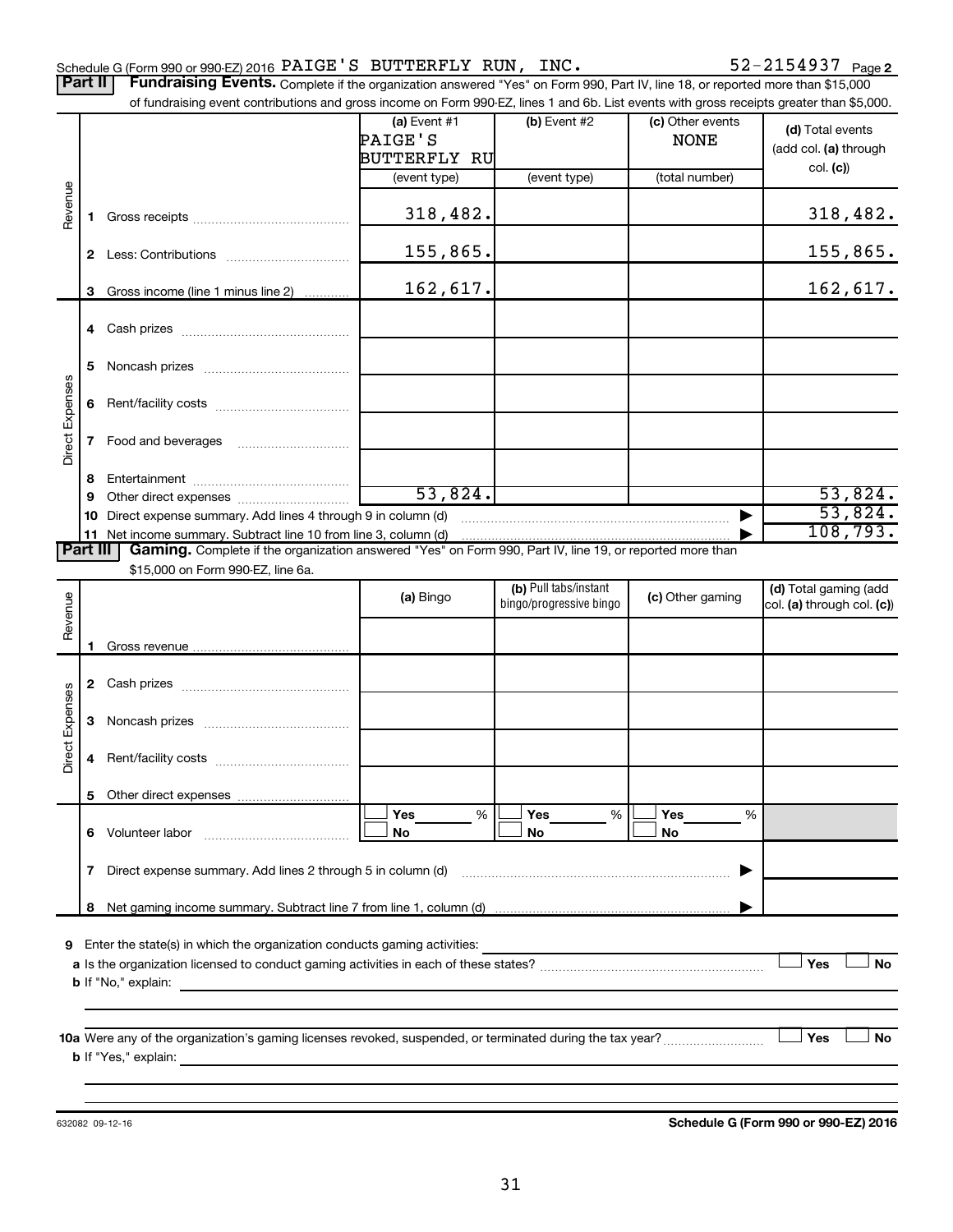|  |  | Schedule G (Form 990 or 990-EZ) 2016 $PAIGE'S$ BUTTERFLY RUN, INC. |  |  |  | $52 - 2154937$ Page 2 |  |
|--|--|--------------------------------------------------------------------|--|--|--|-----------------------|--|
|--|--|--------------------------------------------------------------------|--|--|--|-----------------------|--|

Part II | Fundraising Events. Complete if the organization answered "Yes" on Form 990, Part IV, line 18, or reported more than \$15,000

|                 |              | of fundraising event contributions and gross income on Form 990-EZ, lines 1 and 6b. List events with gross receipts greater than \$5,000. |              |                         |                  |                            |
|-----------------|--------------|-------------------------------------------------------------------------------------------------------------------------------------------|--------------|-------------------------|------------------|----------------------------|
|                 |              |                                                                                                                                           | (a) Event #1 | (b) Event #2            | (c) Other events | (d) Total events           |
|                 |              |                                                                                                                                           | PAIGE'S      |                         | <b>NONE</b>      | (add col. (a) through      |
|                 |              |                                                                                                                                           | BUTTERFLY RU |                         |                  | col. (c)                   |
|                 |              |                                                                                                                                           | (event type) | (event type)            | (total number)   |                            |
| Revenue         |              |                                                                                                                                           |              |                         |                  |                            |
|                 | 1.           |                                                                                                                                           | 318,482.     |                         |                  | 318,482.                   |
|                 |              |                                                                                                                                           |              |                         |                  |                            |
|                 | $\mathbf{2}$ |                                                                                                                                           | 155,865.     |                         |                  | 155,865.                   |
|                 |              |                                                                                                                                           |              |                         |                  |                            |
|                 | 3            | Gross income (line 1 minus line 2)                                                                                                        | 162,617.     |                         |                  | 162,617.                   |
|                 |              |                                                                                                                                           |              |                         |                  |                            |
|                 |              |                                                                                                                                           |              |                         |                  |                            |
|                 |              |                                                                                                                                           |              |                         |                  |                            |
|                 |              |                                                                                                                                           |              |                         |                  |                            |
|                 | 5            |                                                                                                                                           |              |                         |                  |                            |
| Direct Expenses |              |                                                                                                                                           |              |                         |                  |                            |
|                 | 6            |                                                                                                                                           |              |                         |                  |                            |
|                 |              |                                                                                                                                           |              |                         |                  |                            |
|                 | 7            | Food and beverages                                                                                                                        |              |                         |                  |                            |
|                 |              |                                                                                                                                           |              |                         |                  |                            |
|                 | 8            |                                                                                                                                           |              |                         |                  |                            |
|                 | 9            |                                                                                                                                           | 53,824.      |                         |                  | 53,824.                    |
|                 | 10           | Direct expense summary. Add lines 4 through 9 in column (d)                                                                               |              |                         |                  | 53,824.                    |
|                 |              | 11 Net income summary. Subtract line 10 from line 3, column (d)                                                                           |              |                         |                  | 108,793.                   |
| <b>Part III</b> |              | Gaming. Complete if the organization answered "Yes" on Form 990, Part IV, line 19, or reported more than                                  |              |                         |                  |                            |
|                 |              | \$15,000 on Form 990-EZ, line 6a.                                                                                                         |              |                         |                  |                            |
|                 |              |                                                                                                                                           | (a) Bingo    | (b) Pull tabs/instant   | (c) Other gaming | (d) Total gaming (add      |
| Revenue         |              |                                                                                                                                           |              | bingo/progressive bingo |                  | col. (a) through col. (c)) |
|                 |              |                                                                                                                                           |              |                         |                  |                            |
|                 | п.           |                                                                                                                                           |              |                         |                  |                            |
|                 |              |                                                                                                                                           |              |                         |                  |                            |
|                 | 2            |                                                                                                                                           |              |                         |                  |                            |
| Direct Expenses |              |                                                                                                                                           |              |                         |                  |                            |
|                 | 3            |                                                                                                                                           |              |                         |                  |                            |
|                 |              |                                                                                                                                           |              |                         |                  |                            |
|                 | 4            |                                                                                                                                           |              |                         |                  |                            |
|                 |              |                                                                                                                                           |              |                         |                  |                            |
|                 |              | 5 Other direct expenses                                                                                                                   |              |                         |                  |                            |
|                 |              |                                                                                                                                           | %<br>Yes     | %<br>Yes                | Yes<br>%         |                            |
|                 |              | 6 Volunteer labor                                                                                                                         | No           | No                      | No               |                            |
|                 |              |                                                                                                                                           |              |                         |                  |                            |
|                 | 7            | Direct expense summary. Add lines 2 through 5 in column (d)                                                                               |              |                         | ▶                |                            |
|                 |              |                                                                                                                                           |              |                         |                  |                            |
|                 | 8            |                                                                                                                                           |              |                         |                  |                            |
|                 |              |                                                                                                                                           |              |                         |                  |                            |
| 9               |              | Enter the state(s) in which the organization conducts gaming activities:                                                                  |              |                         |                  |                            |
|                 |              |                                                                                                                                           |              |                         |                  | Yes<br><b>No</b>           |
|                 |              | <b>b</b> If "No," explain:                                                                                                                |              |                         |                  |                            |
|                 |              | <u> 1989 - Johann Stoff, deutscher Stoff, der Stoff, der Stoff, der Stoff, der Stoff, der Stoff, der Stoff, der S</u>                     |              |                         |                  |                            |
|                 |              |                                                                                                                                           |              |                         |                  |                            |
|                 |              |                                                                                                                                           |              |                         |                  | Yes<br>No                  |
|                 |              |                                                                                                                                           |              |                         |                  |                            |
|                 |              |                                                                                                                                           |              |                         |                  |                            |
|                 |              |                                                                                                                                           |              |                         |                  |                            |
|                 |              |                                                                                                                                           |              |                         |                  |                            |

632082 09-12-16

**Schedule G (Form 990 or 990-EZ) 2016**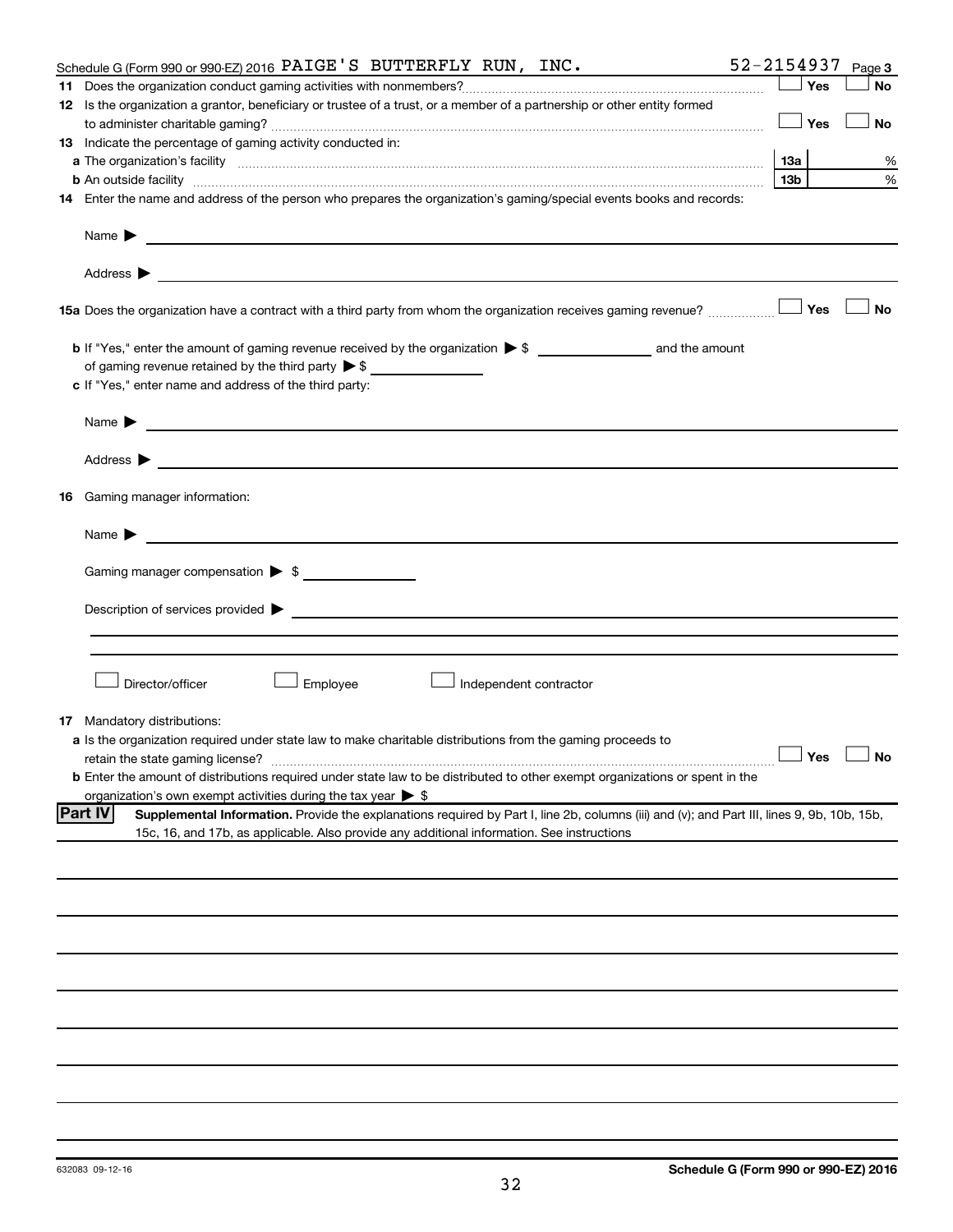|    | 52-2154937<br>Schedule G (Form 990 or 990-EZ) 2016 PAIGE'S BUTTERFLY RUN, INC.                                                                                                                                                     |                 |     | Page 3               |
|----|------------------------------------------------------------------------------------------------------------------------------------------------------------------------------------------------------------------------------------|-----------------|-----|----------------------|
|    |                                                                                                                                                                                                                                    |                 | Yes | <b>No</b>            |
|    | 12 Is the organization a grantor, beneficiary or trustee of a trust, or a member of a partnership or other entity formed                                                                                                           |                 |     |                      |
|    |                                                                                                                                                                                                                                    |                 | Yes | No                   |
|    | <b>13</b> Indicate the percentage of gaming activity conducted in:                                                                                                                                                                 |                 |     |                      |
|    | a The organization's facility <i>measurement assembly</i> the state of the state of the state of the state of the state of the state of the state of the state of the state of the state of the state of the state of the state of |                 |     | %                    |
|    | <b>b</b> An outside facility <i>www.communicality www.communicality.communicality www.communicality www.communicality.com</i>                                                                                                      | 13 <sub>b</sub> |     | %                    |
|    | 14 Enter the name and address of the person who prepares the organization's gaming/special events books and records:                                                                                                               |                 |     |                      |
|    | Name $\blacktriangleright$ $\frac{1}{\sqrt{1-\frac{1}{2}}\left(1-\frac{1}{2}\right)}$                                                                                                                                              |                 |     |                      |
|    |                                                                                                                                                                                                                                    |                 |     |                      |
|    | 15a Does the organization have a contract with a third party from whom the organization receives gaming revenue?                                                                                                                   |                 | Yes | <b>No</b>            |
|    |                                                                                                                                                                                                                                    |                 |     |                      |
|    | of gaming revenue retained by the third party $\triangleright$ \$                                                                                                                                                                  |                 |     |                      |
|    | c If "Yes," enter name and address of the third party:                                                                                                                                                                             |                 |     |                      |
|    |                                                                                                                                                                                                                                    |                 |     |                      |
|    | Name $\blacktriangleright$<br><u> 1980 - John Barn Barn, amerikan basar basal dan berasal dan berasal dari berasal dalam basal dan berasal dan</u>                                                                                 |                 |     |                      |
|    | Address ><br><u>and the contract of the contract of the contract of the contract of the contract of the contract of</u>                                                                                                            |                 |     |                      |
| 16 | Gaming manager information:                                                                                                                                                                                                        |                 |     |                      |
|    | Name $\blacktriangleright$<br><u> 1989 - Johann Barbara, martin da basar a shekara 1989 - An tsaran a shekara 1989 - An tsara 1989 - An tsara</u>                                                                                  |                 |     |                      |
|    |                                                                                                                                                                                                                                    |                 |     |                      |
|    | Gaming manager compensation > \$                                                                                                                                                                                                   |                 |     |                      |
|    |                                                                                                                                                                                                                                    |                 |     |                      |
|    |                                                                                                                                                                                                                                    |                 |     |                      |
|    |                                                                                                                                                                                                                                    |                 |     |                      |
|    |                                                                                                                                                                                                                                    |                 |     |                      |
|    | Employee<br>Director/officer<br>Independent contractor                                                                                                                                                                             |                 |     |                      |
|    |                                                                                                                                                                                                                                    |                 |     |                      |
|    | <b>17</b> Mandatory distributions:                                                                                                                                                                                                 |                 |     |                      |
|    | a Is the organization required under state law to make charitable distributions from the gaming proceeds to                                                                                                                        |                 |     |                      |
|    | retain the state gaming license?                                                                                                                                                                                                   |                 |     | $\Box$ Yes $\Box$ No |
|    | <b>b</b> Enter the amount of distributions required under state law to be distributed to other exempt organizations or spent in the                                                                                                |                 |     |                      |
|    | organization's own exempt activities during the tax year $\triangleright$ \$                                                                                                                                                       |                 |     |                      |
|    | <b>Part IV</b><br>Supplemental Information. Provide the explanations required by Part I, line 2b, columns (iii) and (v); and Part III, lines 9, 9b, 10b, 15b,                                                                      |                 |     |                      |
|    | 15c, 16, and 17b, as applicable. Also provide any additional information. See instructions                                                                                                                                         |                 |     |                      |
|    |                                                                                                                                                                                                                                    |                 |     |                      |
|    |                                                                                                                                                                                                                                    |                 |     |                      |
|    |                                                                                                                                                                                                                                    |                 |     |                      |
|    |                                                                                                                                                                                                                                    |                 |     |                      |
|    |                                                                                                                                                                                                                                    |                 |     |                      |
|    |                                                                                                                                                                                                                                    |                 |     |                      |
|    |                                                                                                                                                                                                                                    |                 |     |                      |
|    |                                                                                                                                                                                                                                    |                 |     |                      |
|    |                                                                                                                                                                                                                                    |                 |     |                      |
|    |                                                                                                                                                                                                                                    |                 |     |                      |
|    |                                                                                                                                                                                                                                    |                 |     |                      |
|    |                                                                                                                                                                                                                                    |                 |     |                      |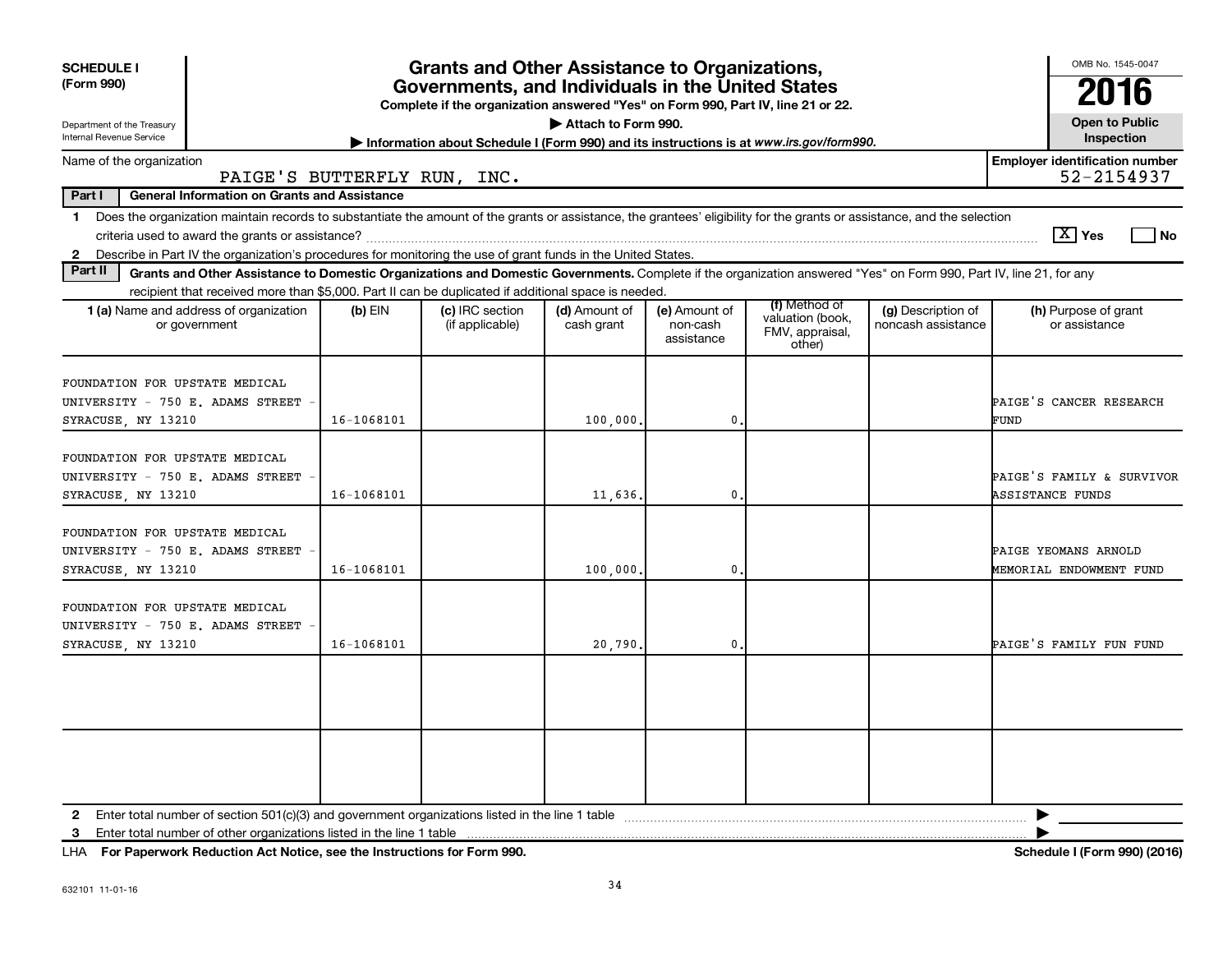| <b>SCHEDULE I</b><br>(Form 990)<br>Department of the Treasury<br>Internal Revenue Service                                                                                                                                                                                                                  | <b>Grants and Other Assistance to Organizations,</b><br>Governments, and Individuals in the United States<br>Complete if the organization answered "Yes" on Form 990, Part IV, line 21 or 22.<br>Attach to Form 990. |                                                                                         |                             |                                         |                                                                |                                          |                                                      |  |  |
|------------------------------------------------------------------------------------------------------------------------------------------------------------------------------------------------------------------------------------------------------------------------------------------------------------|----------------------------------------------------------------------------------------------------------------------------------------------------------------------------------------------------------------------|-----------------------------------------------------------------------------------------|-----------------------------|-----------------------------------------|----------------------------------------------------------------|------------------------------------------|------------------------------------------------------|--|--|
|                                                                                                                                                                                                                                                                                                            |                                                                                                                                                                                                                      | Information about Schedule I (Form 990) and its instructions is at www.irs.gov/form990. |                             |                                         |                                                                |                                          | Inspection                                           |  |  |
| Name of the organization<br>PAIGE'S BUTTERFLY RUN, INC.                                                                                                                                                                                                                                                    |                                                                                                                                                                                                                      |                                                                                         |                             |                                         |                                                                |                                          | <b>Employer identification number</b><br>52-2154937  |  |  |
| Part I<br><b>General Information on Grants and Assistance</b>                                                                                                                                                                                                                                              |                                                                                                                                                                                                                      |                                                                                         |                             |                                         |                                                                |                                          |                                                      |  |  |
| Does the organization maintain records to substantiate the amount of the grants or assistance, the grantees' eligibility for the grants or assistance, and the selection<br>$\mathbf 1$<br>2 Describe in Part IV the organization's procedures for monitoring the use of grant funds in the United States. |                                                                                                                                                                                                                      |                                                                                         |                             |                                         |                                                                |                                          | $\boxed{\text{X}}$ Yes<br>l No                       |  |  |
| Part II<br>Grants and Other Assistance to Domestic Organizations and Domestic Governments. Complete if the organization answered "Yes" on Form 990, Part IV, line 21, for any                                                                                                                              |                                                                                                                                                                                                                      |                                                                                         |                             |                                         |                                                                |                                          |                                                      |  |  |
| recipient that received more than \$5,000. Part II can be duplicated if additional space is needed.                                                                                                                                                                                                        |                                                                                                                                                                                                                      |                                                                                         |                             |                                         |                                                                |                                          |                                                      |  |  |
| <b>1 (a)</b> Name and address of organization<br>or government                                                                                                                                                                                                                                             | $(b)$ EIN                                                                                                                                                                                                            | (c) IRC section<br>(if applicable)                                                      | (d) Amount of<br>cash grant | (e) Amount of<br>non-cash<br>assistance | (f) Method of<br>valuation (book,<br>FMV, appraisal,<br>other) | (g) Description of<br>noncash assistance | (h) Purpose of grant<br>or assistance                |  |  |
| FOUNDATION FOR UPSTATE MEDICAL<br>UNIVERSITY - 750 E. ADAMS STREET -<br>SYRACUSE NY 13210                                                                                                                                                                                                                  | 16-1068101                                                                                                                                                                                                           |                                                                                         | 100,000.                    | $\mathbf{0}$                            |                                                                |                                          | PAIGE'S CANCER RESEARCH<br>FUND                      |  |  |
| FOUNDATION FOR UPSTATE MEDICAL<br>UNIVERSITY - 750 E. ADAMS STREET -<br>SYRACUSE, NY 13210                                                                                                                                                                                                                 | 16-1068101                                                                                                                                                                                                           |                                                                                         | 11,636.                     | $\mathbf{0}$                            |                                                                |                                          | PAIGE'S FAMILY & SURVIVOR<br><b>ASSISTANCE FUNDS</b> |  |  |
| FOUNDATION FOR UPSTATE MEDICAL<br>UNIVERSITY - 750 E. ADAMS STREET -<br>SYRACUSE, NY 13210                                                                                                                                                                                                                 | 16-1068101                                                                                                                                                                                                           |                                                                                         | 100,000.                    | $\mathbf{0}$                            |                                                                |                                          | PAIGE YEOMANS ARNOLD<br>MEMORIAL ENDOWMENT FUND      |  |  |
| FOUNDATION FOR UPSTATE MEDICAL<br>UNIVERSITY - 750 E. ADAMS STREET<br>SYRACUSE, NY 13210                                                                                                                                                                                                                   | 16-1068101                                                                                                                                                                                                           |                                                                                         | 20,790.                     | $\mathbf{0}$                            |                                                                |                                          | PAIGE'S FAMILY FUN FUND                              |  |  |
|                                                                                                                                                                                                                                                                                                            |                                                                                                                                                                                                                      |                                                                                         |                             |                                         |                                                                |                                          |                                                      |  |  |
|                                                                                                                                                                                                                                                                                                            |                                                                                                                                                                                                                      |                                                                                         |                             |                                         |                                                                |                                          |                                                      |  |  |
| Enter total number of other organizations listed in the line 1 table<br>3                                                                                                                                                                                                                                  |                                                                                                                                                                                                                      |                                                                                         |                             |                                         |                                                                |                                          |                                                      |  |  |

**For Paperwork Reduction Act Notice, see the Instructions for Form 990. Schedule I (Form 990) (2016)** LHA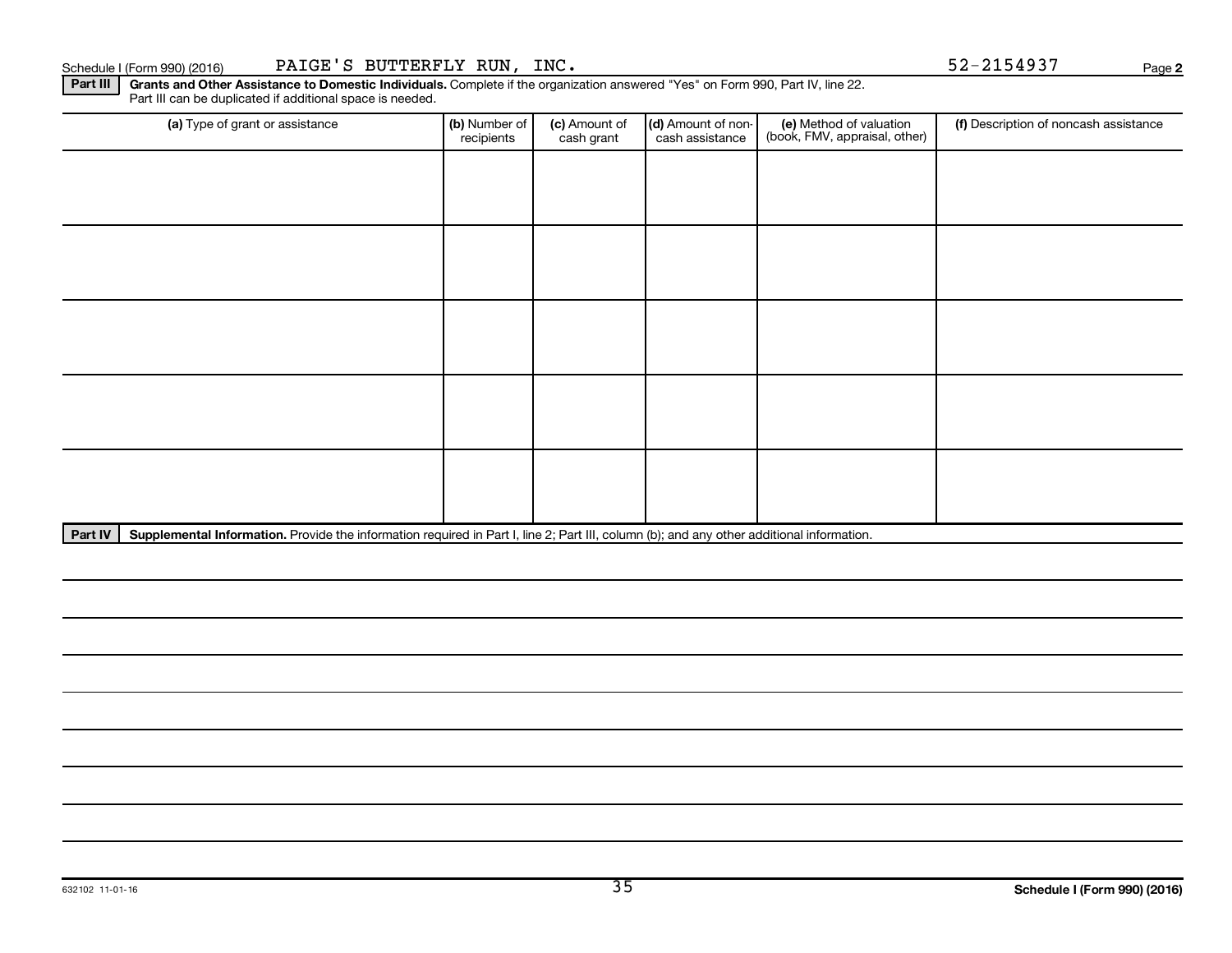Schedule I (Form 990) (2016) PAIGE'S BUTTERFLY RUN, INC. Schedule I (Form 990) (2016) Page

Part III | Grants and Other Assistance to Domestic Individuals. Complete if the organization answered "Yes" on Form 990, Part IV, line 22. Part III can be duplicated if additional space is needed.

| (a) Type of grant or assistance                                                                                                                      | (b) Number of<br>recipients | (c) Amount of<br>cash grant | (d) Amount of non-<br>cash assistance | (e) Method of valuation<br>(book, FMV, appraisal, other) | (f) Description of noncash assistance |
|------------------------------------------------------------------------------------------------------------------------------------------------------|-----------------------------|-----------------------------|---------------------------------------|----------------------------------------------------------|---------------------------------------|
|                                                                                                                                                      |                             |                             |                                       |                                                          |                                       |
|                                                                                                                                                      |                             |                             |                                       |                                                          |                                       |
|                                                                                                                                                      |                             |                             |                                       |                                                          |                                       |
|                                                                                                                                                      |                             |                             |                                       |                                                          |                                       |
|                                                                                                                                                      |                             |                             |                                       |                                                          |                                       |
|                                                                                                                                                      |                             |                             |                                       |                                                          |                                       |
|                                                                                                                                                      |                             |                             |                                       |                                                          |                                       |
|                                                                                                                                                      |                             |                             |                                       |                                                          |                                       |
|                                                                                                                                                      |                             |                             |                                       |                                                          |                                       |
|                                                                                                                                                      |                             |                             |                                       |                                                          |                                       |
| Supplemental Information. Provide the information required in Part I, line 2; Part III, column (b); and any other additional information.<br>Part IV |                             |                             |                                       |                                                          |                                       |
|                                                                                                                                                      |                             |                             |                                       |                                                          |                                       |
|                                                                                                                                                      |                             |                             |                                       |                                                          |                                       |
|                                                                                                                                                      |                             |                             |                                       |                                                          |                                       |
|                                                                                                                                                      |                             |                             |                                       |                                                          |                                       |
|                                                                                                                                                      |                             |                             |                                       |                                                          |                                       |
|                                                                                                                                                      |                             |                             |                                       |                                                          |                                       |

**2**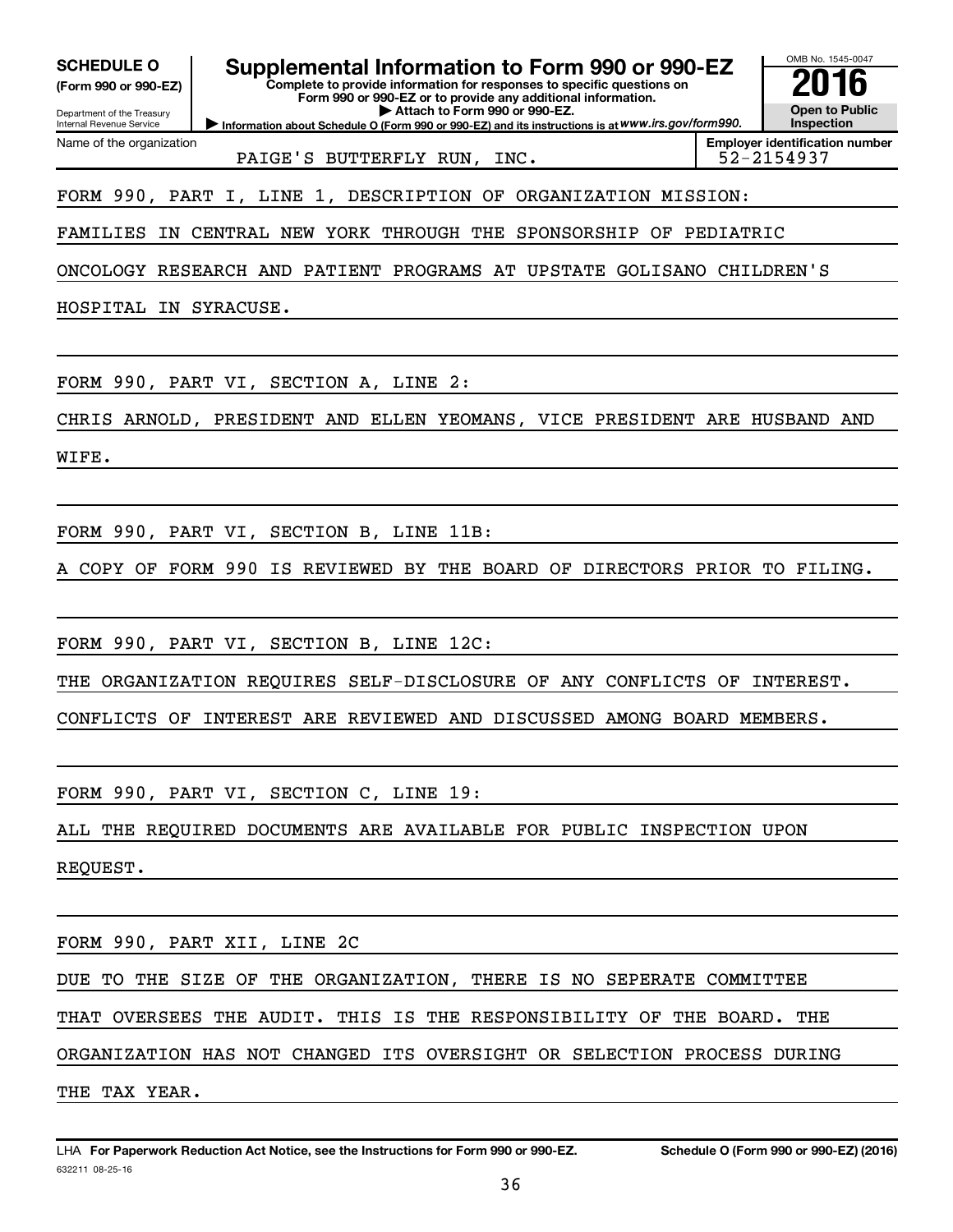| Supplemental Information to Form 990 or 990-EZ<br><b>SCHEDULE O</b><br>Complete to provide information for responses to specific questions on<br>(Form 990 or 990-EZ)<br>Form 990 or 990-EZ or to provide any additional information.<br>Attach to Form 990 or 990-EZ.<br>Department of the Treasury<br>Information about Schedule O (Form 990 or 990-EZ) and its instructions is at WWW.irs.gov/form990.<br>Internal Revenue Service | OMB No. 1545-0047<br><b>Open to Public</b><br><b>Inspection</b> |  |
|---------------------------------------------------------------------------------------------------------------------------------------------------------------------------------------------------------------------------------------------------------------------------------------------------------------------------------------------------------------------------------------------------------------------------------------|-----------------------------------------------------------------|--|
| Name of the organization<br>PAIGE'S BUTTERFLY RUN, INC.                                                                                                                                                                                                                                                                                                                                                                               | <b>Employer identification number</b><br>52-2154937             |  |
| FORM 990, PART I, LINE 1, DESCRIPTION OF ORGANIZATION MISSION:                                                                                                                                                                                                                                                                                                                                                                        |                                                                 |  |
| CENTRAL NEW YORK THROUGH THE<br>SPONSORSHIP<br>FAMILIES<br>OF<br>IN                                                                                                                                                                                                                                                                                                                                                                   | PEDIATRIC                                                       |  |
| ONCOLOGY RESEARCH AND PATIENT PROGRAMS AT UPSTATE GOLISANO CHILDREN'S                                                                                                                                                                                                                                                                                                                                                                 |                                                                 |  |
| HOSPITAL IN SYRACUSE.                                                                                                                                                                                                                                                                                                                                                                                                                 |                                                                 |  |
|                                                                                                                                                                                                                                                                                                                                                                                                                                       |                                                                 |  |
| FORM 990, PART VI, SECTION A, LINE 2:                                                                                                                                                                                                                                                                                                                                                                                                 |                                                                 |  |
| CHRIS ARNOLD, PRESIDENT AND ELLEN YEOMANS, VICE PRESIDENT ARE HUSBAND AND                                                                                                                                                                                                                                                                                                                                                             |                                                                 |  |
| WIFE.                                                                                                                                                                                                                                                                                                                                                                                                                                 |                                                                 |  |
|                                                                                                                                                                                                                                                                                                                                                                                                                                       |                                                                 |  |
| FORM 990, PART VI, SECTION B, LINE 11B:                                                                                                                                                                                                                                                                                                                                                                                               |                                                                 |  |
| A COPY OF FORM 990 IS REVIEWED BY THE BOARD OF DIRECTORS PRIOR TO FILING.                                                                                                                                                                                                                                                                                                                                                             |                                                                 |  |
|                                                                                                                                                                                                                                                                                                                                                                                                                                       |                                                                 |  |
| FORM 990, PART VI, SECTION B, LINE 12C:                                                                                                                                                                                                                                                                                                                                                                                               |                                                                 |  |
| THE ORGANIZATION REQUIRES SELF-DISCLOSURE OF ANY CONFLICTS OF                                                                                                                                                                                                                                                                                                                                                                         | INTEREST.                                                       |  |
| CONFLICTS OF<br>INTEREST ARE REVIEWED AND DISCUSSED AMONG BOARD MEMBERS.                                                                                                                                                                                                                                                                                                                                                              |                                                                 |  |
|                                                                                                                                                                                                                                                                                                                                                                                                                                       |                                                                 |  |
| FORM 990, PART VI, SECTION C, LINE 19:                                                                                                                                                                                                                                                                                                                                                                                                |                                                                 |  |
| ALL THE REQUIRED DOCUMENTS ARE AVAILABLE FOR PUBLIC INSPECTION UPON                                                                                                                                                                                                                                                                                                                                                                   |                                                                 |  |
| REQUEST.                                                                                                                                                                                                                                                                                                                                                                                                                              |                                                                 |  |
|                                                                                                                                                                                                                                                                                                                                                                                                                                       |                                                                 |  |
| FORM 990, PART XII, LINE 2C                                                                                                                                                                                                                                                                                                                                                                                                           |                                                                 |  |
| DUE TO THE SIZE OF THE ORGANIZATION, THERE IS NO SEPERATE COMMITTEE                                                                                                                                                                                                                                                                                                                                                                   |                                                                 |  |
| THAT OVERSEES THE AUDIT. THIS IS THE RESPONSIBILITY OF THE BOARD. THE                                                                                                                                                                                                                                                                                                                                                                 |                                                                 |  |
| ORGANIZATION HAS NOT CHANGED ITS OVERSIGHT OR SELECTION PROCESS DURING                                                                                                                                                                                                                                                                                                                                                                |                                                                 |  |
| THE TAX YEAR.                                                                                                                                                                                                                                                                                                                                                                                                                         |                                                                 |  |
|                                                                                                                                                                                                                                                                                                                                                                                                                                       |                                                                 |  |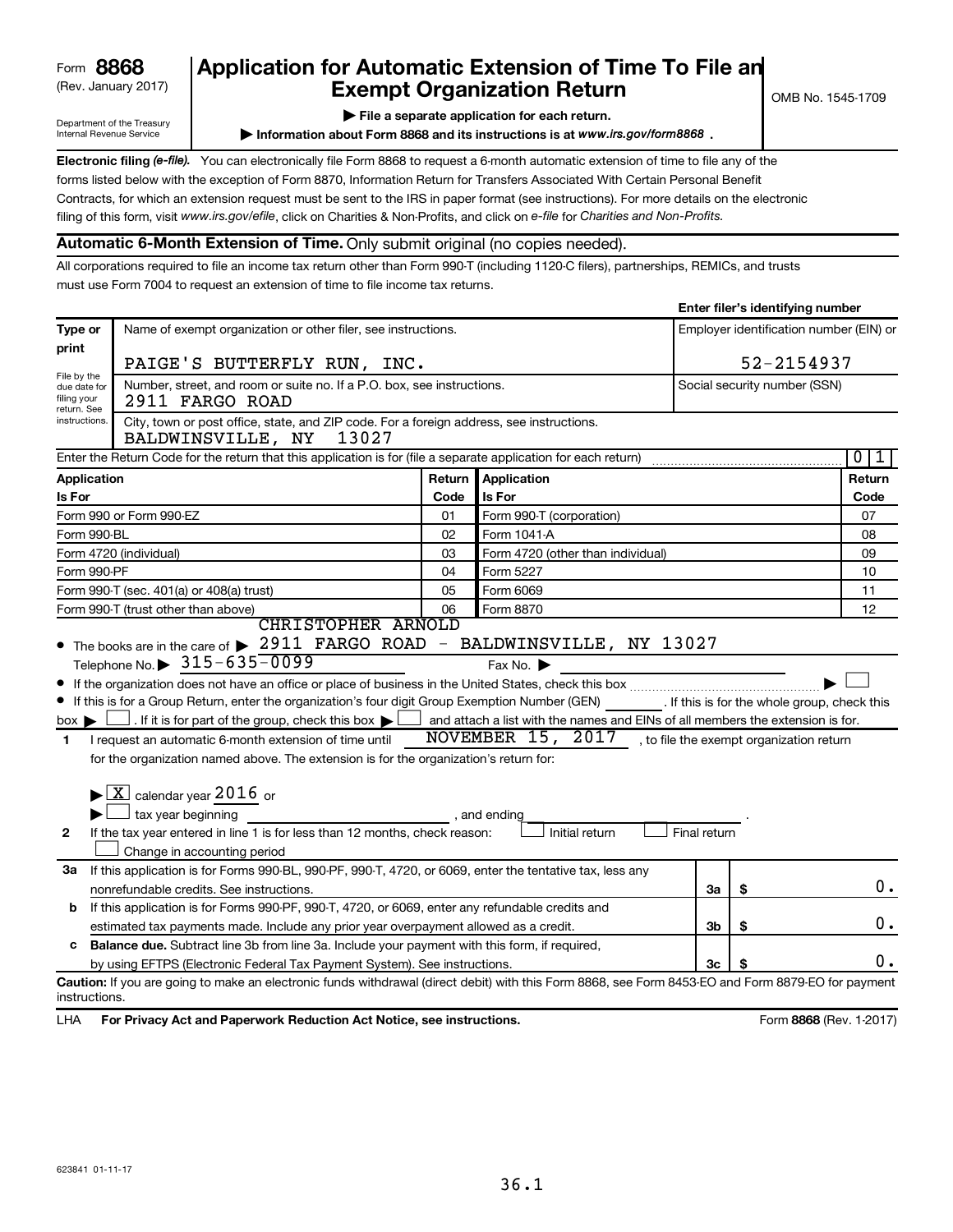## (Rev. January 2017) **Cxempt Organization Return** and the No. 1545-1709 **Form 8868 Application for Automatic Extension of Time To File an**<br>**Exempt Organization Return**

**| File a separate application for each return.**

Department of the Treasury Internal Revenue Service

**Information about Form 8868 and its instructions is at www.irs.gov/form8868.** 

Electronic filing (e-file). You can electronically file Form 8868 to request a 6-month automatic extension of time to file any of the filing of this form, visit www.irs.gov/efile, click on Charities & Non-Profits, and click on e-file for Charities and Non-Profits. forms listed below with the exception of Form 8870, Information Return for Transfers Associated With Certain Personal Benefit Contracts, for which an extension request must be sent to the IRS in paper format (see instructions). For more details on the electronic

#### **Automatic 6-Month Extension of Time.** Only submit original (no copies needed).

All corporations required to file an income tax return other than Form 990-T (including 1120-C filers), partnerships, REMICs, and trusts must use Form 7004 to request an extension of time to file income tax returns.

|                                                |                                                                                                                                                                                                                                                                                                                                                                                                                                                                                                                                                                                                                                                                                         |        |                                                                                                                              |              |                                         | Enter filer's identifying number |  |
|------------------------------------------------|-----------------------------------------------------------------------------------------------------------------------------------------------------------------------------------------------------------------------------------------------------------------------------------------------------------------------------------------------------------------------------------------------------------------------------------------------------------------------------------------------------------------------------------------------------------------------------------------------------------------------------------------------------------------------------------------|--------|------------------------------------------------------------------------------------------------------------------------------|--------------|-----------------------------------------|----------------------------------|--|
| Type or                                        | Name of exempt organization or other filer, see instructions.                                                                                                                                                                                                                                                                                                                                                                                                                                                                                                                                                                                                                           |        |                                                                                                                              |              | Employer identification number (EIN) or |                                  |  |
| print                                          | PAIGE'S BUTTERFLY RUN, INC.                                                                                                                                                                                                                                                                                                                                                                                                                                                                                                                                                                                                                                                             |        |                                                                                                                              |              |                                         | 52-2154937                       |  |
| File by the<br>due date for<br>filing your     | Number, street, and room or suite no. If a P.O. box, see instructions.<br>2911 FARGO ROAD                                                                                                                                                                                                                                                                                                                                                                                                                                                                                                                                                                                               |        | Social security number (SSN)                                                                                                 |              |                                         |                                  |  |
| instructions.                                  | return. See<br>City, town or post office, state, and ZIP code. For a foreign address, see instructions.<br>BALDWINSVILLE, NY<br>13027                                                                                                                                                                                                                                                                                                                                                                                                                                                                                                                                                   |        |                                                                                                                              |              |                                         |                                  |  |
|                                                | Enter the Return Code for the return that this application is for (file a separate application for each return)                                                                                                                                                                                                                                                                                                                                                                                                                                                                                                                                                                         |        |                                                                                                                              |              |                                         | 0                                |  |
| <b>Application</b>                             |                                                                                                                                                                                                                                                                                                                                                                                                                                                                                                                                                                                                                                                                                         | Return | Application                                                                                                                  |              |                                         | Return                           |  |
| Is For                                         |                                                                                                                                                                                                                                                                                                                                                                                                                                                                                                                                                                                                                                                                                         | Code   | Is For                                                                                                                       |              |                                         | Code                             |  |
|                                                | Form 990 or Form 990-EZ                                                                                                                                                                                                                                                                                                                                                                                                                                                                                                                                                                                                                                                                 | 01     | Form 990-T (corporation)                                                                                                     |              |                                         | 07                               |  |
| Form 990-BL                                    |                                                                                                                                                                                                                                                                                                                                                                                                                                                                                                                                                                                                                                                                                         | 02     | Form 1041-A                                                                                                                  |              |                                         | 08                               |  |
|                                                | Form 4720 (individual)                                                                                                                                                                                                                                                                                                                                                                                                                                                                                                                                                                                                                                                                  | 03     | Form 4720 (other than individual)                                                                                            |              |                                         | 09                               |  |
| Form 990-PF                                    |                                                                                                                                                                                                                                                                                                                                                                                                                                                                                                                                                                                                                                                                                         | 04     | Form 5227                                                                                                                    |              |                                         | 10                               |  |
|                                                | Form 990-T (sec. 401(a) or 408(a) trust)                                                                                                                                                                                                                                                                                                                                                                                                                                                                                                                                                                                                                                                | 05     | Form 6069                                                                                                                    |              |                                         | 11                               |  |
|                                                | Form 990-T (trust other than above)<br>CHRISTOPHER ARNOLD                                                                                                                                                                                                                                                                                                                                                                                                                                                                                                                                                                                                                               | 06     | Form 8870                                                                                                                    |              |                                         | 12                               |  |
| $box \blacktriangleright$<br>1<br>$\mathbf{2}$ | Telephone No. $\triangleright$ 315-635-0099<br>If this is for a Group Return, enter the organization's four digit Group Exemption Number (GEN) [If this is for the whole group, check this<br>. If it is for part of the group, check this box $\blacktriangleright$ and attach a list with the names and EINs of all members the extension is for.<br>I request an automatic 6-month extension of time until<br>for the organization named above. The extension is for the organization's return for:<br>$\blacktriangleright$ $\lfloor$ X $\rfloor$ calendar year 2016 or<br>$\Box$ tax year beginning<br>If the tax year entered in line 1 is for less than 12 months, check reason: |        | Fax No. $\blacktriangleright$<br>NOVEMBER 15, 2017, to file the exempt organization return<br>, and ending<br>Initial return | Final return |                                         |                                  |  |
|                                                | Change in accounting period                                                                                                                                                                                                                                                                                                                                                                                                                                                                                                                                                                                                                                                             |        |                                                                                                                              |              |                                         |                                  |  |
| За                                             | If this application is for Forms 990-BL, 990-PF, 990-T, 4720, or 6069, enter the tentative tax, less any                                                                                                                                                                                                                                                                                                                                                                                                                                                                                                                                                                                |        |                                                                                                                              |              |                                         |                                  |  |
|                                                | nonrefundable credits. See instructions.                                                                                                                                                                                                                                                                                                                                                                                                                                                                                                                                                                                                                                                |        |                                                                                                                              | За           | \$                                      | 0.                               |  |
| b                                              | If this application is for Forms 990-PF, 990-T, 4720, or 6069, enter any refundable credits and                                                                                                                                                                                                                                                                                                                                                                                                                                                                                                                                                                                         |        |                                                                                                                              |              |                                         |                                  |  |
|                                                | estimated tax payments made. Include any prior year overpayment allowed as a credit.                                                                                                                                                                                                                                                                                                                                                                                                                                                                                                                                                                                                    |        |                                                                                                                              | 3b           | \$                                      | 0.                               |  |
| c                                              | Balance due. Subtract line 3b from line 3a. Include your payment with this form, if required,<br>by using EFTPS (Electronic Federal Tax Payment System). See instructions.                                                                                                                                                                                                                                                                                                                                                                                                                                                                                                              |        |                                                                                                                              | 3c           | \$                                      | 0.                               |  |
| instructions.<br>LHA                           | Caution: If you are going to make an electronic funds withdrawal (direct debit) with this Form 8868, see Form 8453-EO and Form 8879-EO for payment<br>For Privacy Act and Paperwork Reduction Act Notice, see instructions.                                                                                                                                                                                                                                                                                                                                                                                                                                                             |        |                                                                                                                              |              |                                         | Form 8868 (Rev. 1-2017)          |  |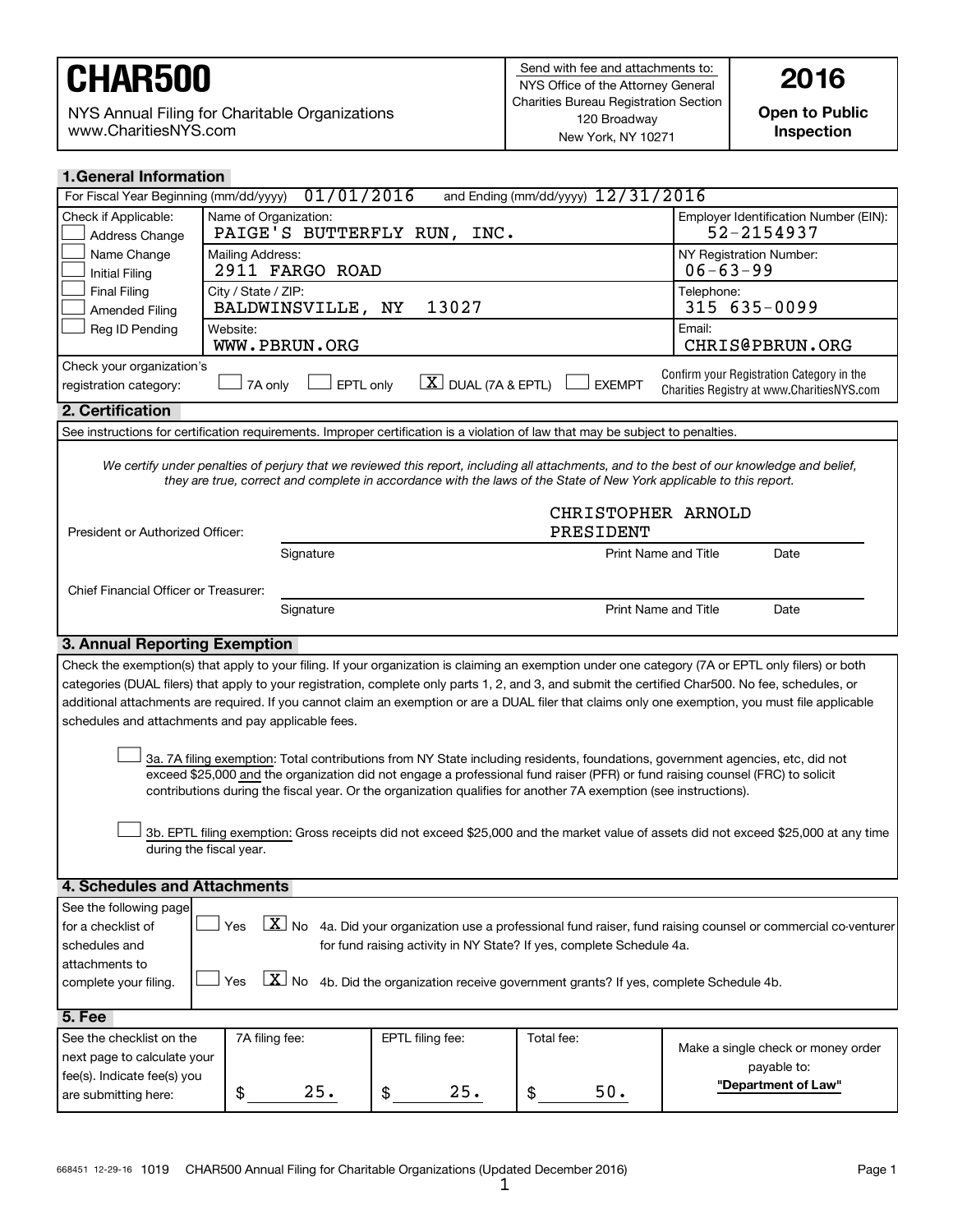are submitting here:

NYS Annual Filing for Charitable Organizations www.CharitiesNYS.com

**Inspection**

| <b>1.General Information</b>                                                                                                                                                                                                                                                                                                                                                                                                                                                                                                                           |                                                                                                                                 |                                                                                                           |                                      |                                                                                                                                                     |  |
|--------------------------------------------------------------------------------------------------------------------------------------------------------------------------------------------------------------------------------------------------------------------------------------------------------------------------------------------------------------------------------------------------------------------------------------------------------------------------------------------------------------------------------------------------------|---------------------------------------------------------------------------------------------------------------------------------|-----------------------------------------------------------------------------------------------------------|--------------------------------------|-----------------------------------------------------------------------------------------------------------------------------------------------------|--|
| For Fiscal Year Beginning (mm/dd/yyyy)                                                                                                                                                                                                                                                                                                                                                                                                                                                                                                                 | 01/01/2016                                                                                                                      |                                                                                                           | and Ending (mm/dd/yyyy) $12/31/2016$ |                                                                                                                                                     |  |
| Check if Applicable:<br>Address Change                                                                                                                                                                                                                                                                                                                                                                                                                                                                                                                 | Name of Organization:<br>PAIGE'S BUTTERFLY RUN, INC.                                                                            |                                                                                                           |                                      | Employer Identification Number (EIN):<br>52-2154937                                                                                                 |  |
| Name Change                                                                                                                                                                                                                                                                                                                                                                                                                                                                                                                                            | Mailing Address:<br>2911 FARGO ROAD                                                                                             |                                                                                                           |                                      | NY Registration Number:<br>$06 - 63 - 99$                                                                                                           |  |
| <b>Initial Filing</b>                                                                                                                                                                                                                                                                                                                                                                                                                                                                                                                                  |                                                                                                                                 |                                                                                                           |                                      |                                                                                                                                                     |  |
| <b>Final Filing</b><br><b>Amended Filing</b>                                                                                                                                                                                                                                                                                                                                                                                                                                                                                                           | City / State / ZIP:<br>BALDWINSVILLE, NY                                                                                        | 13027                                                                                                     |                                      | Telephone:<br>315 635-0099                                                                                                                          |  |
| Reg ID Pending                                                                                                                                                                                                                                                                                                                                                                                                                                                                                                                                         | Website:                                                                                                                        |                                                                                                           |                                      | Email:                                                                                                                                              |  |
|                                                                                                                                                                                                                                                                                                                                                                                                                                                                                                                                                        | WWW.PBRUN.ORG                                                                                                                   |                                                                                                           |                                      | CHRIS@PBRUN.ORG                                                                                                                                     |  |
| Check your organization's<br>registration category:                                                                                                                                                                                                                                                                                                                                                                                                                                                                                                    | EPTL only<br>7A only                                                                                                            | $\boxed{\textbf{X}}$ DUAL (7A & EPTL)                                                                     | <b>EXEMPT</b>                        | Confirm your Registration Category in the<br>Charities Registry at www.CharitiesNYS.com                                                             |  |
| 2. Certification                                                                                                                                                                                                                                                                                                                                                                                                                                                                                                                                       |                                                                                                                                 |                                                                                                           |                                      |                                                                                                                                                     |  |
|                                                                                                                                                                                                                                                                                                                                                                                                                                                                                                                                                        | See instructions for certification requirements. Improper certification is a violation of law that may be subject to penalties. |                                                                                                           |                                      |                                                                                                                                                     |  |
|                                                                                                                                                                                                                                                                                                                                                                                                                                                                                                                                                        | they are true, correct and complete in accordance with the laws of the State of New York applicable to this report.             |                                                                                                           | CHRISTOPHER ARNOLD                   | We certify under penalties of perjury that we reviewed this report, including all attachments, and to the best of our knowledge and belief,         |  |
| President or Authorized Officer:                                                                                                                                                                                                                                                                                                                                                                                                                                                                                                                       |                                                                                                                                 |                                                                                                           | PRESIDENT                            |                                                                                                                                                     |  |
|                                                                                                                                                                                                                                                                                                                                                                                                                                                                                                                                                        | Signature                                                                                                                       |                                                                                                           | <b>Print Name and Title</b>          | Date                                                                                                                                                |  |
|                                                                                                                                                                                                                                                                                                                                                                                                                                                                                                                                                        |                                                                                                                                 |                                                                                                           |                                      |                                                                                                                                                     |  |
| Chief Financial Officer or Treasurer:                                                                                                                                                                                                                                                                                                                                                                                                                                                                                                                  |                                                                                                                                 |                                                                                                           |                                      | Date                                                                                                                                                |  |
|                                                                                                                                                                                                                                                                                                                                                                                                                                                                                                                                                        | Signature                                                                                                                       |                                                                                                           | <b>Print Name and Title</b>          |                                                                                                                                                     |  |
| <b>3. Annual Reporting Exemption</b>                                                                                                                                                                                                                                                                                                                                                                                                                                                                                                                   |                                                                                                                                 |                                                                                                           |                                      |                                                                                                                                                     |  |
|                                                                                                                                                                                                                                                                                                                                                                                                                                                                                                                                                        |                                                                                                                                 |                                                                                                           |                                      | Check the exemption(s) that apply to your filing. If your organization is claiming an exemption under one category (7A or EPTL only filers) or both |  |
|                                                                                                                                                                                                                                                                                                                                                                                                                                                                                                                                                        |                                                                                                                                 |                                                                                                           |                                      | categories (DUAL filers) that apply to your registration, complete only parts 1, 2, and 3, and submit the certified Char500. No fee, schedules, or  |  |
|                                                                                                                                                                                                                                                                                                                                                                                                                                                                                                                                                        |                                                                                                                                 |                                                                                                           |                                      | additional attachments are required. If you cannot claim an exemption or are a DUAL filer that claims only one exemption, you must file applicable  |  |
|                                                                                                                                                                                                                                                                                                                                                                                                                                                                                                                                                        | schedules and attachments and pay applicable fees.                                                                              |                                                                                                           |                                      |                                                                                                                                                     |  |
| 3a. 7A filing exemption: Total contributions from NY State including residents, foundations, government agencies, etc, did not<br>exceed \$25,000 and the organization did not engage a professional fund raiser (PFR) or fund raising counsel (FRC) to solicit<br>contributions during the fiscal year. Or the organization qualifies for another 7A exemption (see instructions).<br>3b. EPTL filing exemption: Gross receipts did not exceed \$25,000 and the market value of assets did not exceed \$25,000 at any time<br>during the fiscal year. |                                                                                                                                 |                                                                                                           |                                      |                                                                                                                                                     |  |
| 4. Schedules and Attachments                                                                                                                                                                                                                                                                                                                                                                                                                                                                                                                           |                                                                                                                                 |                                                                                                           |                                      |                                                                                                                                                     |  |
| See the following page                                                                                                                                                                                                                                                                                                                                                                                                                                                                                                                                 |                                                                                                                                 |                                                                                                           |                                      |                                                                                                                                                     |  |
| for a checklist of                                                                                                                                                                                                                                                                                                                                                                                                                                                                                                                                     | Yes                                                                                                                             |                                                                                                           |                                      | $\boxed{\textbf{X}}$ No 4a. Did your organization use a professional fund raiser, fund raising counsel or commercial co-venturer                    |  |
| schedules and                                                                                                                                                                                                                                                                                                                                                                                                                                                                                                                                          |                                                                                                                                 | for fund raising activity in NY State? If yes, complete Schedule 4a.                                      |                                      |                                                                                                                                                     |  |
| attachments to                                                                                                                                                                                                                                                                                                                                                                                                                                                                                                                                         |                                                                                                                                 |                                                                                                           |                                      |                                                                                                                                                     |  |
| complete your filing.                                                                                                                                                                                                                                                                                                                                                                                                                                                                                                                                  | Yes                                                                                                                             | $\boxed{\mathbf{X}}$ No 4b. Did the organization receive government grants? If yes, complete Schedule 4b. |                                      |                                                                                                                                                     |  |
| 5. Fee                                                                                                                                                                                                                                                                                                                                                                                                                                                                                                                                                 |                                                                                                                                 |                                                                                                           |                                      |                                                                                                                                                     |  |
| See the checklist on the                                                                                                                                                                                                                                                                                                                                                                                                                                                                                                                               | 7A filing fee:                                                                                                                  | EPTL filing fee:                                                                                          | Total fee:                           | Make a single check or money order                                                                                                                  |  |
| next page to calculate your                                                                                                                                                                                                                                                                                                                                                                                                                                                                                                                            |                                                                                                                                 |                                                                                                           |                                      | payable to:                                                                                                                                         |  |
| fee(s). Indicate fee(s) you                                                                                                                                                                                                                                                                                                                                                                                                                                                                                                                            |                                                                                                                                 |                                                                                                           |                                      |                                                                                                                                                     |  |

 $\frac{1}{25}$   $\frac{25}{15}$   $\frac{1}{25}$   $\frac{25}{15}$   $\frac{1}{25}$ 

**"Department of Law"**

25.  $\vert \text{\$}$  50.